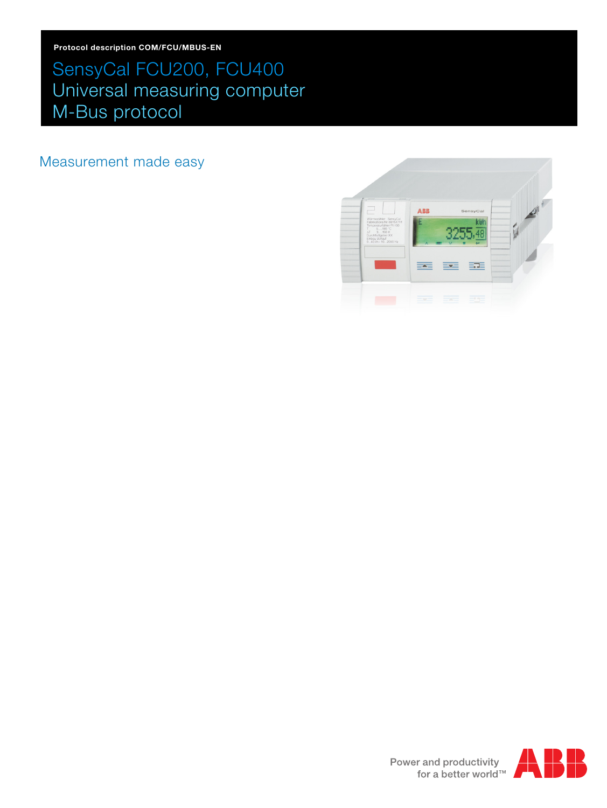# SensyCal FCU200, FCU400 Universal measuring computer M-Bus protocol

Measurement made easy



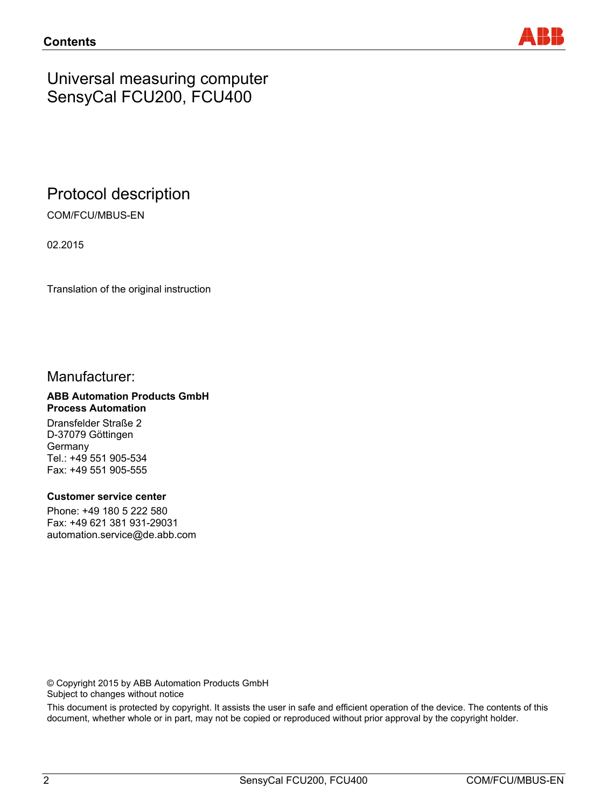

# Universal measuring computer SensyCal FCU200, FCU400

# Protocol description

COM/FCU/MBUS-EN

02.2015

Translation of the original instruction

# Manufacturer:

#### **ABB Automation Products GmbH Process Automation**

Dransfelder Straße 2 D-37079 Göttingen Germany Tel.: +49 551 905-534 Fax: +49 551 905-555

#### **Customer service center**

Phone: +49 180 5 222 580 Fax: +49 621 381 931-29031 automation.service@de.abb.com

© Copyright 2015 by ABB Automation Products GmbH Subject to changes without notice

This document is protected by copyright. It assists the user in safe and efficient operation of the device. The contents of this document, whether whole or in part, may not be copied or reproduced without prior approval by the copyright holder.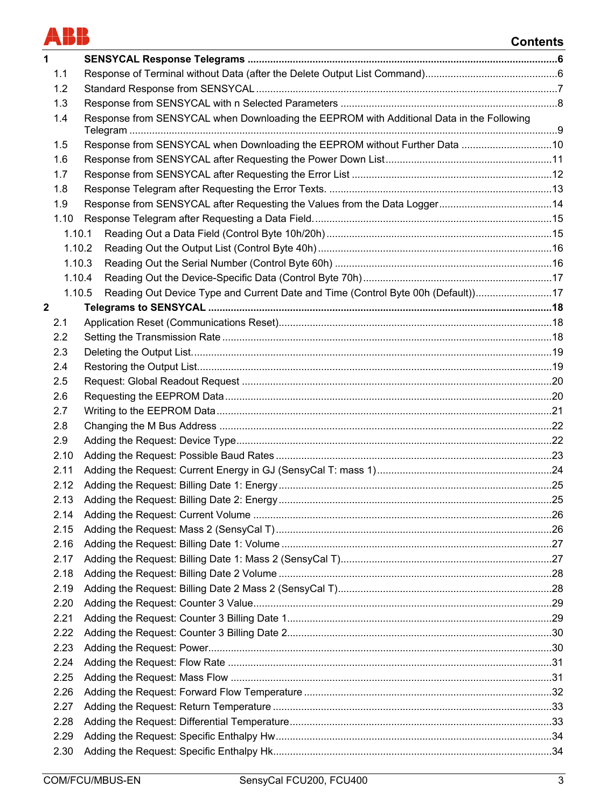

# **Contents**

| 1 |            |                                                                                          |  |
|---|------------|------------------------------------------------------------------------------------------|--|
|   | 1.1        |                                                                                          |  |
|   | 1.2        |                                                                                          |  |
|   | 1.3        |                                                                                          |  |
|   | 1.4        | Response from SENSYCAL when Downloading the EEPROM with Additional Data in the Following |  |
|   |            |                                                                                          |  |
|   | 1.5        | Response from SENSYCAL when Downloading the EEPROM without Further Data 10               |  |
|   | 1.6        |                                                                                          |  |
|   | 1.7        |                                                                                          |  |
|   | 1.8<br>1.9 |                                                                                          |  |
|   | 1.10       |                                                                                          |  |
|   | 1.10.1     |                                                                                          |  |
|   | 1.10.2     |                                                                                          |  |
|   | 1.10.3     |                                                                                          |  |
|   | 1.10.4     |                                                                                          |  |
|   | 1.10.5     | Reading Out Device Type and Current Date and Time (Control Byte 00h (Default)17          |  |
| 2 |            |                                                                                          |  |
|   | 2.1        |                                                                                          |  |
|   | 2.2        |                                                                                          |  |
|   | 2.3        |                                                                                          |  |
|   | 2.4        |                                                                                          |  |
|   | 2.5        |                                                                                          |  |
|   | 2.6        |                                                                                          |  |
|   | 2.7        |                                                                                          |  |
|   | 2.8        |                                                                                          |  |
|   | 2.9        |                                                                                          |  |
|   | 2.10       |                                                                                          |  |
|   | 2.11       |                                                                                          |  |
|   | 2.12       |                                                                                          |  |
|   | 2.13       |                                                                                          |  |
|   | 2.14       |                                                                                          |  |
|   | 2.15       |                                                                                          |  |
|   | 2.16       |                                                                                          |  |
|   | 2.17       |                                                                                          |  |
|   | 2.18       |                                                                                          |  |
|   | 2.19       |                                                                                          |  |
|   | 2.20       |                                                                                          |  |
|   | 2.21       |                                                                                          |  |
|   | 2.22       |                                                                                          |  |
|   | 2.23       |                                                                                          |  |
|   | 2.24       |                                                                                          |  |
|   | 2.25       |                                                                                          |  |
|   | 2.26       |                                                                                          |  |
|   | 2.27       |                                                                                          |  |
|   | 2.28       |                                                                                          |  |
|   | 2.29       |                                                                                          |  |
|   | 2.30       |                                                                                          |  |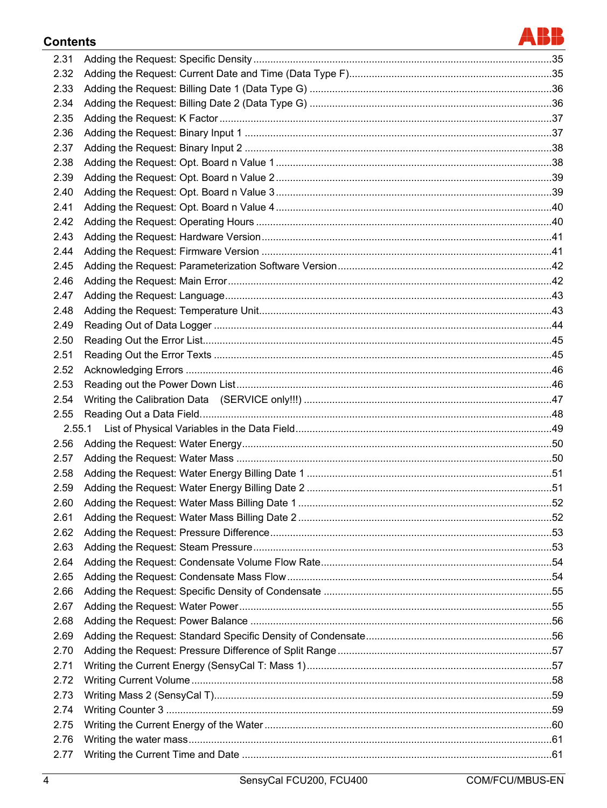# **Contents**

| 2.31 |        |  |
|------|--------|--|
| 2.32 |        |  |
| 2.33 |        |  |
| 2.34 |        |  |
| 2.35 |        |  |
| 2.36 |        |  |
| 2.37 |        |  |
| 2.38 |        |  |
| 2.39 |        |  |
| 2.40 |        |  |
| 2.41 |        |  |
| 2.42 |        |  |
| 2.43 |        |  |
| 2.44 |        |  |
| 2.45 |        |  |
| 2.46 |        |  |
| 2.47 |        |  |
| 2.48 |        |  |
| 2.49 |        |  |
| 2.50 |        |  |
| 2.51 |        |  |
| 2.52 |        |  |
| 2.53 |        |  |
| 2.54 |        |  |
| 2.55 |        |  |
|      | 2.55.1 |  |
| 2.56 |        |  |
| 2.57 |        |  |
| 2.58 |        |  |
| 2.59 |        |  |
| 2.60 |        |  |
| 2.61 |        |  |
| 2.62 |        |  |
| 2.63 |        |  |
| 2.64 |        |  |
| 2.65 |        |  |
| 2.66 |        |  |
| 2.67 |        |  |
| 2.68 |        |  |
| 2.69 |        |  |
| 2.70 |        |  |
| 2.71 |        |  |
| 2.72 |        |  |
| 2.73 |        |  |
| 2.74 |        |  |
| 2.75 |        |  |
| 2.76 |        |  |
| 2.77 |        |  |
|      |        |  |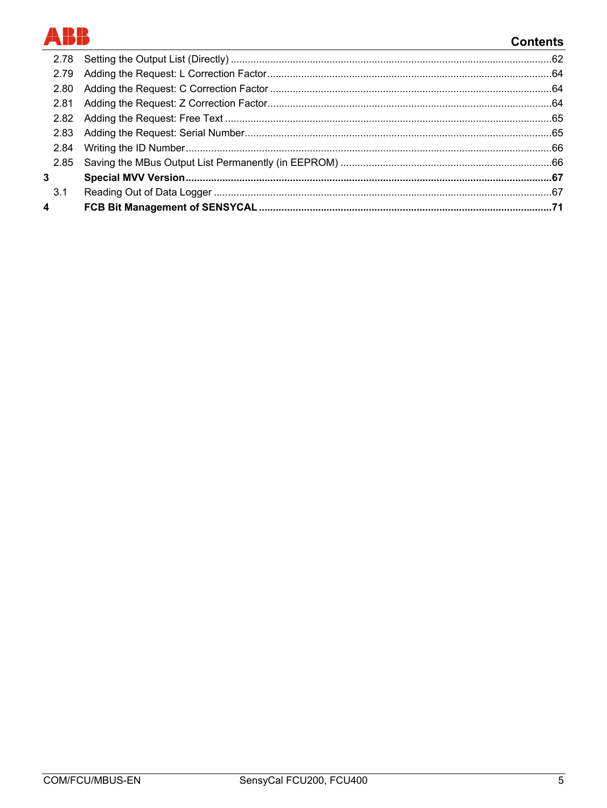# BB

# **Contents**

| 2.84         |  |
|--------------|--|
| 2.85         |  |
| $\mathbf{3}$ |  |
| 3.1          |  |
| 4            |  |
|              |  |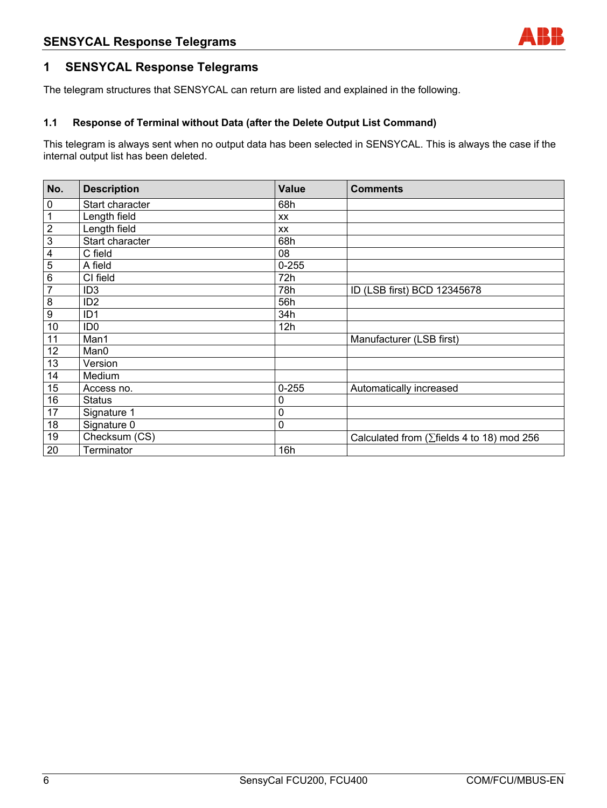## **1 SENSYCAL Response Telegrams**

The telegram structures that SENSYCAL can return are listed and explained in the following.

#### **1.1 Response of Terminal without Data (after the Delete Output List Command)**

This telegram is always sent when no output data has been selected in SENSYCAL. This is always the case if the internal output list has been deleted.

| No.                     | <b>Description</b> | <b>Value</b> | <b>Comments</b>                                    |
|-------------------------|--------------------|--------------|----------------------------------------------------|
| $\pmb{0}$               | Start character    | 68h          |                                                    |
| $\mathbf{1}$            | Length field       | <b>XX</b>    |                                                    |
| $\overline{2}$          | Length field       | <b>XX</b>    |                                                    |
| $\overline{3}$          | Start character    | 68h          |                                                    |
| $\overline{\mathbf{4}}$ | C field            | 08           |                                                    |
| $\overline{5}$          | A field            | $0 - 255$    |                                                    |
| $\,6$                   | CI field           | 72h          |                                                    |
| $\overline{7}$          | ID <sub>3</sub>    | 78h          | ID (LSB first) BCD 12345678                        |
| $\bf 8$                 | ID <sub>2</sub>    | 56h          |                                                    |
| $\boldsymbol{9}$        | ID <sub>1</sub>    | 34h          |                                                    |
| 10                      | ID <sub>0</sub>    | 12h          |                                                    |
| 11                      | Man1               |              | Manufacturer (LSB first)                           |
| 12                      | Man0               |              |                                                    |
| 13                      | Version            |              |                                                    |
| 14                      | Medium             |              |                                                    |
| 15                      | Access no.         | $0 - 255$    | Automatically increased                            |
| 16                      | <b>Status</b>      | 0            |                                                    |
| 17                      | Signature 1        | 0            |                                                    |
| 18                      | Signature 0        | 0            |                                                    |
| 19                      | Checksum (CS)      |              | Calculated from ( $\Sigma$ fields 4 to 18) mod 256 |
| 20                      | Terminator         | 16h          |                                                    |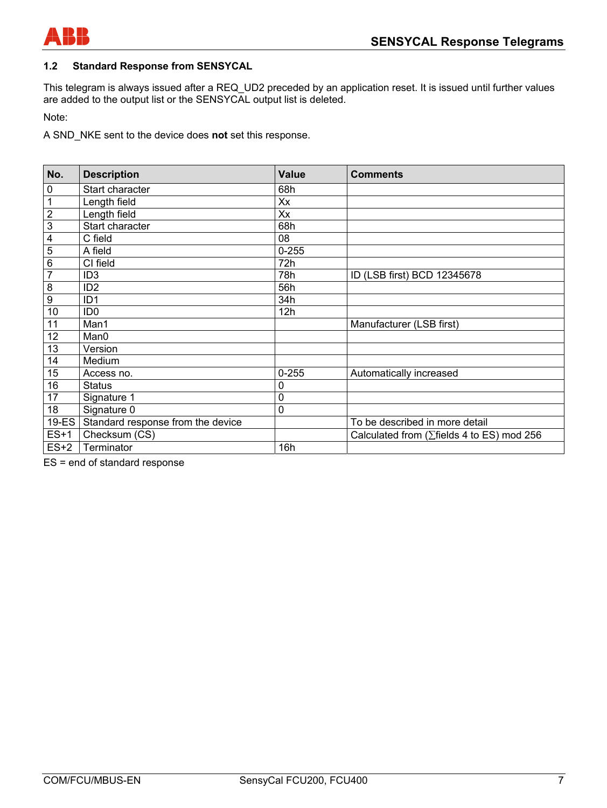

#### **1.2 Standard Response from SENSYCAL**

This telegram is always issued after a REQ\_UD2 preceded by an application reset. It is issued until further values are added to the output list or the SENSYCAL output list is deleted.

Note:

A SND\_NKE sent to the device does **not** set this response.

| No.                     | <b>Description</b>                | <b>Value</b> | <b>Comments</b>                                    |
|-------------------------|-----------------------------------|--------------|----------------------------------------------------|
| $\pmb{0}$               | Start character                   | 68h          |                                                    |
| $\mathbf{1}$            | Length field                      | Xx           |                                                    |
| $\overline{2}$          | Length field                      | Xx           |                                                    |
| $\overline{3}$          | Start character                   | 68h          |                                                    |
| $\overline{4}$          | C field                           | 08           |                                                    |
| $\overline{5}$          | A field                           | $0 - 255$    |                                                    |
| $\overline{6}$          | CI field                          | 72h          |                                                    |
| $\overline{7}$          | ID <sub>3</sub>                   | 78h          | ID (LSB first) BCD 12345678                        |
| $\overline{\mathbf{8}}$ | ID <sub>2</sub>                   | 56h          |                                                    |
| $\overline{9}$          | ID <sub>1</sub>                   | 34h          |                                                    |
| 10                      | ID <sub>0</sub>                   | 12h          |                                                    |
| 11                      | Man1                              |              | Manufacturer (LSB first)                           |
| 12                      | Man0                              |              |                                                    |
| 13                      | Version                           |              |                                                    |
| 14                      | Medium                            |              |                                                    |
| 15                      | Access no.                        | $0 - 255$    | Automatically increased                            |
| 16                      | <b>Status</b>                     | 0            |                                                    |
| 17                      | Signature 1                       | 0            |                                                    |
| 18                      | Signature 0                       | 0            |                                                    |
| 19-ES                   | Standard response from the device |              | To be described in more detail                     |
| $ES+1$                  | Checksum (CS)                     |              | Calculated from ( $\Sigma$ fields 4 to ES) mod 256 |
| $ES+2$                  | Terminator                        | 16h          |                                                    |

ES = end of standard response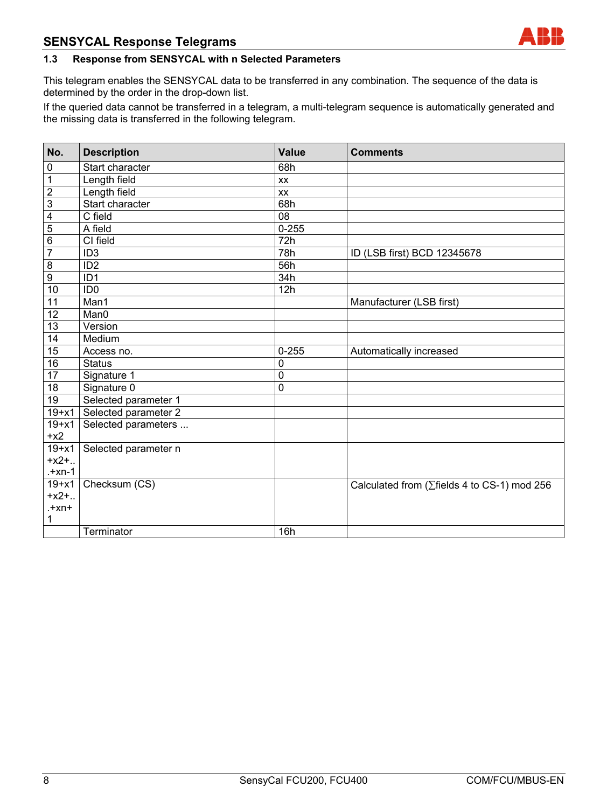#### **1.3 Response from SENSYCAL with n Selected Parameters**

This telegram enables the SENSYCAL data to be transferred in any combination. The sequence of the data is determined by the order in the drop-down list.

If the queried data cannot be transferred in a telegram, a multi-telegram sequence is automatically generated and the missing data is transferred in the following telegram.

| No.             | <b>Description</b>   | <b>Value</b>     | <b>Comments</b>                                      |
|-----------------|----------------------|------------------|------------------------------------------------------|
| $\pmb{0}$       | Start character      | 68h              |                                                      |
| $\overline{1}$  | Length field         | XX               |                                                      |
| $\overline{2}$  | Length field         | XX               |                                                      |
| $\overline{3}$  | Start character      | 68h              |                                                      |
| $\overline{4}$  | C field              | 08               |                                                      |
| $\overline{5}$  | A field              | $0 - 255$        |                                                      |
| $\overline{6}$  | CI field             | $\overline{72}h$ |                                                      |
| $\overline{7}$  | $\overline{ID3}$     | 78h              | ID (LSB first) BCD 12345678                          |
| $\overline{8}$  | ID <sub>2</sub>      | 56h              |                                                      |
| $\overline{9}$  | ID <sub>1</sub>      | 34h              |                                                      |
| 10              | ID <sub>0</sub>      | 12h              |                                                      |
| $\overline{11}$ | Man1                 |                  | Manufacturer (LSB first)                             |
| $\overline{12}$ | Man0                 |                  |                                                      |
| 13              | Version              |                  |                                                      |
| $\overline{14}$ | Medium               |                  |                                                      |
| 15              | Access no.           | $0 - 255$        | Automatically increased                              |
| 16              | <b>Status</b>        | 0                |                                                      |
| $\overline{17}$ | Signature 1          | $\pmb{0}$        |                                                      |
| 18              | Signature 0          | 0                |                                                      |
| 19              | Selected parameter 1 |                  |                                                      |
| $19+x1$         | Selected parameter 2 |                  |                                                      |
| $19 + x1$       | Selected parameters  |                  |                                                      |
| $+x2$           |                      |                  |                                                      |
| $19+x1$         | Selected parameter n |                  |                                                      |
| $+x2+.$         |                      |                  |                                                      |
| $+xn-1$         |                      |                  |                                                      |
| $19 + x1$       | Checksum (CS)        |                  | Calculated from ( $\Sigma$ fields 4 to CS-1) mod 256 |
| $+x2+$          |                      |                  |                                                      |
| $+xn+$          |                      |                  |                                                      |
| 1               |                      |                  |                                                      |
|                 | Terminator           | 16h              |                                                      |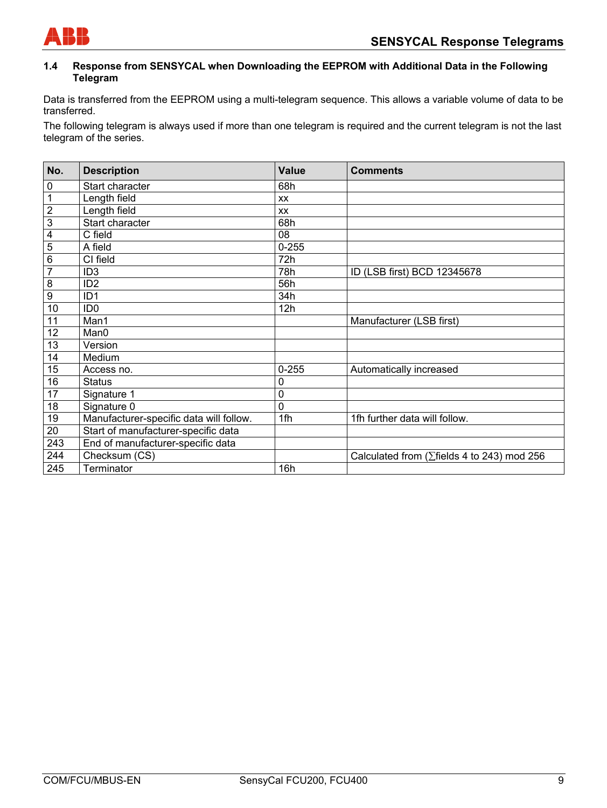

#### **1.4 Response from SENSYCAL when Downloading the EEPROM with Additional Data in the Following Telegram**

Data is transferred from the EEPROM using a multi-telegram sequence. This allows a variable volume of data to be transferred.

The following telegram is always used if more than one telegram is required and the current telegram is not the last telegram of the series.

| No.            | <b>Description</b>                      | <b>Value</b> | <b>Comments</b>                                     |
|----------------|-----------------------------------------|--------------|-----------------------------------------------------|
| 0              | Start character                         | 68h          |                                                     |
| $\mathbf 1$    | Length field                            | <b>XX</b>    |                                                     |
| $\overline{2}$ | Length field                            | <b>XX</b>    |                                                     |
| $\overline{3}$ | Start character                         | 68h          |                                                     |
| 4              | C field                                 | 08           |                                                     |
| 5              | A field                                 | $0 - 255$    |                                                     |
| 6              | CI field                                | 72h          |                                                     |
| $\overline{7}$ | ID <sub>3</sub>                         | 78h          | ID (LSB first) BCD 12345678                         |
| 8              | ID <sub>2</sub>                         | 56h          |                                                     |
| 9              | ID <sub>1</sub>                         | 34h          |                                                     |
| 10             | ID <sub>0</sub>                         | 12h          |                                                     |
| 11             | Man1                                    |              | Manufacturer (LSB first)                            |
| 12             | Man0                                    |              |                                                     |
| 13             | Version                                 |              |                                                     |
| 14             | Medium                                  |              |                                                     |
| 15             | Access no.                              | $0 - 255$    | Automatically increased                             |
| 16             | <b>Status</b>                           | 0            |                                                     |
| 17             | Signature 1                             | 0            |                                                     |
| 18             | Signature 0                             | 0            |                                                     |
| 19             | Manufacturer-specific data will follow. | 1fh          | 1fh further data will follow.                       |
| 20             | Start of manufacturer-specific data     |              |                                                     |
| 243            | End of manufacturer-specific data       |              |                                                     |
| 244            | Checksum (CS)                           |              | Calculated from ( $\Sigma$ fields 4 to 243) mod 256 |
| 245            | Terminator                              | 16h          |                                                     |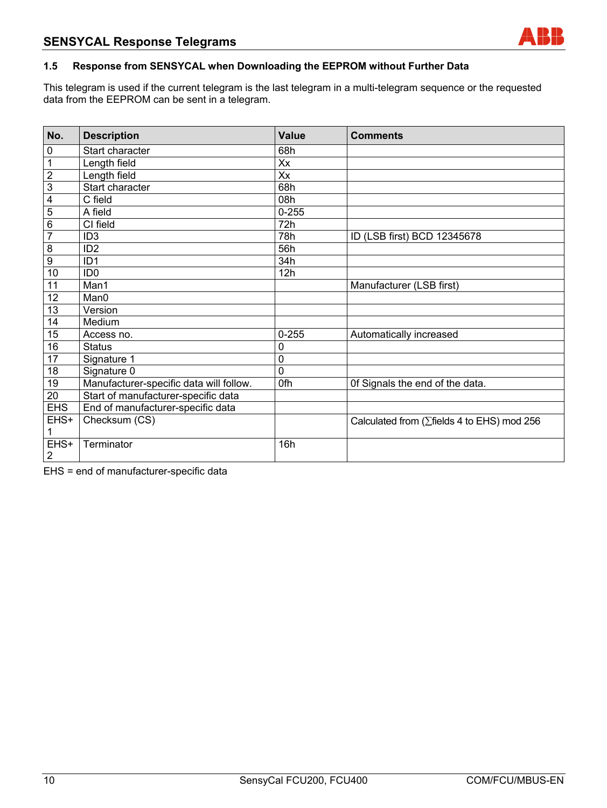

#### **1.5 Response from SENSYCAL when Downloading the EEPROM without Further Data**

This telegram is used if the current telegram is the last telegram in a multi-telegram sequence or the requested data from the EEPROM can be sent in a telegram.

| No.            | <b>Description</b>                      | <b>Value</b> | <b>Comments</b>                                     |
|----------------|-----------------------------------------|--------------|-----------------------------------------------------|
| $\pmb{0}$      | Start character                         | 68h          |                                                     |
| $\mathbf 1$    | Length field                            | Xx           |                                                     |
| $\overline{2}$ | Length field                            | Xx           |                                                     |
| $\overline{3}$ | Start character                         | 68h          |                                                     |
| 4              | C field                                 | 08h          |                                                     |
| $\overline{5}$ | A field                                 | $0 - 255$    |                                                     |
| $\overline{6}$ | CI field                                | 72h          |                                                     |
| $\overline{7}$ | ID <sub>3</sub>                         | 78h          | ID (LSB first) BCD 12345678                         |
| $\overline{8}$ | ID <sub>2</sub>                         | 56h          |                                                     |
| $\overline{9}$ | ID <sub>1</sub>                         | 34h          |                                                     |
| 10             | ID <sub>0</sub>                         | 12h          |                                                     |
| 11             | Man1                                    |              | Manufacturer (LSB first)                            |
| 12             | Man0                                    |              |                                                     |
| 13             | Version                                 |              |                                                     |
| 14             | Medium                                  |              |                                                     |
| 15             | Access no.                              | $0 - 255$    | Automatically increased                             |
| 16             | <b>Status</b>                           | 0            |                                                     |
| 17             | Signature 1                             | $\mathbf 0$  |                                                     |
| 18             | Signature 0                             | $\mathbf 0$  |                                                     |
| 19             | Manufacturer-specific data will follow. | 0fh          | Of Signals the end of the data.                     |
| 20             | Start of manufacturer-specific data     |              |                                                     |
| <b>EHS</b>     | End of manufacturer-specific data       |              |                                                     |
| EHS+           | Checksum (CS)                           |              | Calculated from ( $\Sigma$ fields 4 to EHS) mod 256 |
|                |                                         |              |                                                     |
| EHS+           | Terminator                              | 16h          |                                                     |
| $\overline{2}$ |                                         |              |                                                     |

EHS = end of manufacturer-specific data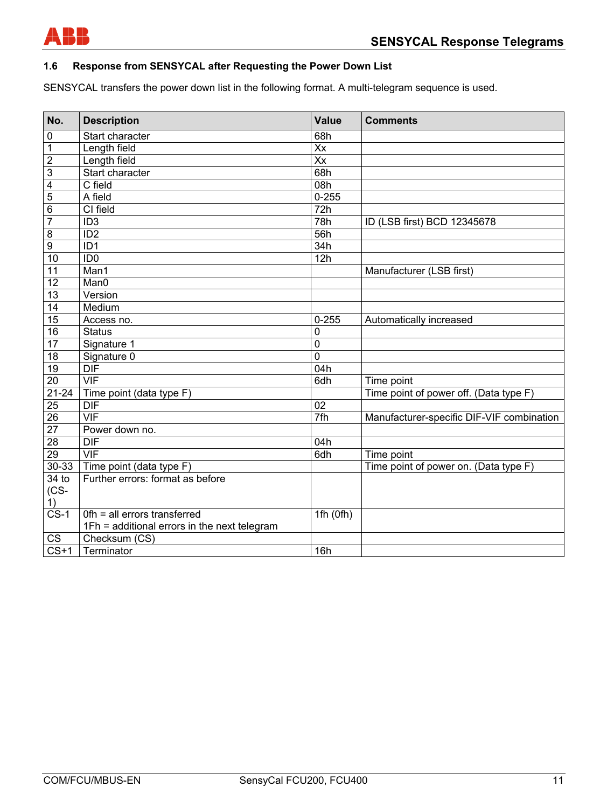

#### **1.6 Response from SENSYCAL after Requesting the Power Down List**

SENSYCAL transfers the power down list in the following format. A multi-telegram sequence is used.

| No.                    | <b>Description</b>                           | <b>Value</b>     | <b>Comments</b>                           |
|------------------------|----------------------------------------------|------------------|-------------------------------------------|
| $\pmb{0}$              | Start character                              | 68h              |                                           |
| $\mathbf 1$            | Length field                                 | $\overline{X}$   |                                           |
| $\overline{2}$         | Length field                                 | $\overline{X}$   |                                           |
| $\overline{3}$         | Start character                              | 68h              |                                           |
| $\overline{4}$         | C field                                      | 08h              |                                           |
| $\overline{5}$         | A field                                      | $0 - 255$        |                                           |
| $\overline{6}$         | CI field                                     | $\overline{72h}$ |                                           |
| $\overline{7}$         | ID3                                          | 78h              | ID (LSB first) BCD 12345678               |
| 8                      | ID2                                          | 56h              |                                           |
| $\overline{9}$         | $\overline{ID1}$                             | 34h              |                                           |
| 10                     | ID0                                          | 12h              |                                           |
| $\overline{11}$        | Man1                                         |                  | Manufacturer (LSB first)                  |
| $\overline{12}$        | Man0                                         |                  |                                           |
| 13                     | Version                                      |                  |                                           |
| $\overline{14}$        | Medium                                       |                  |                                           |
| 15                     | Access no.                                   | $0 - 255$        | Automatically increased                   |
| 16                     | <b>Status</b>                                | $\mathbf 0$      |                                           |
| 17                     | Signature 1                                  | $\overline{0}$   |                                           |
| 18                     | Signature 0                                  | $\overline{0}$   |                                           |
| 19                     | $\overline{DIF}$                             | $\overline{04h}$ |                                           |
| $\overline{20}$        | VIF                                          | 6dh              | Time point                                |
| $21 - 24$              | Time point (data type F)                     |                  | Time point of power off. (Data type F)    |
| 25                     | <b>DIF</b>                                   | 02               |                                           |
| $\overline{26}$        | VIF                                          | 7fh              | Manufacturer-specific DIF-VIF combination |
| $\overline{27}$        | Power down no.                               |                  |                                           |
| $\overline{28}$        | <b>DIF</b>                                   | 04h              |                                           |
| 29                     | $\overline{\mathsf{VIF}}$                    | 6dh              | Time point                                |
| $30 - 33$              | Time point (data type F)                     |                  | Time point of power on. (Data type F)     |
| $34$ to                | Further errors: format as before             |                  |                                           |
| $(CS -$                |                                              |                  |                                           |
| 1)                     |                                              |                  |                                           |
| $CS-1$                 | Ofh = all errors transferred                 | 1fh(0fh)         |                                           |
|                        | 1Fh = additional errors in the next telegram |                  |                                           |
| $\overline{\text{CS}}$ | Checksum (CS)                                |                  |                                           |
| $CS+1$                 | Terminator                                   | 16h              |                                           |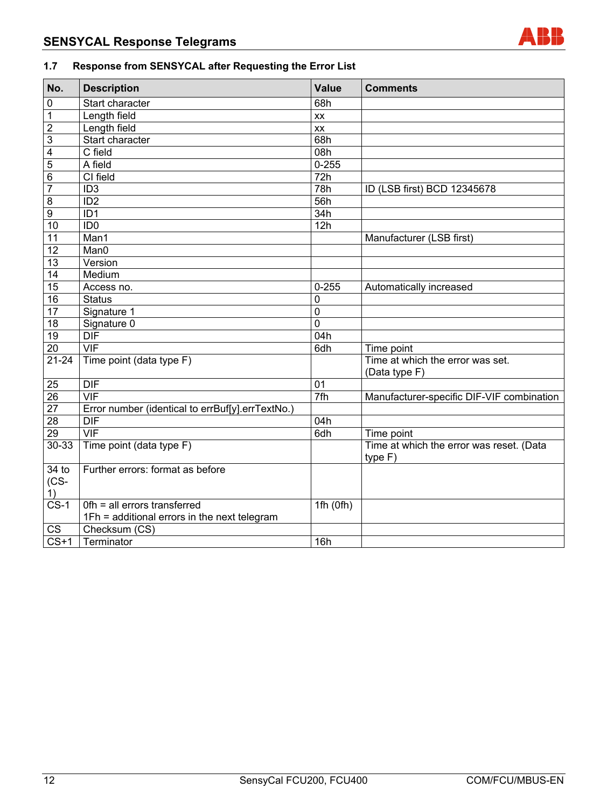

# **1.7 Response from SENSYCAL after Requesting the Error List**

| No.                      | <b>Description</b>                                                           | Value            | <b>Comments</b>                                     |
|--------------------------|------------------------------------------------------------------------------|------------------|-----------------------------------------------------|
| 0                        | Start character                                                              | 68h              |                                                     |
| $\mathbf{1}$             | Length field                                                                 | XX               |                                                     |
| $\overline{c}$           | Length field                                                                 | XX               |                                                     |
| 3                        | Start character                                                              | 68h              |                                                     |
| 4                        | C field                                                                      | 08h              |                                                     |
| 5                        | A field                                                                      | $0 - 255$        |                                                     |
| $6\phantom{1}6$          | $\overline{C}$ field                                                         | $\overline{72h}$ |                                                     |
| $\overline{7}$           | ID <sub>3</sub>                                                              | 78h              | ID (LSB first) BCD 12345678                         |
| $\overline{8}$           | ID <sub>2</sub>                                                              | 56h              |                                                     |
| $\overline{9}$           | ID <sub>1</sub>                                                              | 34h              |                                                     |
| $\overline{10}$          | ID <sub>0</sub>                                                              | 12h              |                                                     |
| 11                       | Man1                                                                         |                  | Manufacturer (LSB first)                            |
| 12                       | Man0                                                                         |                  |                                                     |
| 13                       | Version                                                                      |                  |                                                     |
| 14                       | Medium                                                                       |                  |                                                     |
| 15                       | Access no.                                                                   | $0 - 255$        | Automatically increased                             |
| 16                       | <b>Status</b>                                                                | 0                |                                                     |
| 17                       | Signature 1                                                                  | $\mathbf 0$      |                                                     |
| 18                       | Signature 0                                                                  | $\overline{0}$   |                                                     |
| 19                       | <b>DIF</b>                                                                   | 04h              |                                                     |
| $\overline{20}$          | VIF                                                                          | $\overline{6dh}$ | Time point                                          |
| $21 - 24$                | $\overline{\text{Time}}$ point (data type F)                                 |                  | Time at which the error was set.<br>(Data type F)   |
| $\overline{25}$          | $\overline{DIF}$                                                             | 01               |                                                     |
| $\overline{26}$          | $\overline{\text{VIF}}$                                                      | 7fh              | Manufacturer-specific DIF-VIF combination           |
| $\overline{27}$          | Error number (identical to errBuf[y].errTextNo.)                             |                  |                                                     |
| 28                       | $\overline{\sf DIF}$                                                         | 04h              |                                                     |
| $\overline{29}$          | $\overline{\mathsf{VIF}}$                                                    | 6dh              | Time point                                          |
| $30 - 33$                | Time point (data type F)                                                     |                  | Time at which the error was reset. (Data<br>type F) |
| $34$ to<br>$(CS -$<br>1) | Further errors: format as before                                             |                  |                                                     |
| $CS-1$                   | Ofh = all errors transferred<br>1Fh = additional errors in the next telegram | 1fh $(0fh)$      |                                                     |
| $\overline{\text{CS}}$   | Checksum (CS)                                                                |                  |                                                     |
| $CS+1$                   | Terminator                                                                   | 16h              |                                                     |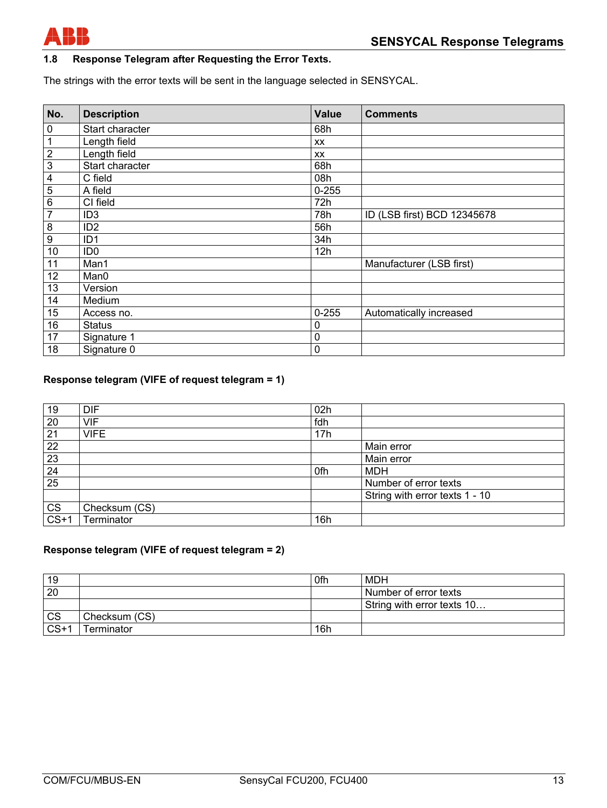

## **1.8 Response Telegram after Requesting the Error Texts.**

The strings with the error texts will be sent in the language selected in SENSYCAL.

| No.              | <b>Description</b> | Value       | <b>Comments</b>             |
|------------------|--------------------|-------------|-----------------------------|
| $\pmb{0}$        | Start character    | 68h         |                             |
| 1                | Length field       | <b>XX</b>   |                             |
| $\overline{2}$   | Length field       | XX          |                             |
| $\overline{3}$   | Start character    | 68h         |                             |
| 4                | C field            | 08h         |                             |
| 5                | A field            | $0 - 255$   |                             |
| $\overline{6}$   | CI field           | 72h         |                             |
| $\overline{7}$   | ID <sub>3</sub>    | 78h         | ID (LSB first) BCD 12345678 |
| 8                | ID <sub>2</sub>    | 56h         |                             |
| $\boldsymbol{9}$ | ID <sub>1</sub>    | 34h         |                             |
| 10               | ID <sub>0</sub>    | 12h         |                             |
| 11               | Man1               |             | Manufacturer (LSB first)    |
| 12               | Man0               |             |                             |
| 13               | Version            |             |                             |
| 14               | Medium             |             |                             |
| 15               | Access no.         | $0 - 255$   | Automatically increased     |
| 16               | <b>Status</b>      | 0           |                             |
| 17               | Signature 1        | $\mathbf 0$ |                             |
| 18               | Signature 0        | $\mathbf 0$ |                             |

## **Response telegram (VIFE of request telegram = 1)**

| 19        | <b>DIF</b>    | 02h |                                |
|-----------|---------------|-----|--------------------------------|
| 20        | <b>VIF</b>    | fdh |                                |
| 21        | <b>VIFE</b>   | 17h |                                |
| 22        |               |     | Main error                     |
| 23        |               |     | Main error                     |
| 24        |               | 0fh | <b>MDH</b>                     |
| 25        |               |     | Number of error texts          |
|           |               |     | String with error texts 1 - 10 |
| <b>CS</b> | Checksum (CS) |     |                                |
| $CS+1$    | Terminator    | 16h |                                |

#### **Response telegram (VIFE of request telegram = 2)**

| 19        |               | 0fh | MDH                        |
|-----------|---------------|-----|----------------------------|
| 20        |               |     | Number of error texts      |
|           |               |     | String with error texts 10 |
| <b>CS</b> | Checksum (CS) |     |                            |
| $CS+1$    | Terminator    | 16h |                            |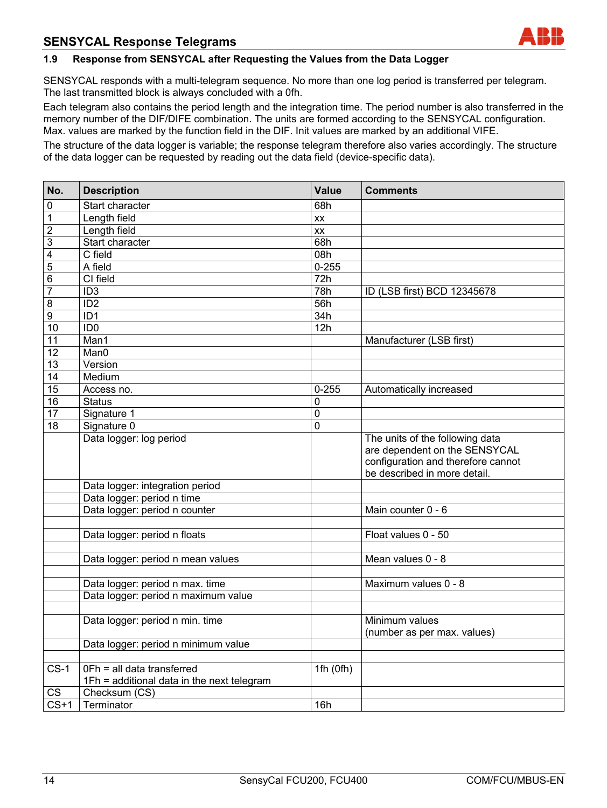

#### **1.9 Response from SENSYCAL after Requesting the Values from the Data Logger**

SENSYCAL responds with a multi-telegram sequence. No more than one log period is transferred per telegram. The last transmitted block is always concluded with a 0fh.

Each telegram also contains the period length and the integration time. The period number is also transferred in the memory number of the DIF/DIFE combination. The units are formed according to the SENSYCAL configuration. Max. values are marked by the function field in the DIF. Init values are marked by an additional VIFE.

The structure of the data logger is variable; the response telegram therefore also varies accordingly. The structure of the data logger can be requested by reading out the data field (device-specific data).

| No.               | <b>Description</b>                         | <b>Value</b>     | <b>Comments</b>                                                    |
|-------------------|--------------------------------------------|------------------|--------------------------------------------------------------------|
| 0                 | Start character                            | 68h              |                                                                    |
| 1                 | Length field                               | XX               |                                                                    |
| $\overline{2}$    | Length field                               | $\overline{xx}$  |                                                                    |
| 3                 | Start character                            | 68h              |                                                                    |
| $\overline{4}$    | C field                                    | 08h              |                                                                    |
| 5                 | A field                                    | $0 - 255$        |                                                                    |
| 6                 | CI field                                   | $\overline{72h}$ |                                                                    |
| $\overline{7}$    | ID3                                        | 78h              | ID (LSB first) BCD 12345678                                        |
| 8                 | ID2                                        | 56h              |                                                                    |
| $\overline{9}$    | $\overline{ID1}$                           | 34h              |                                                                    |
| 10                | ID <sub>0</sub>                            | 12h              |                                                                    |
| $\overline{11}$   | Man1                                       |                  | Manufacturer (LSB first)                                           |
| 12                | Man <sub>0</sub>                           |                  |                                                                    |
| 13                | Version                                    |                  |                                                                    |
| $\overline{14}$   | Medium                                     |                  |                                                                    |
| $\overline{15}$   | Access no.                                 | $0 - 255$        | Automatically increased                                            |
| 16                | <b>Status</b>                              | 0                |                                                                    |
| 17                | Signature 1                                | 0                |                                                                    |
| $\overline{18}$   | Signature 0                                | 0                |                                                                    |
|                   | Data logger: log period                    |                  | The units of the following data<br>are dependent on the SENSYCAL   |
|                   |                                            |                  | configuration and therefore cannot<br>be described in more detail. |
|                   | Data logger: integration period            |                  |                                                                    |
|                   | Data logger: period n time                 |                  |                                                                    |
|                   | Data logger: period n counter              |                  | Main counter 0 - 6                                                 |
|                   |                                            |                  |                                                                    |
|                   | Data logger: period n floats               |                  | Float values 0 - 50                                                |
|                   |                                            |                  |                                                                    |
|                   | Data logger: period n mean values          |                  | Mean values 0 - 8                                                  |
|                   |                                            |                  |                                                                    |
|                   | Data logger: period n max. time            |                  | Maximum values 0 - 8                                               |
|                   | Data logger: period n maximum value        |                  |                                                                    |
|                   |                                            |                  |                                                                    |
|                   | Data logger: period n min. time            |                  | Minimum values                                                     |
|                   |                                            |                  | (number as per max. values)                                        |
|                   | Data logger: period n minimum value        |                  |                                                                    |
|                   |                                            |                  |                                                                    |
| $CS-1$            | OFh = all data transferred                 | 1fh $(0fh)$      |                                                                    |
|                   | 1Fh = additional data in the next telegram |                  |                                                                    |
| CS                | Checksum (CS)                              |                  |                                                                    |
| $\overline{CS+1}$ | Terminator                                 | 16h              |                                                                    |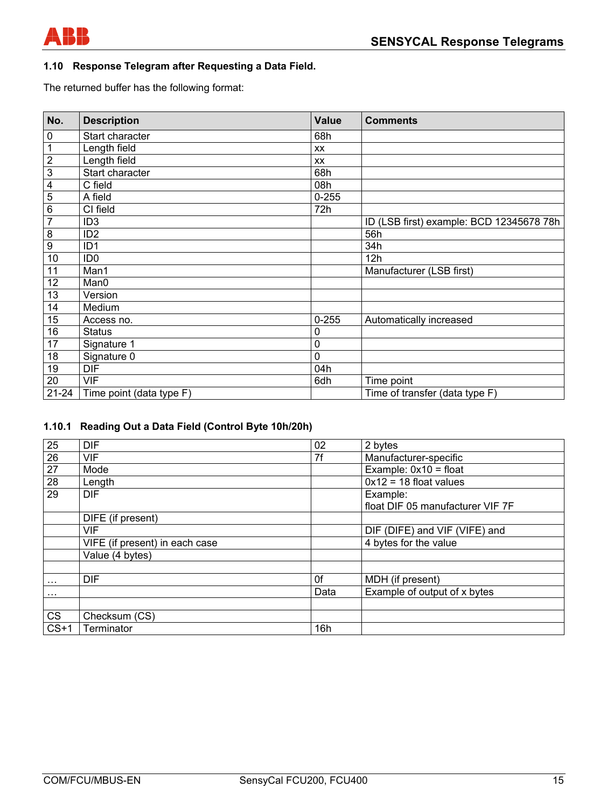

# **1.10 Response Telegram after Requesting a Data Field.**

The returned buffer has the following format:

| No.              | <b>Description</b>       | <b>Value</b> | <b>Comments</b>                          |
|------------------|--------------------------|--------------|------------------------------------------|
| 0                | Start character          | 68h          |                                          |
| 1                | Length field             | XX           |                                          |
| $\overline{2}$   | Length field             | XX           |                                          |
| $\overline{3}$   | Start character          | 68h          |                                          |
| 4                | C field                  | 08h          |                                          |
| 5                | A field                  | $0 - 255$    |                                          |
| 6                | CI field                 | 72h          |                                          |
| $\overline{7}$   | ID <sub>3</sub>          |              | ID (LSB first) example: BCD 12345678 78h |
| 8                | ID <sub>2</sub>          |              | 56h                                      |
| $\boldsymbol{9}$ | ID <sub>1</sub>          |              | 34h                                      |
| 10               | ID <sub>0</sub>          |              | 12h                                      |
| 11               | Man1                     |              | Manufacturer (LSB first)                 |
| 12               | Man0                     |              |                                          |
| 13               | Version                  |              |                                          |
| 14               | Medium                   |              |                                          |
| 15               | Access no.               | $0 - 255$    | Automatically increased                  |
| 16               | <b>Status</b>            | 0            |                                          |
| 17               | Signature 1              | 0            |                                          |
| 18               | Signature 0              | 0            |                                          |
| 19               | <b>DIF</b>               | 04h          |                                          |
| 20               | <b>VIF</b>               | 6dh          | Time point                               |
| $21 - 24$        | Time point (data type F) |              | Time of transfer (data type F)           |

#### **1.10.1 Reading Out a Data Field (Control Byte 10h/20h)**

| 25        | <b>DIF</b>                     | 02   | 2 bytes                                      |
|-----------|--------------------------------|------|----------------------------------------------|
| 26        | <b>VIF</b>                     | 7f   | Manufacturer-specific                        |
| 27        | Mode                           |      | Example: $0x10 = float$                      |
| 28        | Length                         |      | $0x12 = 18$ float values                     |
| 29        | <b>DIF</b>                     |      | Example:<br>float DIF 05 manufacturer VIF 7F |
|           | DIFE (if present)              |      |                                              |
|           | VIF                            |      | DIF (DIFE) and VIF (VIFE) and                |
|           | VIFE (if present) in each case |      | 4 bytes for the value                        |
|           | Value (4 bytes)                |      |                                              |
|           |                                |      |                                              |
| $\cdots$  | <b>DIF</b>                     | 0f   | MDH (if present)                             |
| .         |                                | Data | Example of output of x bytes                 |
|           |                                |      |                                              |
| <b>CS</b> | Checksum (CS)                  |      |                                              |
| $CS+1$    | Terminator                     | 16h  |                                              |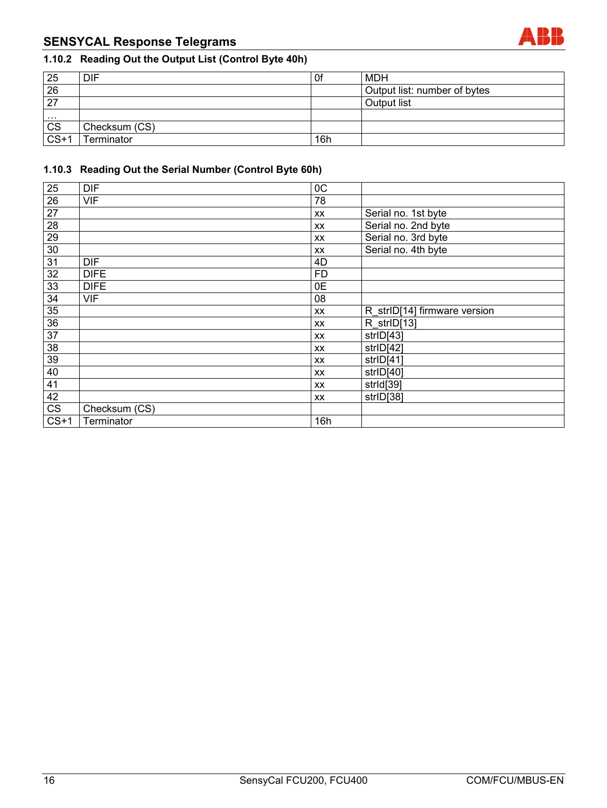# **SENSYCAL Response Telegrams**



# **1.10.2 Reading Out the Output List (Control Byte 40h)**

| 25                | DIF               | 0f  | <b>MDH</b>                   |
|-------------------|-------------------|-----|------------------------------|
| 26                |                   |     | Output list: number of bytes |
| 27                |                   |     | Output list                  |
| .                 |                   |     |                              |
| <b>CS</b>         | Checksum (CS)     |     |                              |
| $\overline{CS+1}$ | <b>Ferminator</b> | 16h |                              |

## **1.10.3 Reading Out the Serial Number (Control Byte 60h)**

| $\overline{25}$ | <b>DIF</b>    | OC        |                              |
|-----------------|---------------|-----------|------------------------------|
| $\overline{26}$ | <b>VIF</b>    | 78        |                              |
| 27              |               | XX        | Serial no. 1st byte          |
| $\overline{28}$ |               | XX        | Serial no. 2nd byte          |
| $\overline{29}$ |               | XX        | Serial no. 3rd byte          |
| $30\,$          |               | XX        | Serial no. 4th byte          |
| $\overline{31}$ | <b>DIF</b>    | 4D        |                              |
| $\overline{32}$ | <b>DIFE</b>   | <b>FD</b> |                              |
| 33              | <b>DIFE</b>   | 0E        |                              |
| 34              | <b>VIF</b>    | 08        |                              |
| $\overline{35}$ |               | XX        | R strID[14] firmware version |
| $\overline{36}$ |               | XX        | R strID[13]                  |
| $\overline{37}$ |               | XX        | strID[43]                    |
| $\overline{38}$ |               | XX        | strID[42]                    |
| 39              |               | XX        | strID[41]                    |
| 40              |               | XX        | strID[40]                    |
| 41              |               | XX        | strld[39]                    |
| 42              |               | XX        | strID[38]                    |
| <b>CS</b>       | Checksum (CS) |           |                              |
| $CS+1$          | Terminator    | 16h       |                              |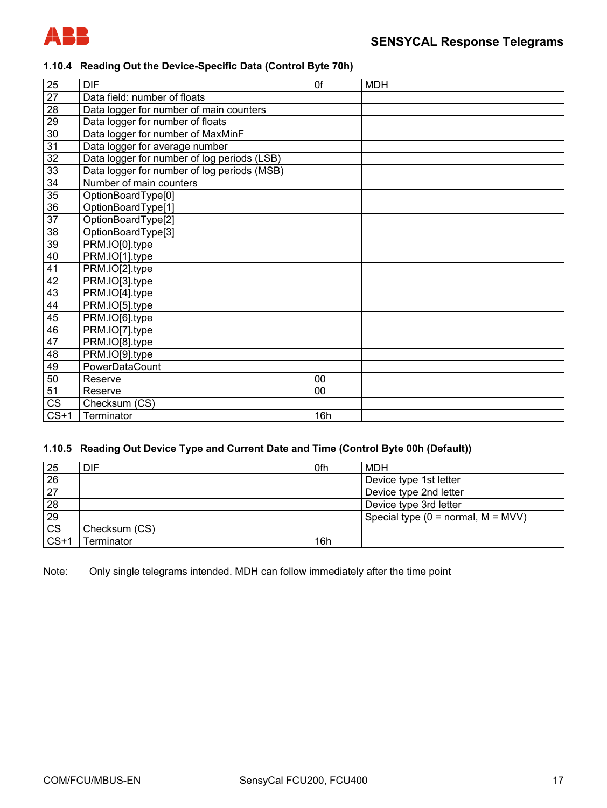

#### **1.10.4 Reading Out the Device-Specific Data (Control Byte 70h)**

| 25     | <b>DIF</b>                                  | 0f     | <b>MDH</b> |
|--------|---------------------------------------------|--------|------------|
| 27     | Data field: number of floats                |        |            |
| 28     | Data logger for number of main counters     |        |            |
| 29     | Data logger for number of floats            |        |            |
| 30     | Data logger for number of MaxMinF           |        |            |
| 31     | Data logger for average number              |        |            |
| 32     | Data logger for number of log periods (LSB) |        |            |
| 33     | Data logger for number of log periods (MSB) |        |            |
| 34     | Number of main counters                     |        |            |
| 35     | OptionBoardType[0]                          |        |            |
| 36     | OptionBoardType[1]                          |        |            |
| 37     | OptionBoardType[2]                          |        |            |
| 38     | OptionBoardType[3]                          |        |            |
| 39     | PRM.IO[0].type                              |        |            |
| 40     | PRM.IO[1].type                              |        |            |
| 41     | PRM.IO[2].type                              |        |            |
| 42     | PRM.IO[3].type                              |        |            |
| 43     | PRM.IO[4].type                              |        |            |
| 44     | PRM.IO[5].type                              |        |            |
| 45     | PRM.IO[6].type                              |        |            |
| 46     | PRM.IO[7].type                              |        |            |
| 47     | PRM.IO[8].type                              |        |            |
| 48     | PRM.IO[9].type                              |        |            |
| 49     | PowerDataCount                              |        |            |
| 50     | Reserve                                     | $00\,$ |            |
| 51     | Reserve                                     | 00     |            |
| CS     | Checksum (CS)                               |        |            |
| $CS+1$ | Terminator                                  | 16h    |            |

#### **1.10.5 Reading Out Device Type and Current Date and Time (Control Byte 00h (Default))**

| 25                     | DIF           | 0fh | MDH                                  |
|------------------------|---------------|-----|--------------------------------------|
| 26                     |               |     | Device type 1st letter               |
| $\overline{27}$        |               |     | Device type 2nd letter               |
| 28                     |               |     | Device type 3rd letter               |
| 29                     |               |     | Special type $(0 = normal, M = MVV)$ |
| $\overline{\text{CS}}$ | Checksum (CS) |     |                                      |
| $CS+1$                 | Terminator    | 16h |                                      |

Note: Only single telegrams intended. MDH can follow immediately after the time point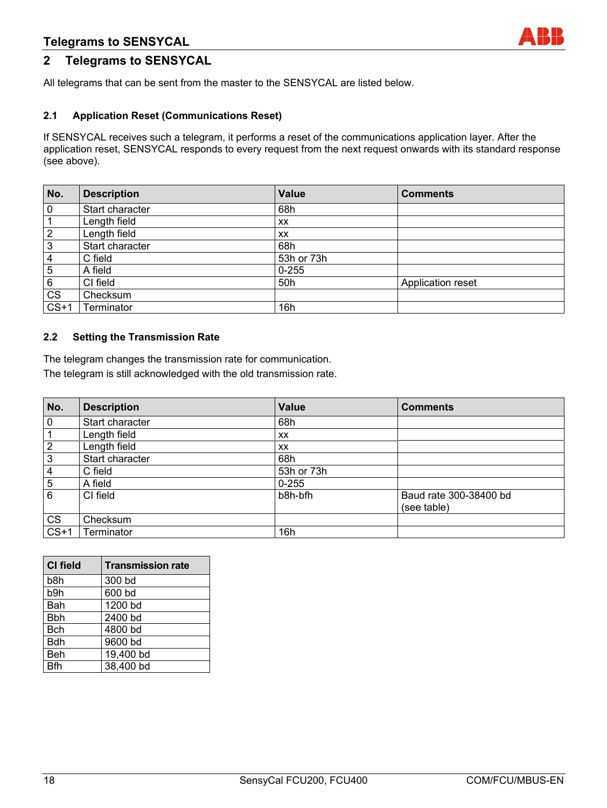## **Telegrams to SENSYCAL**

## **2 Telegrams to SENSYCAL**

All telegrams that can be sent from the master to the SENSYCAL are listed below.

#### **2.1 Application Reset (Communications Reset)**

If SENSYCAL receives such a telegram, it performs a reset of the communications application layer. After the application reset, SENSYCAL responds to every request from the next request onwards with its standard response (see above).

| No.                    | <b>Description</b> | Value      | <b>Comments</b>   |
|------------------------|--------------------|------------|-------------------|
| $\overline{0}$         | Start character    | 68h        |                   |
|                        | Length field       | <b>XX</b>  |                   |
| $\overline{2}$         | Length field       | <b>XX</b>  |                   |
| 3                      | Start character    | 68h        |                   |
| $\overline{4}$         | C field            | 53h or 73h |                   |
| $\overline{5}$         | A field            | $0 - 255$  |                   |
| 6                      | CI field           | 50h        | Application reset |
| $\overline{\text{CS}}$ | Checksum           |            |                   |
| $CS+1$                 | Terminator         | 16h        |                   |

#### **2.2 Setting the Transmission Rate**

The telegram changes the transmission rate for communication. The telegram is still acknowledged with the old transmission rate.

| No.                    | <b>Description</b> | Value      | <b>Comments</b>        |
|------------------------|--------------------|------------|------------------------|
| $\overline{0}$         | Start character    | 68h        |                        |
| $\mathbf{1}$           | Length field       | XX         |                        |
| $\overline{2}$         | Length field       | XX         |                        |
| $\overline{3}$         | Start character    | 68h        |                        |
| $\overline{4}$         | C field            | 53h or 73h |                        |
| $\overline{5}$         | A field            | $0 - 255$  |                        |
| 6                      | CI field           | b8h-bfh    | Baud rate 300-38400 bd |
|                        |                    |            | (see table)            |
| $\overline{\text{CS}}$ | Checksum           |            |                        |
| $CS+1$                 | <b>Terminator</b>  | 16h        |                        |

| <b>CI field</b> | <b>Transmission rate</b> |
|-----------------|--------------------------|
| b8h             | 300 bd                   |
| b9h             | 600 bd                   |
| Bah             | 1200 bd                  |
| <b>Bbh</b>      | 2400 bd                  |
| Bch             | 4800 bd                  |
| <b>Bdh</b>      | 9600 bd                  |
| <b>Beh</b>      | 19,400 bd                |
| Rfh             | 38,400 bd                |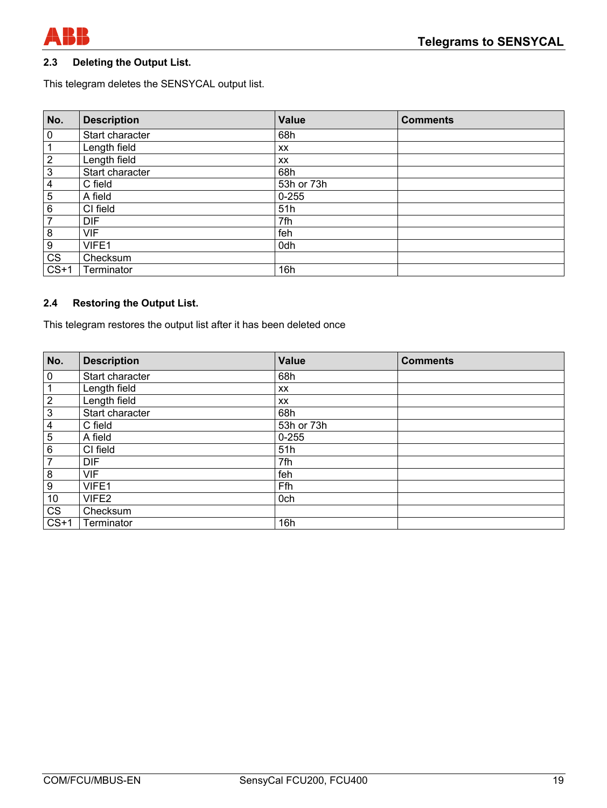

#### **2.3 Deleting the Output List.**

This telegram deletes the SENSYCAL output list.

| No.                    | <b>Description</b> | <b>Value</b> | <b>Comments</b> |
|------------------------|--------------------|--------------|-----------------|
| $\overline{0}$         | Start character    | 68h          |                 |
| $\mathbf{1}$           | Length field       | XX           |                 |
| $\overline{2}$         | Length field       | XX           |                 |
| $\overline{3}$         | Start character    | 68h          |                 |
| $\overline{4}$         | C field            | 53h or 73h   |                 |
| $\overline{5}$         | A field            | $0 - 255$    |                 |
| 6                      | CI field           | 51h          |                 |
| $\overline{7}$         | <b>DIF</b>         | 7fh          |                 |
| $\overline{8}$         | <b>VIF</b>         | feh          |                 |
| $\overline{9}$         | VIFE1              | 0dh          |                 |
| $\overline{\text{CS}}$ | Checksum           |              |                 |
| $CS+1$                 | Terminator         | 16h          |                 |

#### **2.4 Restoring the Output List.**

This telegram restores the output list after it has been deleted once

| No.                     | <b>Description</b> | <b>Value</b> | <b>Comments</b> |
|-------------------------|--------------------|--------------|-----------------|
| $\pmb{0}$               | Start character    | 68h          |                 |
|                         | Length field       | <b>XX</b>    |                 |
| $\mathbf 2$             | Length field       | XX           |                 |
| $\overline{3}$          | Start character    | 68h          |                 |
| $\overline{\mathbf{4}}$ | C field            | 53h or 73h   |                 |
| $\overline{5}$          | A field            | $0 - 255$    |                 |
| 6                       | CI field           | 51h          |                 |
| 7                       | <b>DIF</b>         | 7fh          |                 |
| 8                       | <b>VIF</b>         | feh          |                 |
| 9                       | VIFE1              | Ffh          |                 |
| 10                      | VIFE2              | 0ch          |                 |
| $\overline{\text{CS}}$  | Checksum           |              |                 |
| $CS+1$                  | Terminator         | 16h          |                 |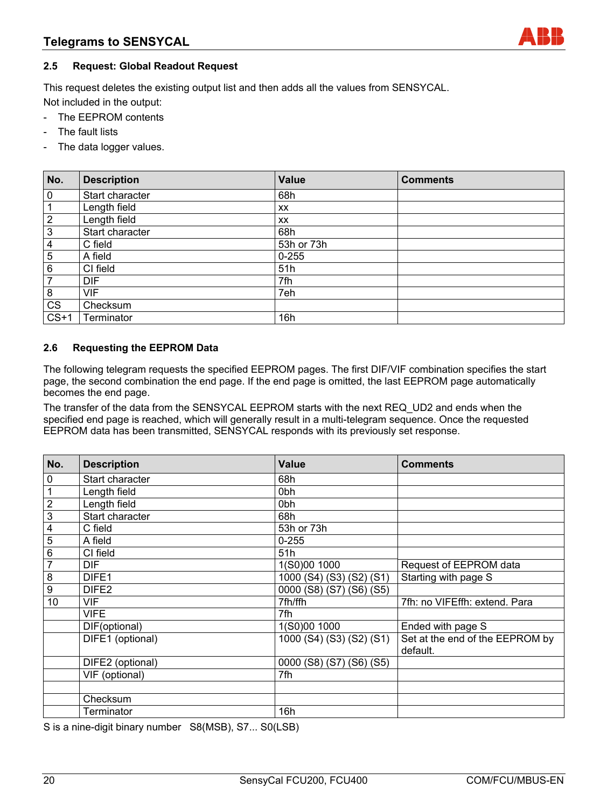#### **2.5 Request: Global Readout Request**

This request deletes the existing output list and then adds all the values from SENSYCAL. Not included in the output:

- The EEPROM contents
- The fault lists
- The data logger values.

| No.            | <b>Description</b> | <b>Value</b> | <b>Comments</b> |
|----------------|--------------------|--------------|-----------------|
| $\overline{0}$ | Start character    | 68h          |                 |
| 1              | Length field       | XX           |                 |
| $\overline{2}$ | Length field       | XX           |                 |
| $\overline{3}$ | Start character    | 68h          |                 |
| $\overline{4}$ | C field            | 53h or 73h   |                 |
| $\overline{5}$ | A field            | $0 - 255$    |                 |
| $\,6\,$        | CI field           | 51h          |                 |
| $\overline{7}$ | <b>DIF</b>         | 7fh          |                 |
| $\bf 8$        | <b>VIF</b>         | 7eh          |                 |
| CS             | Checksum           |              |                 |
| $CS+1$         | Terminator         | 16h          |                 |

#### **2.6 Requesting the EEPROM Data**

The following telegram requests the specified EEPROM pages. The first DIF/VIF combination specifies the start page, the second combination the end page. If the end page is omitted, the last EEPROM page automatically becomes the end page.

The transfer of the data from the SENSYCAL EEPROM starts with the next REQ\_UD2 and ends when the specified end page is reached, which will generally result in a multi-telegram sequence. Once the requested EEPROM data has been transmitted, SENSYCAL responds with its previously set response.

| No.                                                     | <b>Description</b> | <b>Value</b>             | <b>Comments</b>                             |
|---------------------------------------------------------|--------------------|--------------------------|---------------------------------------------|
| $\pmb{0}$                                               | Start character    | 68h                      |                                             |
|                                                         | Length field       | 0 <sub>bh</sub>          |                                             |
| $\frac{1}{2}$ $\frac{2}{3}$ $\frac{4}{5}$ $\frac{5}{6}$ | Length field       | 0 <sub>bh</sub>          |                                             |
|                                                         | Start character    | 68h                      |                                             |
|                                                         | C field            | 53h or 73h               |                                             |
|                                                         | A field            | $0 - 255$                |                                             |
|                                                         | CI field           | 51h                      |                                             |
| $\overline{7}$                                          | <b>DIF</b>         | 1(S0)00 1000             | Request of EEPROM data                      |
| $rac{8}{9}$                                             | DIFE1              | 1000 (S4) (S3) (S2) (S1) | Starting with page S                        |
|                                                         | DIFE <sub>2</sub>  | 0000 (S8) (S7) (S6) (S5) |                                             |
| 10                                                      | <b>VIF</b>         | 7fh/ffh                  | 7fh: no VIFEffh: extend. Para               |
|                                                         | <b>VIFE</b>        | 7fh                      |                                             |
|                                                         | DIF(optional)      | 1(S0)00 1000             | Ended with page S                           |
|                                                         | DIFE1 (optional)   | 1000 (S4) (S3) (S2) (S1) | Set at the end of the EEPROM by<br>default. |
|                                                         | DIFE2 (optional)   | 0000 (S8) (S7) (S6) (S5) |                                             |
|                                                         | VIF (optional)     | 7fh                      |                                             |
|                                                         |                    |                          |                                             |
|                                                         | Checksum           |                          |                                             |
|                                                         | Terminator         | 16h                      |                                             |

S is a nine-digit binary number S8(MSB), S7... S0(LSB)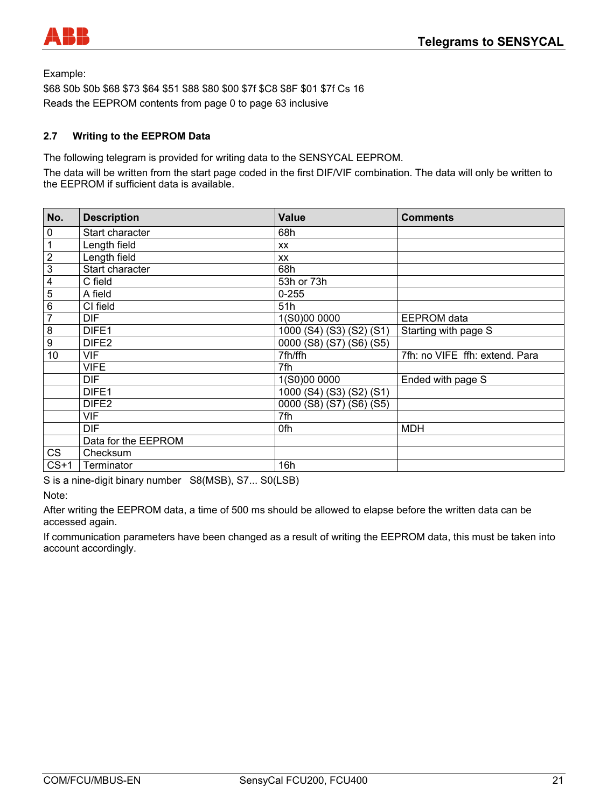

Example:

\$68 \$0b \$0b \$68 \$73 \$64 \$51 \$88 \$80 \$00 \$7f \$C8 \$8F \$01 \$7f Cs 16 Reads the EEPROM contents from page 0 to page 63 inclusive

#### **2.7 Writing to the EEPROM Data**

The following telegram is provided for writing data to the SENSYCAL EEPROM.

The data will be written from the start page coded in the first DIF/VIF combination. The data will only be written to the EEPROM if sufficient data is available.

| No.                     | <b>Description</b>  | <b>Value</b>                              | <b>Comments</b>      |
|-------------------------|---------------------|-------------------------------------------|----------------------|
| 0                       | Start character     | 68h                                       |                      |
| 1                       | Length field        | <b>XX</b>                                 |                      |
| $\overline{2}$          | Length field        | <b>XX</b>                                 |                      |
| $\overline{3}$          | Start character     | 68h                                       |                      |
| $\overline{\mathbf{4}}$ | C field             | 53h or 73h                                |                      |
| 5                       | A field             | $0 - 255$                                 |                      |
| 6                       | CI field            | 51h                                       |                      |
| $\overline{7}$          | <b>DIF</b>          | 1(S0)00 0000                              | <b>EEPROM</b> data   |
| 8                       | DIFE <sub>1</sub>   | 1000 (S4) (S3) (S2) (S1)                  | Starting with page S |
| $\boldsymbol{9}$        | DIFE <sub>2</sub>   | 0000 (S8) (S7) (S6) (S5)                  |                      |
| 10                      | <b>VIF</b>          | 7fh/ffh<br>7fh: no VIFE ffh: extend. Para |                      |
|                         | <b>VIFE</b>         | 7fh                                       |                      |
|                         | <b>DIF</b>          | 1(S0)00 0000                              | Ended with page S    |
|                         | DIFE1               | 1000 (S4) (S3) (S2) (S1)                  |                      |
|                         | DIFE <sub>2</sub>   | 0000 (S8) (S7) (S6) (S5)                  |                      |
|                         | <b>VIF</b>          | 7fh                                       |                      |
|                         | DIF.                | 0fh                                       | <b>MDH</b>           |
|                         | Data for the EEPROM |                                           |                      |
| <b>CS</b>               | Checksum            |                                           |                      |
| $CS+1$                  | Terminator          | 16h                                       |                      |

S is a nine-digit binary number S8(MSB), S7... S0(LSB)

Note:

After writing the EEPROM data, a time of 500 ms should be allowed to elapse before the written data can be accessed again.

If communication parameters have been changed as a result of writing the EEPROM data, this must be taken into account accordingly.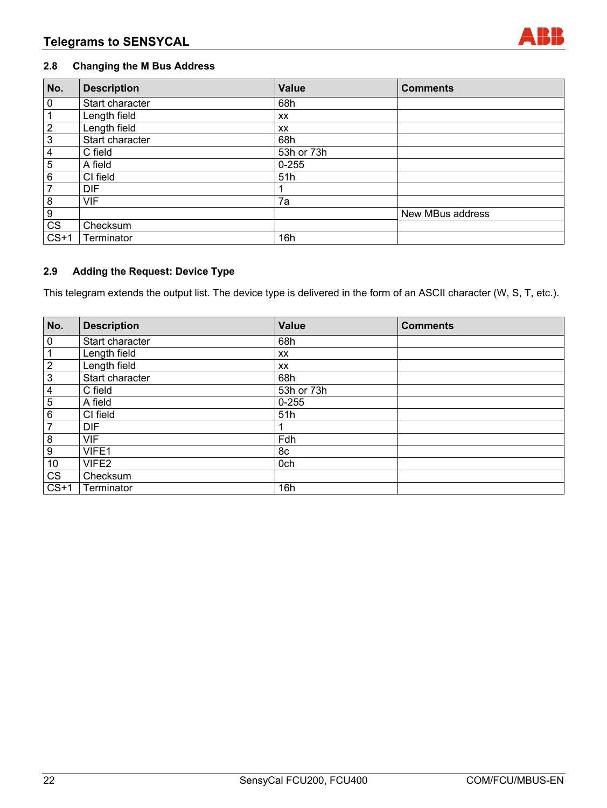#### **2.8 Changing the M Bus Address**

| No.              | <b>Description</b> | <b>Value</b> | <b>Comments</b>  |
|------------------|--------------------|--------------|------------------|
| $\pmb{0}$        | Start character    | 68h          |                  |
|                  | Length field       | XX           |                  |
| $\overline{2}$   | Length field       | XX           |                  |
| 3                | Start character    | 68h          |                  |
| 4                | C field            | 53h or 73h   |                  |
| 5                | A field            | $0 - 255$    |                  |
| 6                | CI field           | 51h          |                  |
| 7                | <b>DIF</b>         |              |                  |
| 8                | <b>VIF</b>         | 7a           |                  |
| $\boldsymbol{9}$ |                    |              | New MBus address |
| <b>CS</b>        | Checksum           |              |                  |
| $CS+1$           | Terminator         | 16h          |                  |

### **2.9 Adding the Request: Device Type**

This telegram extends the output list. The device type is delivered in the form of an ASCII character (W, S, T, etc.).

| No.                     | <b>Description</b> | <b>Value</b> | <b>Comments</b> |
|-------------------------|--------------------|--------------|-----------------|
| $\mathbf 0$             | Start character    | 68h          |                 |
| 1                       | Length field       | XX           |                 |
| $\overline{2}$          | Length field       | XX           |                 |
| $\overline{3}$          | Start character    | 68h          |                 |
| $\overline{\mathbf{4}}$ | C field            | 53h or 73h   |                 |
| $\overline{5}$          | A field            | $0 - 255$    |                 |
| $\overline{6}$          | CI field           | 51h          |                 |
| $\overline{7}$          | <b>DIF</b>         |              |                 |
| 8                       | <b>VIF</b>         | Fdh          |                 |
| 9                       | VIFE1              | 8c           |                 |
| 10                      | VIFE2              | 0ch          |                 |
| CS                      | Checksum           |              |                 |
| $CS+1$                  | Terminator         | 16h          |                 |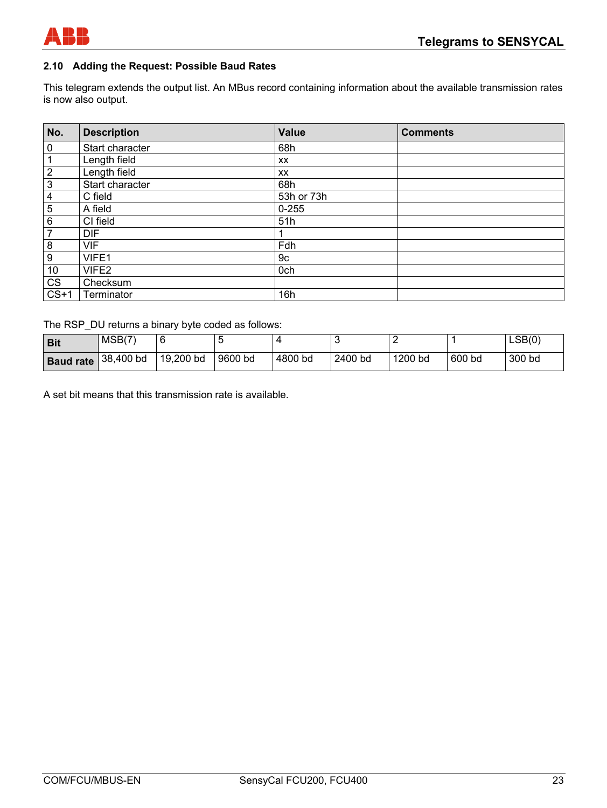

#### **2.10 Adding the Request: Possible Baud Rates**

This telegram extends the output list. An MBus record containing information about the available transmission rates is now also output.

| No.                    | <b>Description</b> | Value      | <b>Comments</b> |
|------------------------|--------------------|------------|-----------------|
| $\pmb{0}$              | Start character    | 68h        |                 |
| $\mathbf 1$            | Length field       | XX         |                 |
| $\overline{2}$         | Length field       | XX         |                 |
| $\overline{\omega}$    | Start character    | 68h        |                 |
| $\overline{4}$         | C field            | 53h or 73h |                 |
| 5                      | A field            | $0 - 255$  |                 |
| $\,6\,$                | CI field           | 51h        |                 |
| $\overline{7}$         | <b>DIF</b>         |            |                 |
| $\bf 8$                | <b>VIF</b>         | Fdh        |                 |
| $\boldsymbol{9}$       | VIFE1              | 9c         |                 |
| $10$                   | VIFE2              | 0ch        |                 |
| $\overline{\text{CS}}$ | Checksum           |            |                 |
| $CS+1$                 | Terminator         | 16h        |                 |

The RSP\_DU returns a binary byte coded as follows:

| Bit                          | MSB(7) |           |         |         |         |         |        | LSB(0) |
|------------------------------|--------|-----------|---------|---------|---------|---------|--------|--------|
| <b>Baud rate</b> $38,400$ bd |        | 19,200 bd | 9600 bd | 4800 bd | 2400 bd | 1200 bd | 600 bd | 300 bd |

A set bit means that this transmission rate is available.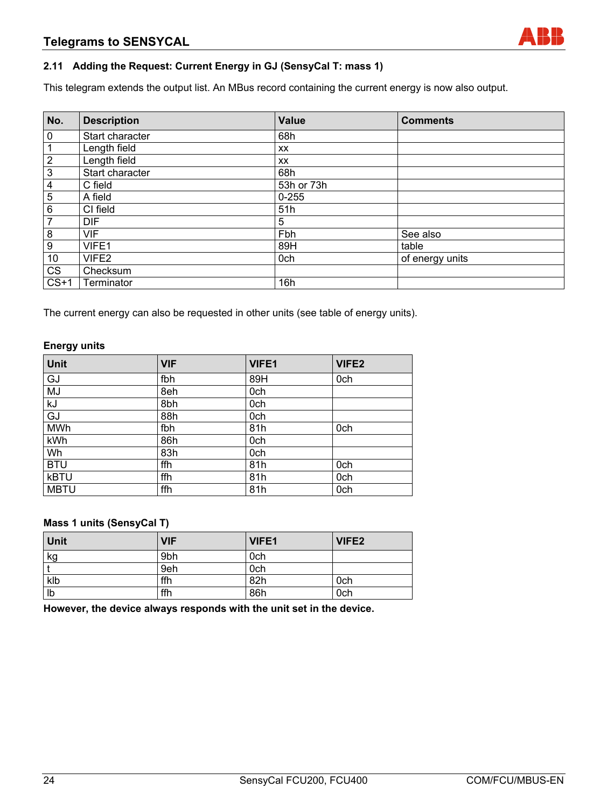#### **2.11 Adding the Request: Current Energy in GJ (SensyCal T: mass 1)**

This telegram extends the output list. An MBus record containing the current energy is now also output.

| No.                    | <b>Description</b> | <b>Value</b> | <b>Comments</b> |
|------------------------|--------------------|--------------|-----------------|
| $\mathbf 0$            | Start character    | 68h          |                 |
|                        | Length field       | XX           |                 |
| $\overline{2}$         | Length field       | XX           |                 |
| 3                      | Start character    | 68h          |                 |
| 4                      | C field            | 53h or 73h   |                 |
| $\overline{5}$         | A field            | $0 - 255$    |                 |
| 6                      | CI field           | 51h          |                 |
| $\overline{7}$         | <b>DIF</b>         | 5            |                 |
| 8                      | <b>VIF</b>         | Fbh          | See also        |
| 9                      | VIFE1              | 89H          | table           |
| 10                     | VIFE2              | 0ch          | of energy units |
| $\overline{\text{CS}}$ | Checksum           |              |                 |
| $CS+1$                 | Terminator         | 16h          |                 |

The current energy can also be requested in other units (see table of energy units).

#### **Energy units**

| Unit        | <b>VIF</b> | <b>VIFE1</b> | VIFE <sub>2</sub> |
|-------------|------------|--------------|-------------------|
| GJ          | fbh        | 89H          | 0ch               |
| MJ          | 8eh        | 0ch          |                   |
| kJ          | 8bh        | 0ch          |                   |
| GJ          | 88h        | 0ch          |                   |
| <b>MWh</b>  | fbh        | 81h          | 0ch               |
| kWh         | 86h        | 0ch          |                   |
| Wh          | 83h        | 0ch          |                   |
| <b>BTU</b>  | ffh        | 81h          | 0ch               |
| <b>kBTU</b> | ffh        | 81h          | 0ch               |
| <b>MBTU</b> | ffh        | 81h          | 0ch               |

#### **Mass 1 units (SensyCal T)**

| Unit | <b>VIF</b> | VIFE1 | VIFE2 |
|------|------------|-------|-------|
| kg   | 9bh        | 0ch   |       |
|      | 9eh        | 0ch   |       |
| klb  | ffh        | 82h   | 0ch   |
| Ib   | ffh        | 86h   | 0ch   |

**However, the device always responds with the unit set in the device.**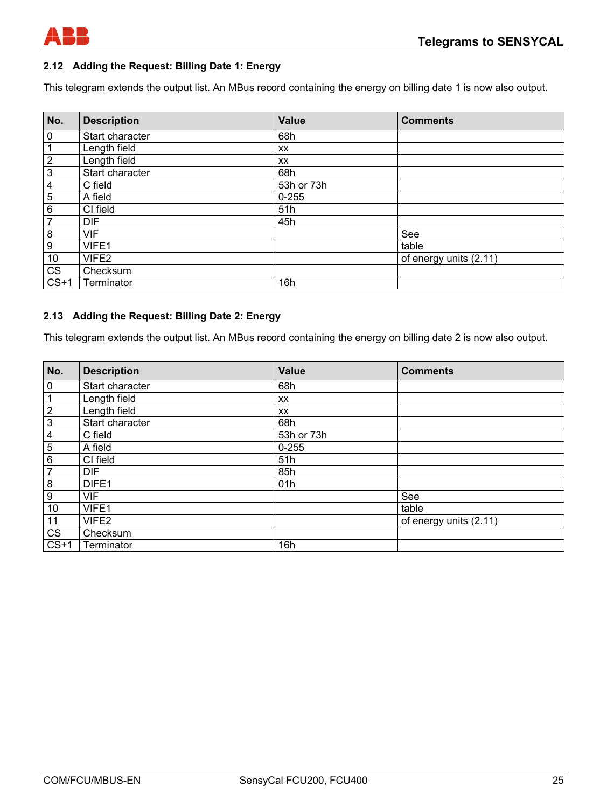

#### **2.12 Adding the Request: Billing Date 1: Energy**

This telegram extends the output list. An MBus record containing the energy on billing date 1 is now also output.

| No.                    | <b>Description</b> | <b>Value</b> | <b>Comments</b>        |
|------------------------|--------------------|--------------|------------------------|
| $\pmb{0}$              | Start character    | 68h          |                        |
| 1                      | Length field       | <b>XX</b>    |                        |
| $\overline{2}$         | Length field       | <b>XX</b>    |                        |
| 3                      | Start character    | 68h          |                        |
| 4                      | C field            | 53h or 73h   |                        |
| $\overline{5}$         | A field            | $0 - 255$    |                        |
| 6                      | CI field           | 51h          |                        |
| $\overline{7}$         | <b>DIF</b>         | 45h          |                        |
| 8                      | <b>VIF</b>         |              | See                    |
| 9                      | VIFE1              |              | table                  |
| 10                     | VIFE2              |              | of energy units (2.11) |
| $\overline{\text{CS}}$ | Checksum           |              |                        |
| $CS+1$                 | Terminator         | 16h          |                        |

#### **2.13 Adding the Request: Billing Date 2: Energy**

This telegram extends the output list. An MBus record containing the energy on billing date 2 is now also output.

| No.                     | <b>Description</b> | <b>Value</b> | <b>Comments</b>        |
|-------------------------|--------------------|--------------|------------------------|
| $\pmb{0}$               | Start character    | 68h          |                        |
| 1                       | Length field       | <b>XX</b>    |                        |
| $\overline{c}$          | Length field       | <b>XX</b>    |                        |
| $\mathfrak{S}$          | Start character    | 68h          |                        |
| $\overline{\mathbf{4}}$ | C field            | 53h or 73h   |                        |
| 5                       | A field            | $0 - 255$    |                        |
| 6                       | CI field           | 51h          |                        |
| $\overline{7}$          | <b>DIF</b>         | 85h          |                        |
| 8                       | DIFE1              | 01h          |                        |
| 9                       | <b>VIF</b>         |              | See                    |
| 10                      | VIFE1              |              | table                  |
| 11                      | VIFE2              |              | of energy units (2.11) |
| CS                      | Checksum           |              |                        |
| $CS+1$                  | Terminator         | 16h          |                        |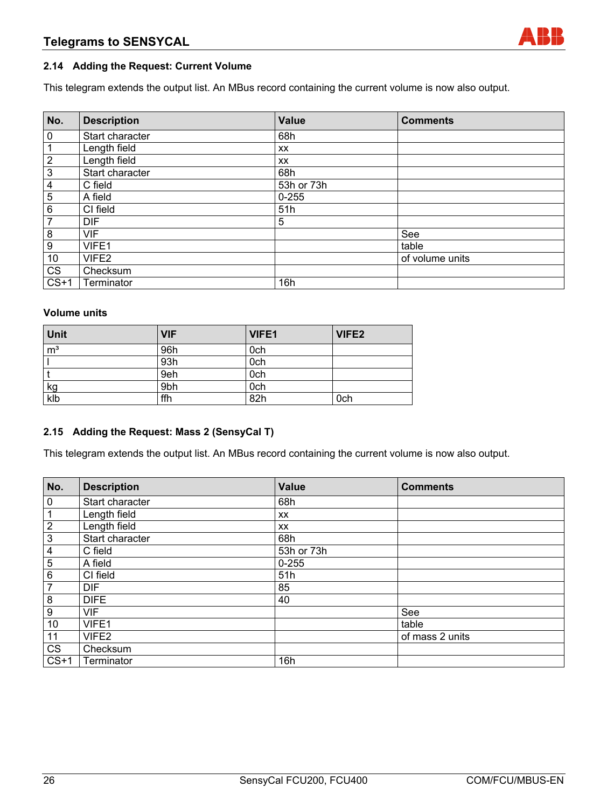#### **2.14 Adding the Request: Current Volume**

This telegram extends the output list. An MBus record containing the current volume is now also output.

| No.                     | <b>Description</b> | <b>Value</b> | <b>Comments</b> |
|-------------------------|--------------------|--------------|-----------------|
| $\overline{0}$          | Start character    | 68h          |                 |
| $\mathbf{1}$            | Length field       | <b>XX</b>    |                 |
| $\overline{2}$          | Length field       | XX           |                 |
| $\overline{\omega}$     | Start character    | 68h          |                 |
| $\overline{4}$          | C field            | 53h or 73h   |                 |
| $5\phantom{.0}$         | A field            | $0 - 255$    |                 |
| $\,6\,$                 | CI field           | 51h          |                 |
| $\overline{7}$          | <b>DIF</b>         | 5            |                 |
| $\overline{\mathbf{8}}$ | <b>VIF</b>         |              | See             |
| $\overline{9}$          | VIFE1              |              | table           |
| 10                      | VIFE2              |              | of volume units |
| $\overline{\text{CS}}$  | Checksum           |              |                 |
| $CS+1$                  | Terminator         | 16h          |                 |

#### **Volume units**

| Unit             | <b>VIF</b> | VIFE1 | VIFE2 |
|------------------|------------|-------|-------|
| $\overline{m}^3$ | 96h        | 0ch   |       |
|                  | 93h        | 0ch   |       |
|                  | 9eh        | 0ch   |       |
|                  | 9bh        | 0ch   |       |
| $\frac{kg}{klb}$ | ffh        | 82h   | 0ch   |

#### **2.15 Adding the Request: Mass 2 (SensyCal T)**

This telegram extends the output list. An MBus record containing the current volume is now also output.

| No.            | <b>Description</b> | <b>Value</b> | <b>Comments</b> |
|----------------|--------------------|--------------|-----------------|
| $\overline{0}$ | Start character    | 68h          |                 |
| $\mathbf 1$    | Length field       | XX           |                 |
| $\overline{2}$ | Length field       | XX           |                 |
| $\overline{3}$ | Start character    | 68h          |                 |
| $\overline{4}$ | C field            | 53h or 73h   |                 |
| $\overline{5}$ | A field            | $0 - 255$    |                 |
| $\overline{6}$ | CI field           | 51h          |                 |
| $\overline{7}$ | <b>DIF</b>         | 85           |                 |
| $\bf 8$        | <b>DIFE</b>        | 40           |                 |
| $\overline{9}$ | <b>VIF</b>         |              | See             |
| 10             | VIFE1              |              | table           |
| 11             | VIFE2              |              | of mass 2 units |
| <b>CS</b>      | Checksum           |              |                 |
| $CS+1$         | Terminator         | 16h          |                 |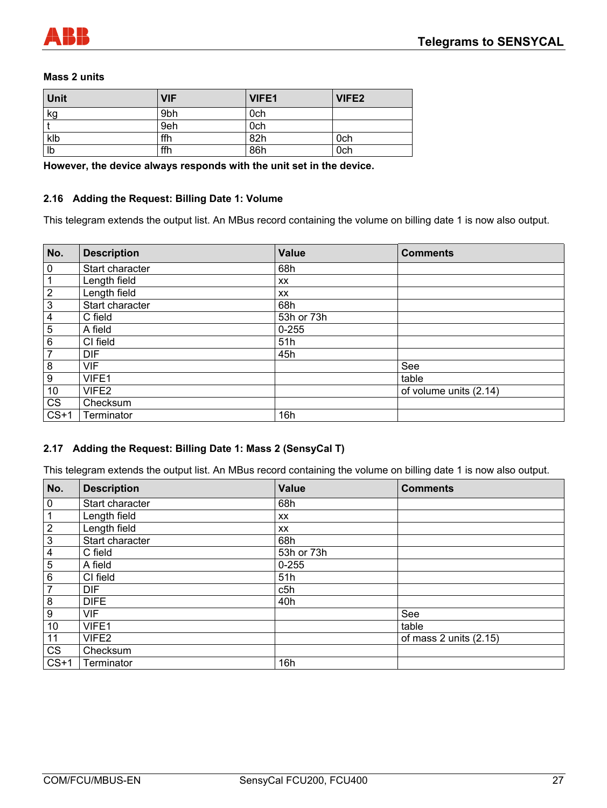

#### **Mass 2 units**

| <b>Unit</b> | <b>VIF</b> | VIFE1 | VIFE <sub>2</sub> |
|-------------|------------|-------|-------------------|
| kg          | 9bh        | 0ch   |                   |
|             | 9eh        | 0ch   |                   |
| klb         | ffh        | 82h   | 0ch               |
| Ib          | ffh        | 86h   | 0ch               |

**However, the device always responds with the unit set in the device.** 

#### **2.16 Adding the Request: Billing Date 1: Volume**

This telegram extends the output list. An MBus record containing the volume on billing date 1 is now also output.

| No.                    | <b>Description</b> | <b>Value</b> | <b>Comments</b>        |
|------------------------|--------------------|--------------|------------------------|
| $\mathbf 0$            | Start character    | 68h          |                        |
| 1                      | Length field       | <b>XX</b>    |                        |
| $\mathbf{2}$           | Length field       | <b>XX</b>    |                        |
| 3                      | Start character    | 68h          |                        |
| 4                      | C field            | 53h or 73h   |                        |
| 5                      | A field            | $0 - 255$    |                        |
| 6                      | CI field           | 51h          |                        |
| 7                      | <b>DIF</b>         | 45h          |                        |
| 8                      | <b>VIF</b>         |              | See                    |
| $\overline{9}$         | VIFE1              |              | table                  |
| 10                     | VIFE <sub>2</sub>  |              | of volume units (2.14) |
| $\overline{\text{CS}}$ | Checksum           |              |                        |
| $CS+1$                 | Terminator         | 16h          |                        |

#### **2.17 Adding the Request: Billing Date 1: Mass 2 (SensyCal T)**

This telegram extends the output list. An MBus record containing the volume on billing date 1 is now also output.

| No.                     | <b>Description</b> | <b>Value</b> | <b>Comments</b>        |
|-------------------------|--------------------|--------------|------------------------|
| $\pmb{0}$               | Start character    | 68h          |                        |
| 1                       | Length field       | <b>XX</b>    |                        |
| $\sqrt{2}$              | Length field       | XX           |                        |
| $\overline{3}$          | Start character    | 68h          |                        |
| $\overline{\mathbf{4}}$ | C field            | 53h or 73h   |                        |
| 5                       | A field            | $0 - 255$    |                        |
| $\overline{6}$          | CI field           | 51h          |                        |
| $\overline{7}$          | <b>DIF</b>         | c5h          |                        |
| 8                       | <b>DIFE</b>        | 40h          |                        |
| $\boldsymbol{9}$        | <b>VIF</b>         |              | See                    |
| 10                      | VIFE1              |              | table                  |
| 11                      | VIFE2              |              | of mass 2 units (2.15) |
| $\overline{\text{CS}}$  | Checksum           |              |                        |
| $CS+1$                  | Terminator         | 16h          |                        |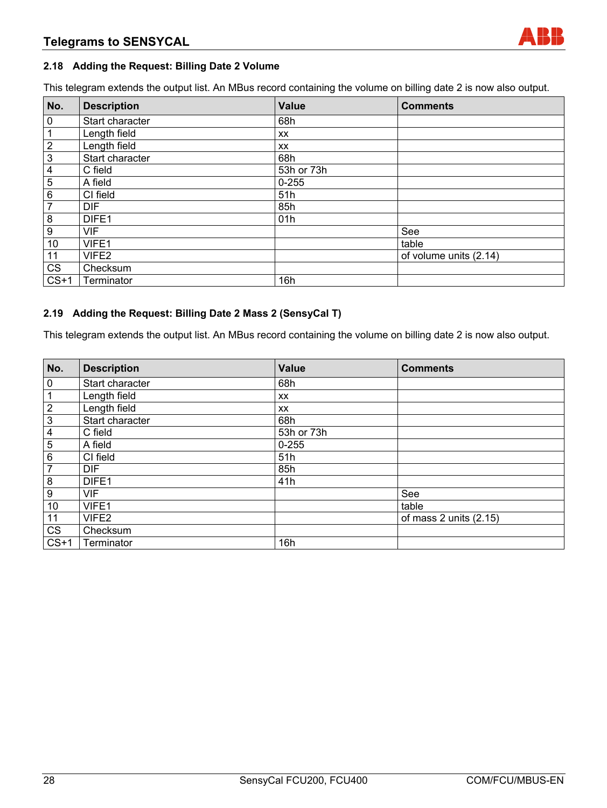#### **2.18 Adding the Request: Billing Date 2 Volume**

This telegram extends the output list. An MBus record containing the volume on billing date 2 is now also output.

| No.                    | <b>Description</b> | Value      | <b>Comments</b>        |
|------------------------|--------------------|------------|------------------------|
| $\overline{0}$         | Start character    | 68h        |                        |
| $\mathbf 1$            | Length field       | <b>XX</b>  |                        |
| $\overline{2}$         | Length field       | XX         |                        |
| $\overline{3}$         | Start character    | 68h        |                        |
| $\overline{4}$         | C field            | 53h or 73h |                        |
| $\overline{5}$         | A field            | $0 - 255$  |                        |
| $\,6\,$                | CI field           | 51h        |                        |
| $\overline{7}$         | <b>DIF</b>         | 85h        |                        |
| $\bf 8$                | DIFE1              | 01h        |                        |
| $\boldsymbol{9}$       | <b>VIF</b>         |            | See                    |
| 10                     | VIFE1              |            | table                  |
| 11                     | VIFE2              |            | of volume units (2.14) |
| $\overline{\text{CS}}$ | Checksum           |            |                        |
| $CS+1$                 | Terminator         | 16h        |                        |

#### **2.19 Adding the Request: Billing Date 2 Mass 2 (SensyCal T)**

This telegram extends the output list. An MBus record containing the volume on billing date 2 is now also output.

| No.                     | <b>Description</b> | <b>Value</b> | <b>Comments</b>        |
|-------------------------|--------------------|--------------|------------------------|
| 0                       | Start character    | 68h          |                        |
| 1                       | Length field       | <b>XX</b>    |                        |
| $\overline{2}$          | Length field       | <b>XX</b>    |                        |
| $\overline{3}$          | Start character    | 68h          |                        |
| $\overline{\mathbf{4}}$ | C field            | 53h or 73h   |                        |
| $\overline{5}$          | A field            | $0 - 255$    |                        |
| 6                       | CI field           | 51h          |                        |
| $\overline{7}$          | <b>DIF</b>         | 85h          |                        |
| 8                       | DIFE1              | 41h          |                        |
| 9                       | <b>VIF</b>         |              | See                    |
| 10                      | VIFE1              |              | table                  |
| 11                      | VIFE2              |              | of mass 2 units (2.15) |
| $\overline{\text{CS}}$  | Checksum           |              |                        |
| $CS+1$                  | Terminator         | 16h          |                        |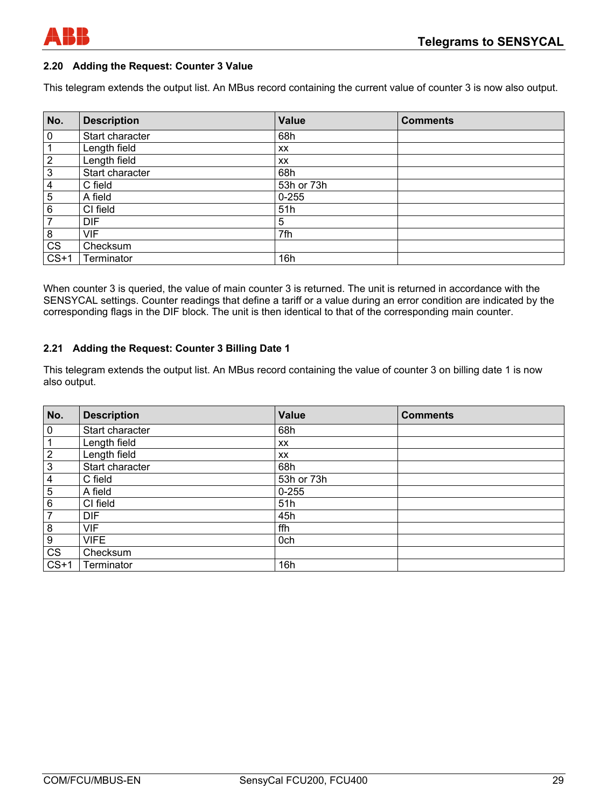

#### **2.20 Adding the Request: Counter 3 Value**

This telegram extends the output list. An MBus record containing the current value of counter 3 is now also output.

| No.                    | <b>Description</b> | <b>Value</b> | <b>Comments</b> |
|------------------------|--------------------|--------------|-----------------|
| $\mathbf 0$            | Start character    | 68h          |                 |
|                        | Length field       | XX.          |                 |
| $\overline{2}$         | Length field       | XX.          |                 |
| 3                      | Start character    | 68h          |                 |
| 4                      | C field            | 53h or 73h   |                 |
| 5                      | A field            | $0 - 255$    |                 |
| 6                      | CI field           | 51h          |                 |
| $\overline{7}$         | <b>DIF</b>         | 5            |                 |
| 8                      | <b>VIF</b>         | 7fh          |                 |
| $\overline{\text{CS}}$ | Checksum           |              |                 |
| $CS+1$                 | Terminator         | 16h          |                 |

When counter 3 is queried, the value of main counter 3 is returned. The unit is returned in accordance with the SENSYCAL settings. Counter readings that define a tariff or a value during an error condition are indicated by the corresponding flags in the DIF block. The unit is then identical to that of the corresponding main counter.

#### **2.21 Adding the Request: Counter 3 Billing Date 1**

This telegram extends the output list. An MBus record containing the value of counter 3 on billing date 1 is now also output.

| No.            | <b>Description</b> | <b>Value</b> | <b>Comments</b> |
|----------------|--------------------|--------------|-----------------|
| 0              | Start character    | 68h          |                 |
|                | Length field       | XX           |                 |
| $\mathbf{2}$   | Length field       | <b>XX</b>    |                 |
| 3              | Start character    | 68h          |                 |
| 4              | C field            | 53h or 73h   |                 |
| $\overline{5}$ | A field            | $0 - 255$    |                 |
| 6              | CI field           | 51h          |                 |
| 7              | <b>DIF</b>         | 45h          |                 |
| 8              | <b>VIF</b>         | ffh          |                 |
| 9              | <b>VIFE</b>        | 0ch          |                 |
| CS             | Checksum           |              |                 |
| $CS+1$         | Terminator         | 16h          |                 |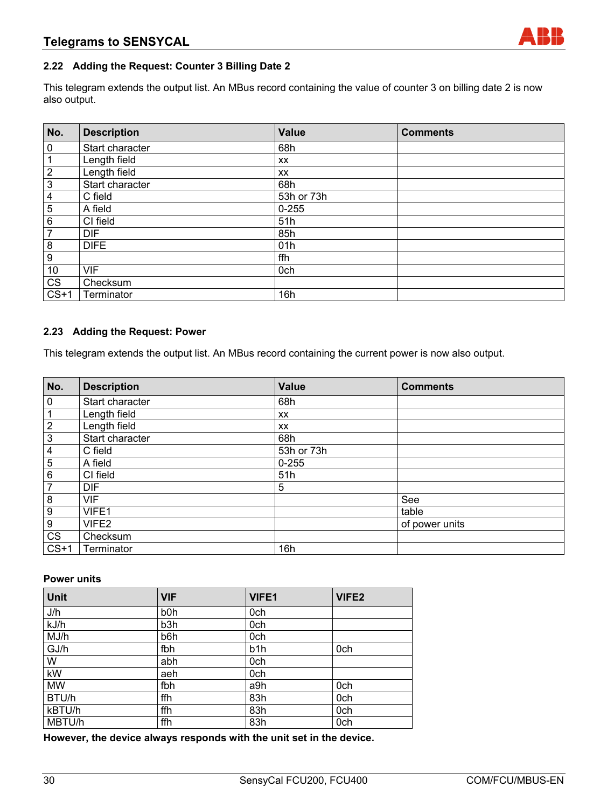#### **2.22 Adding the Request: Counter 3 Billing Date 2**

This telegram extends the output list. An MBus record containing the value of counter 3 on billing date 2 is now also output.

| No.                     | <b>Description</b> | Value      | <b>Comments</b> |
|-------------------------|--------------------|------------|-----------------|
| $\overline{0}$          | Start character    | 68h        |                 |
| $\mathbf 1$             | Length field       | XX         |                 |
| $\overline{2}$          | Length field       | XX         |                 |
| $\overline{3}$          | Start character    | 68h        |                 |
| $\overline{\mathbf{4}}$ | C field            | 53h or 73h |                 |
| 5                       | A field            | $0 - 255$  |                 |
| $\,6\,$                 | CI field           | 51h        |                 |
| $\overline{7}$          | <b>DIF</b>         | 85h        |                 |
| $\bf 8$                 | <b>DIFE</b>        | 01h        |                 |
| $\boldsymbol{9}$        |                    | ffh        |                 |
| 10                      | <b>VIF</b>         | 0ch        |                 |
| CS                      | Checksum           |            |                 |
| $CS+1$                  | Terminator         | 16h        |                 |

#### **2.23 Adding the Request: Power**

This telegram extends the output list. An MBus record containing the current power is now also output.

| No.                    | <b>Description</b> | <b>Value</b> | <b>Comments</b> |
|------------------------|--------------------|--------------|-----------------|
| $\overline{0}$         | Start character    | 68h          |                 |
| $\mathbf{1}$           | Length field       | XX           |                 |
| $\overline{2}$         | Length field       | XX           |                 |
| $\overline{\omega}$    | Start character    | 68h          |                 |
| $\overline{4}$         | C field            | 53h or 73h   |                 |
| $\overline{5}$         | A field            | $0 - 255$    |                 |
| $\,6\,$                | CI field           | 51h          |                 |
| $\overline{7}$         | <b>DIF</b>         | 5            |                 |
| $\infty$               | <b>VIF</b>         |              | See             |
| $\overline{9}$         | VIFE1              |              | table           |
| $9\,$                  | VIFE2              |              | of power units  |
| $\overline{\text{CS}}$ | Checksum           |              |                 |
| $CS+1$                 | Terminator         | 16h          |                 |

#### **Power units**

| Unit      | <b>VIF</b>       | <b>VIFE1</b>     | VIFE <sub>2</sub> |
|-----------|------------------|------------------|-------------------|
| J/h       | b <sub>0</sub> h | 0ch              |                   |
| kJ/h      | b3h              | 0ch              |                   |
| MJ/h      | b6h              | 0ch              |                   |
| GJ/h      | fbh              | b <sub>1</sub> h | 0ch               |
| W         | abh              | 0ch              |                   |
| kW        | aeh              | 0ch              |                   |
| <b>MW</b> | fbh              | a9h              | 0ch               |
| BTU/h     | ffh              | 83h              | 0ch               |
| kBTU/h    | ffh              | 83h              | 0ch               |
| MBTU/h    | ffh              | 83h              | 0ch               |

**However, the device always responds with the unit set in the device.**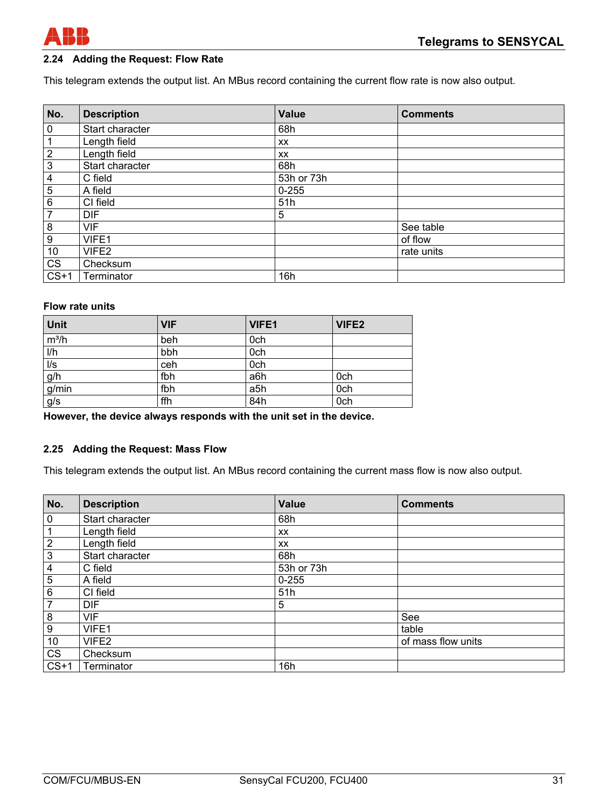

#### **2.24 Adding the Request: Flow Rate**

This telegram extends the output list. An MBus record containing the current flow rate is now also output.

| No.                     | <b>Description</b> | <b>Value</b> | <b>Comments</b> |
|-------------------------|--------------------|--------------|-----------------|
| $\mathbf 0$             | Start character    | 68h          |                 |
| 1                       | Length field       | XX           |                 |
| $\overline{c}$          | Length field       | XX           |                 |
| $\overline{3}$          | Start character    | 68h          |                 |
| $\overline{\mathbf{4}}$ | C field            | 53h or 73h   |                 |
| 5                       | A field            | $0 - 255$    |                 |
| $\overline{6}$          | CI field           | 51h          |                 |
| $\overline{7}$          | <b>DIF</b>         | 5            |                 |
| 8                       | <b>VIF</b>         |              | See table       |
| $\overline{9}$          | VIFE1              |              | of flow         |
| 10                      | VIFE2              |              | rate units      |
| $\overline{\text{CS}}$  | Checksum           |              |                 |
| $CS+1$                  | Terminator         | 16h          |                 |

#### **Flow rate units**

| Unit                       | <b>VIF</b> | VIFE1 | VIFE2 |
|----------------------------|------------|-------|-------|
| $m^3/h$                    | beh        | 0ch   |       |
| I/h                        | bbh        | 0ch   |       |
| $\overline{\mathsf{II}}$ s | ceh        | 0ch   |       |
|                            | fbh        | a6h   | 0ch   |
| $\frac{g/h}{g/min}$        | fbh        | a5h   | 0ch   |
| g/s                        | ffh        | 84h   | 0ch   |

**However, the device always responds with the unit set in the device.** 

#### **2.25 Adding the Request: Mass Flow**

This telegram extends the output list. An MBus record containing the current mass flow is now also output.

| No.                     | <b>Description</b> | <b>Value</b> | <b>Comments</b>    |
|-------------------------|--------------------|--------------|--------------------|
| $\overline{0}$          | Start character    | 68h          |                    |
| $\mathbf 1$             | Length field       | XX           |                    |
| $\overline{2}$          | Length field       | XX           |                    |
| $\overline{3}$          | Start character    | 68h          |                    |
| $\overline{4}$          | C field            | 53h or 73h   |                    |
| $\overline{5}$          | A field            | $0 - 255$    |                    |
| $6\phantom{1}6$         | CI field           | 51h          |                    |
| $\overline{7}$          | <b>DIF</b>         | 5            |                    |
| $\overline{\mathbf{8}}$ | <b>VIF</b>         |              | See                |
| $\overline{9}$          | VIFE1              |              | table              |
| 10                      | VIFE2              |              | of mass flow units |
| $\overline{\text{CS}}$  | Checksum           |              |                    |
| $CS+1$                  | Terminator         | 16h          |                    |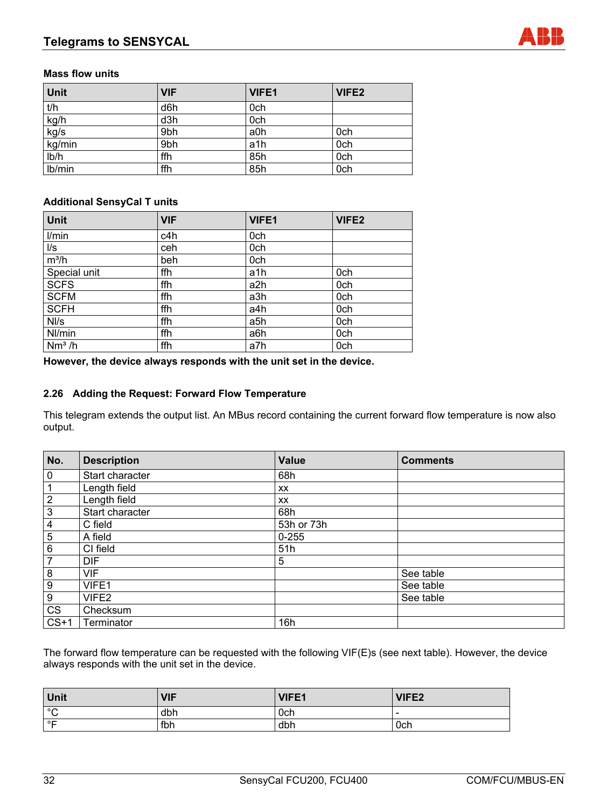#### **Mass flow units**

| Unit         | <b>VIF</b> | VIFE1 | VIFE <sub>2</sub> |
|--------------|------------|-------|-------------------|
| t/h          | d6h        | 0ch   |                   |
| kg/h<br>kg/s | d3h        | 0ch   |                   |
|              | 9bh        | a0h   | 0ch               |
| kg/min       | 9bh        | a1h   | 0ch               |
| Ib/h         | ffh        | 85h   | 0ch               |
| Ib/min       | ffh        | 85h   | 0ch               |

#### **Additional SensyCal T units**

| Unit               | <b>VIF</b> | <b>VIFE1</b> | VIFE2 |
|--------------------|------------|--------------|-------|
| I/min              | c4h        | 0ch          |       |
| l/s                | ceh        | 0ch          |       |
| $m^3/h$            | beh        | 0ch          |       |
| Special unit       | ffh        | a1h          | 0ch   |
| $SCF\overline{S}$  | ffh        | a2h          | 0ch   |
| <b>SCFM</b>        | ffh        | a3h          | 0ch   |
| <b>SCFH</b>        | ffh        | a4h          | 0ch   |
| Nl/s               | ffh        | a5h          | 0ch   |
| Nl/min             | ffh        | a6h          | 0ch   |
| Nm <sup>3</sup> /h | ffh        | a7h          | 0ch   |

**However, the device always responds with the unit set in the device.** 

#### **2.26 Adding the Request: Forward Flow Temperature**

This telegram extends the output list. An MBus record containing the current forward flow temperature is now also output.

| No.              | <b>Description</b> | <b>Value</b> | <b>Comments</b> |
|------------------|--------------------|--------------|-----------------|
| $\pmb{0}$        | Start character    | 68h          |                 |
| 1                | Length field       | XX           |                 |
| $\overline{2}$   | Length field       | <b>XX</b>    |                 |
| $\mathbf{3}$     | Start character    | 68h          |                 |
| 4                | C field            | 53h or 73h   |                 |
| 5                | A field            | $0 - 255$    |                 |
| 6                | CI field           | 51h          |                 |
| 7                | <b>DIF</b>         | 5            |                 |
| 8                | <b>VIF</b>         |              | See table       |
| $\boldsymbol{9}$ | VIFE1              |              | See table       |
| 9                | VIFE2              |              | See table       |
| <b>CS</b>        | Checksum           |              |                 |
| $CS+1$           | Terminator         | 16h          |                 |

The forward flow temperature can be requested with the following VIF(E)s (see next table). However, the device always responds with the unit set in the device.

| Unit              | <b>VIF</b> | <b>VIFE1</b> | VIFE2                    |
|-------------------|------------|--------------|--------------------------|
| $\circ$<br>ັ      | dbh        | 0ch          | $\overline{\phantom{a}}$ |
| $^{\circ}$ $\Box$ | fbh        | dbh          | 0ch                      |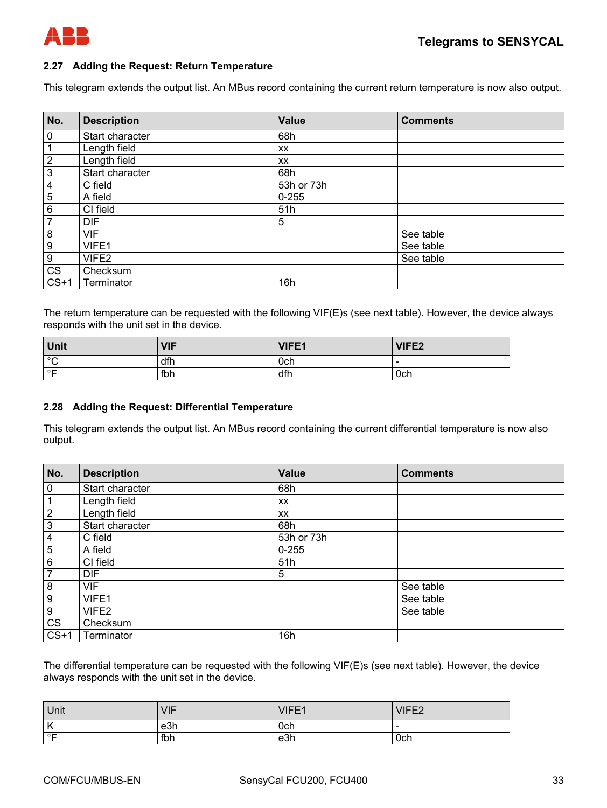

#### **2.27 Adding the Request: Return Temperature**

This telegram extends the output list. An MBus record containing the current return temperature is now also output.

| No.            | <b>Description</b> | <b>Value</b> | <b>Comments</b> |
|----------------|--------------------|--------------|-----------------|
| $\overline{0}$ | Start character    | 68h          |                 |
| 1              | Length field       | <b>XX</b>    |                 |
| $\mathbf{2}$   | Length field       | <b>XX</b>    |                 |
| $\overline{3}$ | Start character    | 68h          |                 |
| 4              | C field            | 53h or 73h   |                 |
| $\overline{5}$ | A field            | $0 - 255$    |                 |
| 6              | CI field           | 51h          |                 |
| $\overline{7}$ | <b>DIF</b>         | 5            |                 |
| 8              | <b>VIF</b>         |              | See table       |
| 9              | VIFE1              |              | See table       |
| 9              | VIFE2              |              | See table       |
| CS             | Checksum           |              |                 |
| $CS+1$         | Terminator         | 16h          |                 |

The return temperature can be requested with the following VIF(E)s (see next table). However, the device always responds with the unit set in the device.

| <b>Unit</b>  | VIF | VIFE1 | <b>VIFE2</b> |
|--------------|-----|-------|--------------|
| $\circ$<br>ັ | dfh | 0ch   |              |
| ∣°⊏          | fbh | dfh   | 0ch          |

#### **2.28 Adding the Request: Differential Temperature**

This telegram extends the output list. An MBus record containing the current differential temperature is now also output.

| No.              | <b>Description</b> | <b>Value</b> | <b>Comments</b> |
|------------------|--------------------|--------------|-----------------|
| $\mathbf 0$      | Start character    | 68h          |                 |
|                  | Length field       | <b>XX</b>    |                 |
| $\overline{2}$   | Length field       | <b>XX</b>    |                 |
| 3                | Start character    | 68h          |                 |
| 4                | C field            | 53h or 73h   |                 |
| 5                | A field            | $0 - 255$    |                 |
| 6                | CI field           | 51h          |                 |
| $\overline{7}$   | <b>DIF</b>         | 5            |                 |
| 8                | <b>VIF</b>         |              | See table       |
| 9                | VIFE1              |              | See table       |
| $\boldsymbol{9}$ | VIFE <sub>2</sub>  |              | See table       |
| <b>CS</b>        | Checksum           |              |                 |
| $CS+1$           | Terminator         | 16h          |                 |

The differential temperature can be requested with the following VIF(E)s (see next table). However, the device always responds with the unit set in the device.

| Unit | <b>VIF</b> | VIFE1 | VIFE2  |
|------|------------|-------|--------|
| ΙK   | e3h        | 0ch   | $\sim$ |
| ∣∘⊏  | fbh        | e3h   | 0ch    |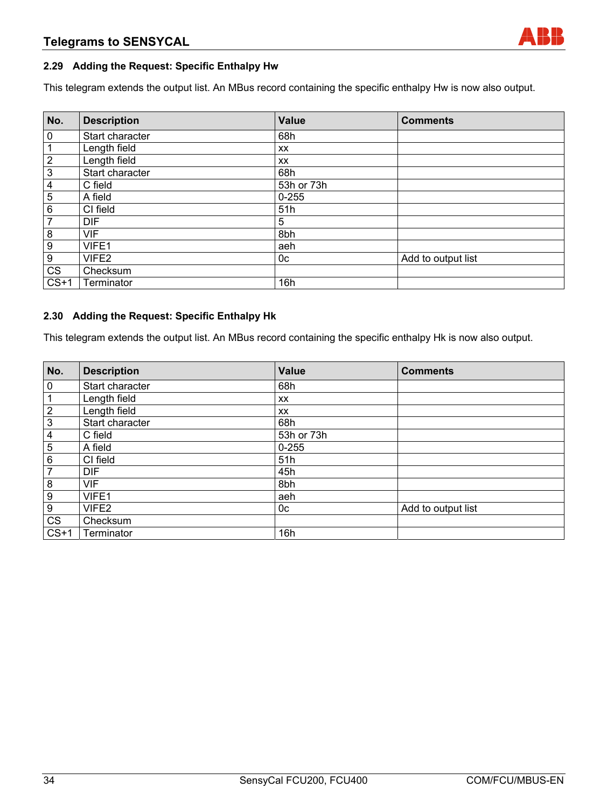#### **2.29 Adding the Request: Specific Enthalpy Hw**

This telegram extends the output list. An MBus record containing the specific enthalpy Hw is now also output.

| No.                     | <b>Description</b> | <b>Value</b> | <b>Comments</b>    |
|-------------------------|--------------------|--------------|--------------------|
| $\overline{0}$          | Start character    | 68h          |                    |
| $\mathbf{1}$            | Length field       | <b>XX</b>    |                    |
| $\overline{2}$          | Length field       | <b>XX</b>    |                    |
| $\overline{3}$          | Start character    | 68h          |                    |
| $\overline{\mathbf{4}}$ | C field            | 53h or 73h   |                    |
| $\overline{5}$          | A field            | $0 - 255$    |                    |
| $\,6\,$                 | CI field           | 51h          |                    |
| $\overline{7}$          | <b>DIF</b>         | 5            |                    |
| $\bf 8$                 | <b>VIF</b>         | 8bh          |                    |
| $\overline{9}$          | VIFE1              | aeh          |                    |
| $\overline{9}$          | VIFE2              | 0c           | Add to output list |
| $\overline{\text{CS}}$  | Checksum           |              |                    |
| $CS+1$                  | Terminator         | 16h          |                    |

#### **2.30 Adding the Request: Specific Enthalpy Hk**

This telegram extends the output list. An MBus record containing the specific enthalpy Hk is now also output.

| No.                     | <b>Description</b> | <b>Value</b>   | <b>Comments</b>    |
|-------------------------|--------------------|----------------|--------------------|
| $\overline{0}$          | Start character    | 68h            |                    |
| $\mathbf 1$             | Length field       | <b>XX</b>      |                    |
| $\overline{2}$          | Length field       | XX             |                    |
| $\overline{3}$          | Start character    | 68h            |                    |
| $\overline{\mathbf{4}}$ | C field            | 53h or 73h     |                    |
| $\overline{5}$          | A field            | $0 - 255$      |                    |
| 6                       | CI field           | 51h            |                    |
| $\overline{7}$          | <b>DIF</b>         | 45h            |                    |
| $\boldsymbol{8}$        | <b>VIF</b>         | 8bh            |                    |
| $\boldsymbol{9}$        | VIFE1              | aeh            |                    |
| $9\,$                   | VIFE <sub>2</sub>  | 0 <sub>c</sub> | Add to output list |
| CS                      | Checksum           |                |                    |
| $CS+1$                  | Terminator         | 16h            |                    |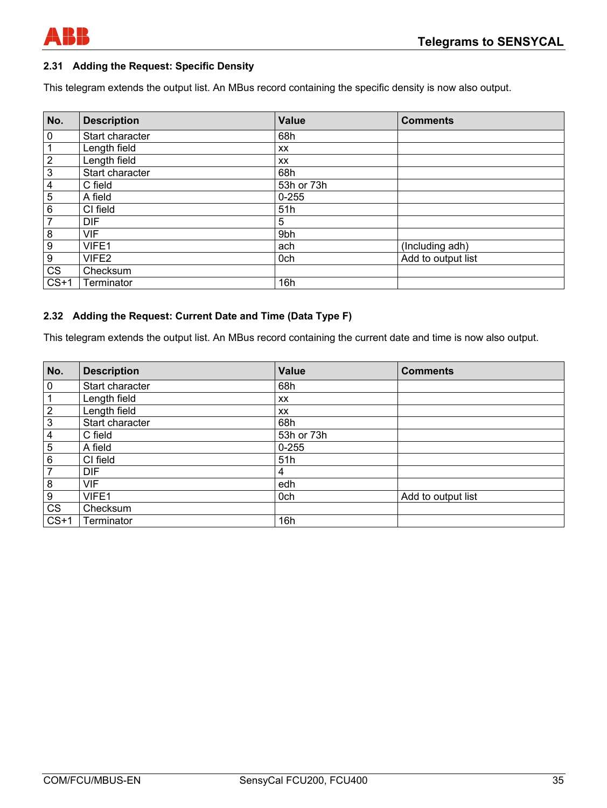

#### **2.31 Adding the Request: Specific Density**

This telegram extends the output list. An MBus record containing the specific density is now also output.

| No.                    | <b>Description</b> | <b>Value</b> | <b>Comments</b>    |
|------------------------|--------------------|--------------|--------------------|
| $\mathbf 0$            | Start character    | 68h          |                    |
| 1                      | Length field       | XX           |                    |
| $\overline{2}$         | Length field       | XX           |                    |
| 3                      | Start character    | 68h          |                    |
| 4                      | C field            | 53h or 73h   |                    |
| 5                      | A field            | $0 - 255$    |                    |
| 6                      | CI field           | 51h          |                    |
| $\overline{7}$         | <b>DIF</b>         | 5            |                    |
| 8                      | <b>VIF</b>         | 9bh          |                    |
| $\overline{9}$         | VIFE1              | ach          | (Including adh)    |
| 9                      | VIFE2              | 0ch          | Add to output list |
| $\overline{\text{CS}}$ | Checksum           |              |                    |
| $CS+1$                 | Terminator         | 16h          |                    |

#### **2.32 Adding the Request: Current Date and Time (Data Type F)**

This telegram extends the output list. An MBus record containing the current date and time is now also output.

| No.            | <b>Description</b> | <b>Value</b> | <b>Comments</b>    |
|----------------|--------------------|--------------|--------------------|
| 0              | Start character    | 68h          |                    |
|                | Length field       | XX           |                    |
| $\overline{2}$ | Length field       | <b>XX</b>    |                    |
| $\mathfrak{S}$ | Start character    | 68h          |                    |
| 4              | C field            | 53h or 73h   |                    |
| 5              | A field            | $0 - 255$    |                    |
| 6              | CI field           | 51h          |                    |
| 7              | <b>DIF</b>         | 4            |                    |
| 8              | VIF                | edh          |                    |
| 9              | VIFE1              | 0ch          | Add to output list |
| CS             | Checksum           |              |                    |
| $CS+1$         | Terminator         | 16h          |                    |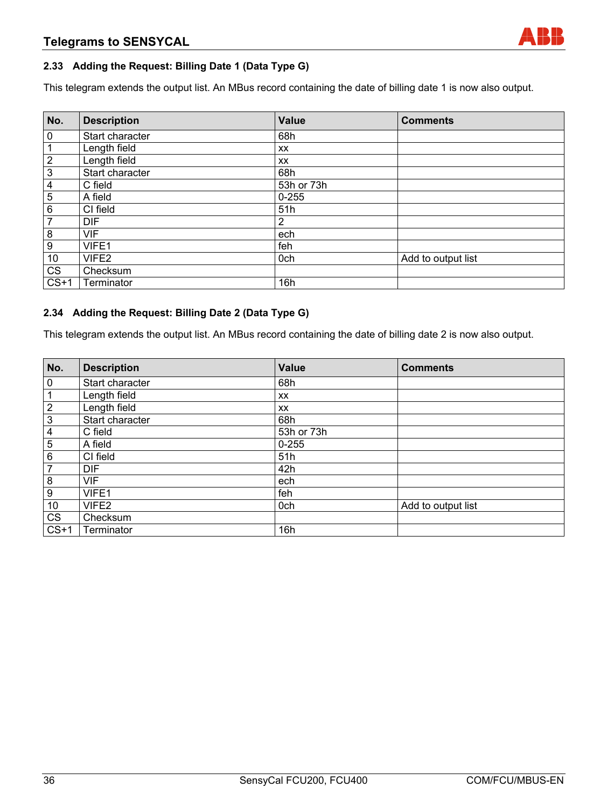#### **2.33 Adding the Request: Billing Date 1 (Data Type G)**

This telegram extends the output list. An MBus record containing the date of billing date 1 is now also output.

| No.                     | <b>Description</b> | <b>Value</b> | <b>Comments</b>    |
|-------------------------|--------------------|--------------|--------------------|
| $\overline{0}$          | Start character    | 68h          |                    |
| $\mathbf{1}$            | Length field       | <b>XX</b>    |                    |
| $\overline{2}$          | Length field       | XX           |                    |
| $\overline{3}$          | Start character    | 68h          |                    |
| $\overline{\mathbf{4}}$ | C field            | 53h or 73h   |                    |
| $\overline{5}$          | A field            | $0 - 255$    |                    |
| $\overline{6}$          | CI field           | 51h          |                    |
| $\overline{7}$          | <b>DIF</b>         | 2            |                    |
| $\bf 8$                 | <b>VIF</b>         | ech          |                    |
| $\overline{9}$          | VIFE1              | feh          |                    |
| 10                      | VIFE2              | 0ch          | Add to output list |
| CS                      | Checksum           |              |                    |
| $CS+1$                  | Terminator         | 16h          |                    |

#### **2.34 Adding the Request: Billing Date 2 (Data Type G)**

This telegram extends the output list. An MBus record containing the date of billing date 2 is now also output.

| No.                     | <b>Description</b> | Value      | <b>Comments</b>    |
|-------------------------|--------------------|------------|--------------------|
| $\bf 0$                 | Start character    | 68h        |                    |
| $\mathbf{1}$            | Length field       | XX         |                    |
| $\overline{2}$          | Length field       | XX         |                    |
| $\overline{3}$          | Start character    | 68h        |                    |
| $\overline{\mathbf{4}}$ | C field            | 53h or 73h |                    |
| $\overline{5}$          | A field            | $0 - 255$  |                    |
| $\,6\,$                 | CI field           | 51h        |                    |
| $\overline{7}$          | <b>DIF</b>         | 42h        |                    |
| $\frac{8}{ }$           | <b>VIF</b>         | ech        |                    |
| $\overline{9}$          | VIFE1              | feh        |                    |
| 10                      | VIFE2              | 0ch        | Add to output list |
| CS                      | Checksum           |            |                    |
| $CS+1$                  | Terminator         | 16h        |                    |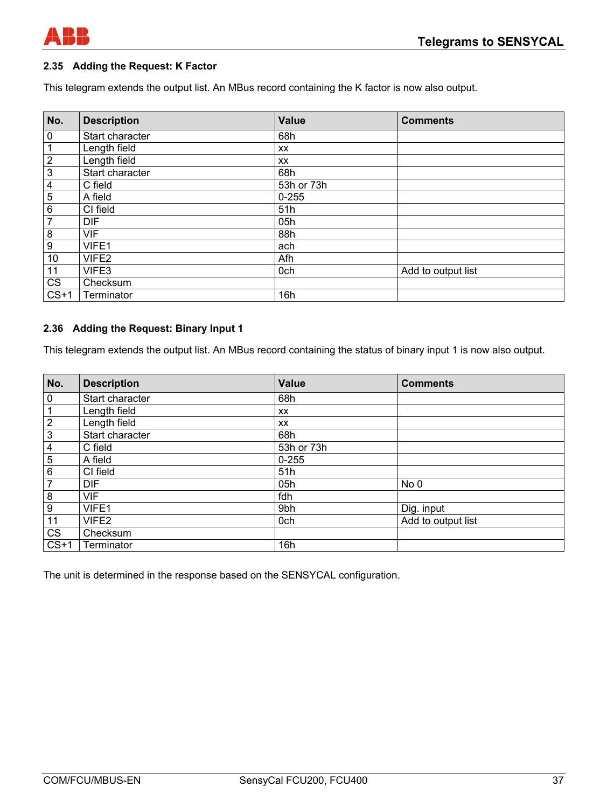

## **2.35 Adding the Request: K Factor**

This telegram extends the output list. An MBus record containing the K factor is now also output.

| No.                     | <b>Description</b> | <b>Value</b> | <b>Comments</b>    |
|-------------------------|--------------------|--------------|--------------------|
| $\pmb{0}$               | Start character    | 68h          |                    |
| 1                       | Length field       | <b>XX</b>    |                    |
| $\overline{2}$          | Length field       | <b>XX</b>    |                    |
| $\overline{3}$          | Start character    | 68h          |                    |
| $\overline{\mathbf{4}}$ | C field            | 53h or 73h   |                    |
| $\overline{5}$          | A field            | $0 - 255$    |                    |
| $\overline{6}$          | CI field           | 51h          |                    |
| $\overline{7}$          | <b>DIF</b>         | 05h          |                    |
| 8                       | <b>VIF</b>         | 88h          |                    |
| $\overline{9}$          | VIFE1              | ach          |                    |
| 10                      | VIFE <sub>2</sub>  | Afh          |                    |
| 11                      | VIFE3              | 0ch          | Add to output list |
| $\overline{\text{CS}}$  | Checksum           |              |                    |
| $CS+1$                  | Terminator         | 16h          |                    |

## **2.36 Adding the Request: Binary Input 1**

This telegram extends the output list. An MBus record containing the status of binary input 1 is now also output.

| No.                     | <b>Description</b> | <b>Value</b> | <b>Comments</b>    |
|-------------------------|--------------------|--------------|--------------------|
| $\overline{0}$          | Start character    | 68h          |                    |
| $\mathbf{1}$            | Length field       | XX           |                    |
| $\frac{2}{3}$           | Length field       | <b>XX</b>    |                    |
|                         | Start character    | 68h          |                    |
| $\overline{\mathbf{4}}$ | C field            | 53h or 73h   |                    |
| $\overline{5}$          | A field            | $0 - 255$    |                    |
| 6                       | CI field           | 51h          |                    |
| $\overline{7}$          | <b>DIF</b>         | 05h          | No 0               |
| $\bf 8$                 | <b>VIF</b>         | fdh          |                    |
| $\boldsymbol{9}$        | VIFE1              | 9bh          | Dig. input         |
| 11                      | VIFE2              | 0ch          | Add to output list |
| CS                      | Checksum           |              |                    |
| $CS+1$                  | Terminator         | 16h          |                    |

The unit is determined in the response based on the SENSYCAL configuration.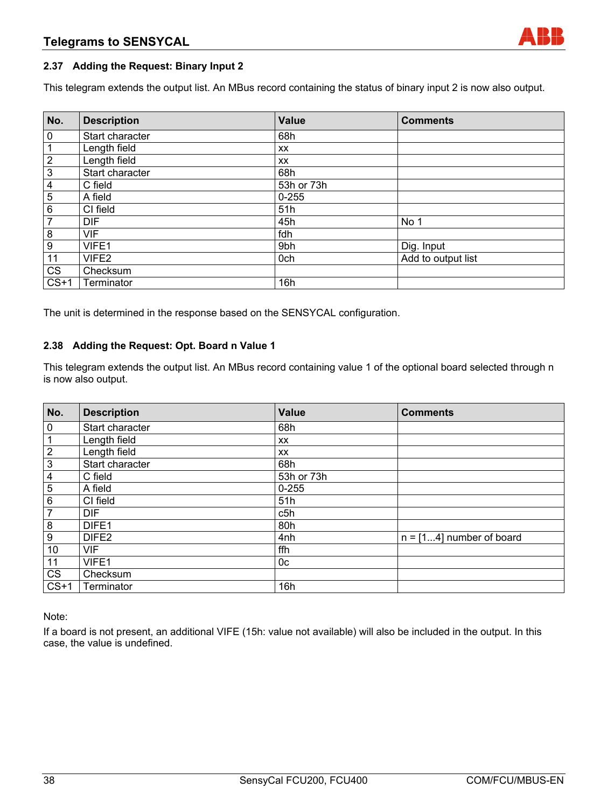## **2.37 Adding the Request: Binary Input 2**

This telegram extends the output list. An MBus record containing the status of binary input 2 is now also output.

| No.                     | <b>Description</b> | <b>Value</b> | <b>Comments</b>    |
|-------------------------|--------------------|--------------|--------------------|
| $\pmb{0}$               | Start character    | 68h          |                    |
| 1                       | Length field       | <b>XX</b>    |                    |
| $\overline{2}$          | Length field       | <b>XX</b>    |                    |
| 3                       | Start character    | 68h          |                    |
| $\overline{\mathbf{4}}$ | C field            | 53h or 73h   |                    |
| $\overline{5}$          | A field            | $0 - 255$    |                    |
| 6                       | CI field           | 51h          |                    |
| $\overline{7}$          | <b>DIF</b>         | 45h          | No 1               |
| 8                       | <b>VIF</b>         | fdh          |                    |
| 9                       | VIFE1              | 9bh          | Dig. Input         |
| 11                      | VIFE2              | 0ch          | Add to output list |
| CS                      | Checksum           |              |                    |
| $CS+1$                  | Terminator         | 16h          |                    |

The unit is determined in the response based on the SENSYCAL configuration.

## **2.38 Adding the Request: Opt. Board n Value 1**

This telegram extends the output list. An MBus record containing value 1 of the optional board selected through n is now also output.

| No.                     | <b>Description</b> | Value      | <b>Comments</b>            |
|-------------------------|--------------------|------------|----------------------------|
| 0                       | Start character    | 68h        |                            |
| $\mathbf{1}$            | Length field       | <b>XX</b>  |                            |
| $\overline{2}$          | Length field       | <b>XX</b>  |                            |
| $\overline{3}$          | Start character    | 68h        |                            |
| $\overline{\mathbf{4}}$ | C field            | 53h or 73h |                            |
| $\overline{5}$          | A field            | $0 - 255$  |                            |
| 6                       | CI field           | 51h        |                            |
| $\overline{7}$          | <b>DIF</b>         | c5h        |                            |
| 8                       | DIFE1              | 80h        |                            |
| 9                       | DIFE <sub>2</sub>  | 4nh        | $n = [14]$ number of board |
| 10                      | <b>VIF</b>         | ffh        |                            |
| 11                      | VIFE1              | 0c         |                            |
| <b>CS</b>               | Checksum           |            |                            |
| $CS+1$                  | Terminator         | 16h        |                            |

Note:

If a board is not present, an additional VIFE (15h: value not available) will also be included in the output. In this case, the value is undefined.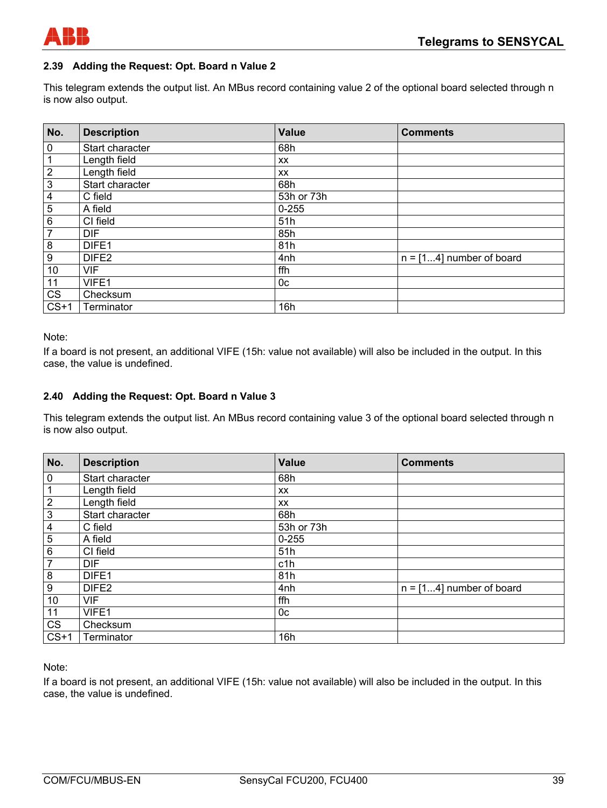

## **2.39 Adding the Request: Opt. Board n Value 2**

This telegram extends the output list. An MBus record containing value 2 of the optional board selected through n is now also output.

| No.            | <b>Description</b> | Value      | <b>Comments</b>            |
|----------------|--------------------|------------|----------------------------|
| $\pmb{0}$      | Start character    | 68h        |                            |
| 1              | Length field       | <b>XX</b>  |                            |
| $\sqrt{2}$     | Length field       | XX         |                            |
| $\mathbf 3$    | Start character    | 68h        |                            |
| 4              | C field            | 53h or 73h |                            |
| 5              | A field            | $0 - 255$  |                            |
| $\,6\,$        | CI field           | 51h        |                            |
| $\overline{7}$ | <b>DIF</b>         | 85h        |                            |
| 8              | DIFE1              | 81h        |                            |
| 9              | DIFE <sub>2</sub>  | 4nh        | $n = [14]$ number of board |
| 10             | <b>VIF</b>         | ffh        |                            |
| 11             | VIFE1              | 0c         |                            |
| CS             | Checksum           |            |                            |
| $CS+1$         | Terminator         | 16h        |                            |

Note:

If a board is not present, an additional VIFE (15h: value not available) will also be included in the output. In this case, the value is undefined.

## **2.40 Adding the Request: Opt. Board n Value 3**

This telegram extends the output list. An MBus record containing value 3 of the optional board selected through n is now also output.

| No.              | <b>Description</b> | Value          | <b>Comments</b>            |
|------------------|--------------------|----------------|----------------------------|
| $\pmb{0}$        | Start character    | 68h            |                            |
| 1                | Length field       | XX             |                            |
| $\sqrt{2}$       | Length field       | XX             |                            |
| $\mathbf 3$      | Start character    | 68h            |                            |
| 4                | C field            | 53h or 73h     |                            |
| 5                | A field            | $0 - 255$      |                            |
| $\,6$            | CI field           | 51h            |                            |
| $\overline{7}$   | <b>DIF</b>         | c1h            |                            |
| 8                | DIFE1              | 81h            |                            |
| $\boldsymbol{9}$ | DIFE <sub>2</sub>  | 4nh            | $n = [14]$ number of board |
| 10               | <b>VIF</b>         | ffh            |                            |
| 11               | VIFE1              | 0 <sub>c</sub> |                            |
| <b>CS</b>        | Checksum           |                |                            |
| $CS+1$           | Terminator         | 16h            |                            |

Note:

If a board is not present, an additional VIFE (15h: value not available) will also be included in the output. In this case, the value is undefined.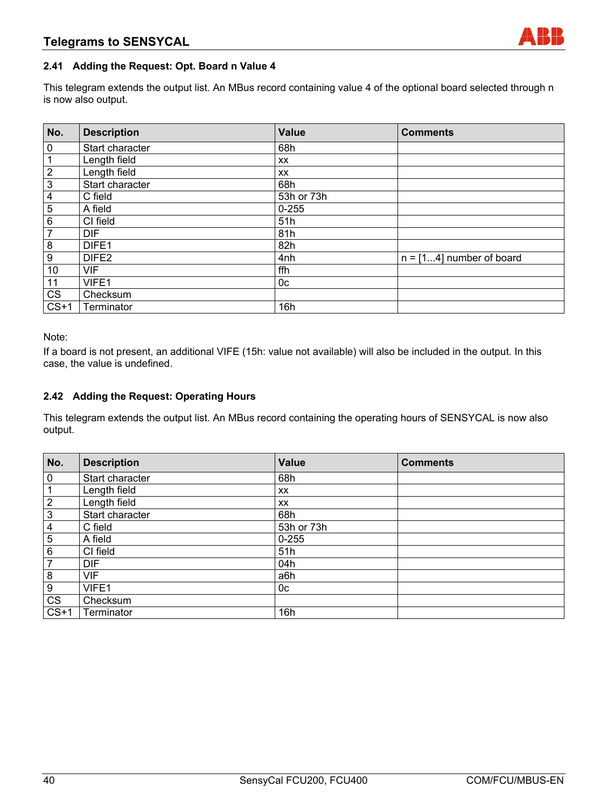## **2.41 Adding the Request: Opt. Board n Value 4**

This telegram extends the output list. An MBus record containing value 4 of the optional board selected through n is now also output.

| No.                     | <b>Description</b> | <b>Value</b> | <b>Comments</b>            |
|-------------------------|--------------------|--------------|----------------------------|
| $\pmb{0}$               | Start character    | 68h          |                            |
| 1                       | Length field       | XX           |                            |
| $\sqrt{2}$              | Length field       | XX           |                            |
| $\mathbf 3$             | Start character    | 68h          |                            |
| $\overline{\mathbf{4}}$ | C field            | 53h or 73h   |                            |
| 5                       | A field            | $0 - 255$    |                            |
| $\,6$                   | CI field           | 51h          |                            |
| $\overline{7}$          | <b>DIF</b>         | 81h          |                            |
| 8                       | DIFE1              | 82h          |                            |
| $\boldsymbol{9}$        | DIFE <sub>2</sub>  | 4nh          | $n = [14]$ number of board |
| 10                      | <b>VIF</b>         | ffh          |                            |
| 11                      | VIFE1              | 0c           |                            |
| <b>CS</b>               | Checksum           |              |                            |
| $CS+1$                  | Terminator         | 16h          |                            |

Note:

If a board is not present, an additional VIFE (15h: value not available) will also be included in the output. In this case, the value is undefined.

## **2.42 Adding the Request: Operating Hours**

This telegram extends the output list. An MBus record containing the operating hours of SENSYCAL is now also output.

| No.            | <b>Description</b> | <b>Value</b> | <b>Comments</b> |
|----------------|--------------------|--------------|-----------------|
| $\pmb{0}$      | Start character    | 68h          |                 |
| 1              | Length field       | <b>XX</b>    |                 |
| $\overline{2}$ | Length field       | <b>XX</b>    |                 |
| $\mathbf{3}$   | Start character    | 68h          |                 |
| 4              | C field            | 53h or 73h   |                 |
| 5              | A field            | $0 - 255$    |                 |
| 6              | CI field           | 51h          |                 |
| 7              | <b>DIF</b>         | 04h          |                 |
| 8              | <b>VIF</b>         | a6h          |                 |
| 9              | VIFE1              | 0c           |                 |
| CS             | Checksum           |              |                 |
| $CS+1$         | Terminator         | 16h          |                 |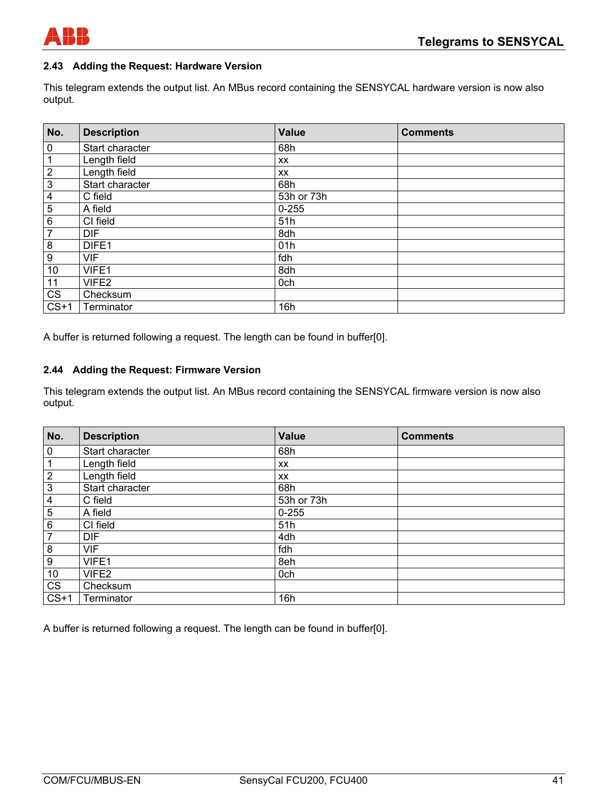

## **2.43 Adding the Request: Hardware Version**

This telegram extends the output list. An MBus record containing the SENSYCAL hardware version is now also output.

| No.                     | <b>Description</b> | <b>Value</b> | <b>Comments</b> |
|-------------------------|--------------------|--------------|-----------------|
| 0                       | Start character    | 68h          |                 |
| 1                       | Length field       | <b>XX</b>    |                 |
| $\overline{2}$          | Length field       | XX           |                 |
| $\mathfrak{S}$          | Start character    | 68h          |                 |
| $\overline{\mathbf{4}}$ | C field            | 53h or 73h   |                 |
| 5                       | A field            | $0 - 255$    |                 |
| 6                       | CI field           | 51h          |                 |
| 7                       | <b>DIF</b>         | 8dh          |                 |
| 8                       | DIFE1              | 01h          |                 |
| 9                       | <b>VIF</b>         | fdh          |                 |
| 10                      | VIFE1              | 8dh          |                 |
| 11                      | VIFE2              | 0ch          |                 |
| $c\overline{s}$         | Checksum           |              |                 |
| $CS+1$                  | Terminator         | 16h          |                 |

A buffer is returned following a request. The length can be found in buffer[0].

#### **2.44 Adding the Request: Firmware Version**

This telegram extends the output list. An MBus record containing the SENSYCAL firmware version is now also output.

| No.                    | <b>Description</b> | <b>Value</b> | <b>Comments</b> |
|------------------------|--------------------|--------------|-----------------|
| $\pmb{0}$              | Start character    | 68h          |                 |
| 1                      | Length field       | <b>XX</b>    |                 |
| $\overline{2}$         | Length field       | <b>XX</b>    |                 |
| $\mathbf{3}$           | Start character    | 68h          |                 |
| $\overline{4}$         | C field            | 53h or 73h   |                 |
| $\overline{5}$         | A field            | $0 - 255$    |                 |
| 6                      | CI field           | 51h          |                 |
| $\overline{7}$         | <b>DIF</b>         | 4dh          |                 |
| 8                      | <b>VIF</b>         | fdh          |                 |
| $\boldsymbol{9}$       | VIFE1              | 8eh          |                 |
| 10                     | VIFE2              | 0ch          |                 |
| $\overline{\text{CS}}$ | Checksum           |              |                 |
| $CS+1$                 | Terminator         | 16h          |                 |

A buffer is returned following a request. The length can be found in buffer[0].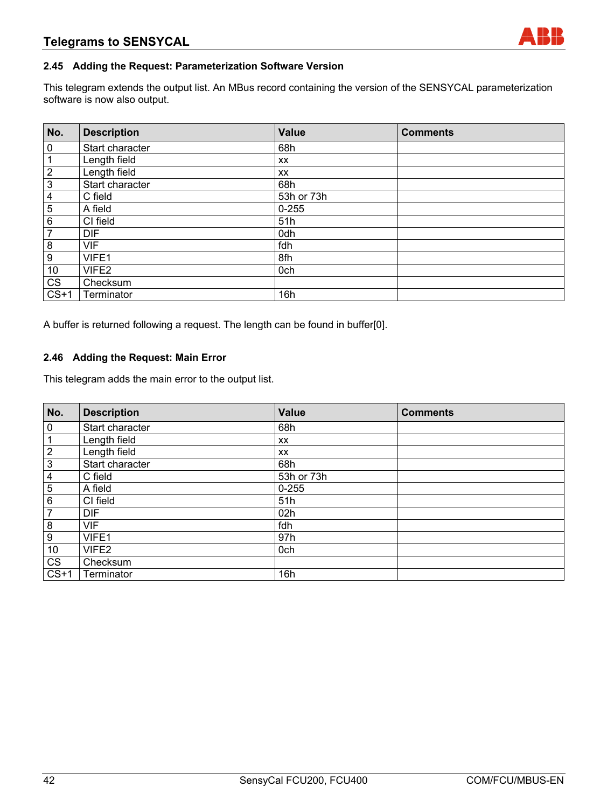## **2.45 Adding the Request: Parameterization Software Version**

This telegram extends the output list. An MBus record containing the version of the SENSYCAL parameterization software is now also output.

| No.                     | <b>Description</b> | Value      | <b>Comments</b> |
|-------------------------|--------------------|------------|-----------------|
| $\pmb{0}$               | Start character    | 68h        |                 |
| 1                       | Length field       | <b>XX</b>  |                 |
| $\overline{\mathbf{c}}$ | Length field       | <b>XX</b>  |                 |
| 3                       | Start character    | 68h        |                 |
| 4                       | C field            | 53h or 73h |                 |
| 5                       | A field            | $0 - 255$  |                 |
| 6                       | CI field           | 51h        |                 |
| 7                       | <b>DIF</b>         | 0dh        |                 |
| 8                       | <b>VIF</b>         | fdh        |                 |
| 9                       | VIFE1              | 8fh        |                 |
| 10                      | VIFE2              | 0ch        |                 |
| CS                      | Checksum           |            |                 |
| $CS+1$                  | Terminator         | 16h        |                 |

A buffer is returned following a request. The length can be found in buffer[0].

#### **2.46 Adding the Request: Main Error**

This telegram adds the main error to the output list.

| No.              | <b>Description</b> | <b>Value</b> | <b>Comments</b> |
|------------------|--------------------|--------------|-----------------|
| $\pmb{0}$        | Start character    | 68h          |                 |
|                  | Length field       | <b>XX</b>    |                 |
| $\boldsymbol{2}$ | Length field       | XX           |                 |
| $\mathfrak{S}$   | Start character    | 68h          |                 |
| 4                | C field            | 53h or 73h   |                 |
| 5                | A field            | $0 - 255$    |                 |
| 6                | CI field           | 51h          |                 |
| $\overline{7}$   | <b>DIF</b>         | 02h          |                 |
| 8                | <b>VIF</b>         | fdh          |                 |
| 9                | VIFE1              | 97h          |                 |
| 10               | VIFE2              | 0ch          |                 |
| CS               | Checksum           |              |                 |
| $CS+1$           | Terminator         | 16h          |                 |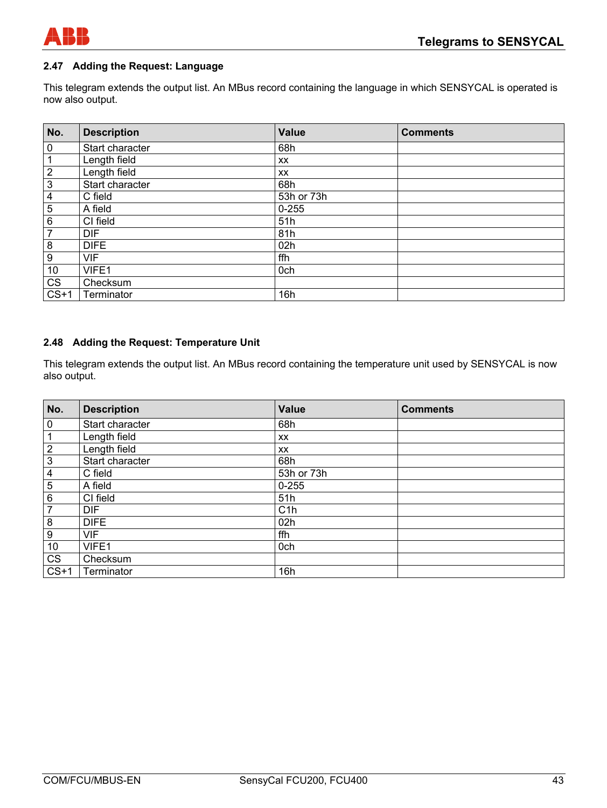

## **2.47 Adding the Request: Language**

This telegram extends the output list. An MBus record containing the language in which SENSYCAL is operated is now also output.

| No.                     | <b>Description</b> | <b>Value</b> | <b>Comments</b> |
|-------------------------|--------------------|--------------|-----------------|
| $\bf{0}$                | Start character    | 68h          |                 |
| $\mathbf 1$             | Length field       | XX           |                 |
| $\frac{2}{2}$           | Length field       | XX.          |                 |
| $\overline{3}$          | Start character    | 68h          |                 |
| $\overline{\mathbf{4}}$ | C field            | 53h or 73h   |                 |
| $\overline{5}$          | A field            | $0 - 255$    |                 |
| $\,6\,$                 | CI field           | 51h          |                 |
| $\overline{7}$          | <b>DIF</b>         | 81h          |                 |
| $\frac{8}{1}$           | <b>DIFE</b>        | 02h          |                 |
| $\boldsymbol{9}$        | <b>VIF</b>         | ffh          |                 |
| 10                      | VIFE1              | 0ch          |                 |
| CS                      | Checksum           |              |                 |
| $CS+1$                  | Terminator         | 16h          |                 |

#### **2.48 Adding the Request: Temperature Unit**

This telegram extends the output list. An MBus record containing the temperature unit used by SENSYCAL is now also output.

| No.                    | <b>Description</b> | <b>Value</b> | <b>Comments</b> |
|------------------------|--------------------|--------------|-----------------|
| $\mathbf 0$            | Start character    | 68h          |                 |
| $\mathbf{1}$           | Length field       | XX           |                 |
| $\overline{2}$         | Length field       | XX           |                 |
| $\overline{3}$         | Start character    | 68h          |                 |
| $\overline{4}$         | C field            | 53h or 73h   |                 |
| $\overline{5}$         | A field            | $0 - 255$    |                 |
| $\,6\,$                | CI field           | 51h          |                 |
| $\overline{7}$         | <b>DIF</b>         | C1h          |                 |
| $\boldsymbol{8}$       | <b>DIFE</b>        | 02h          |                 |
| $\boldsymbol{9}$       | <b>VIF</b>         | ffh          |                 |
| 10                     | VIFE1              | 0ch          |                 |
| $\overline{\text{CS}}$ | Checksum           |              |                 |
| $CS+1$                 | Terminator         | 16h          |                 |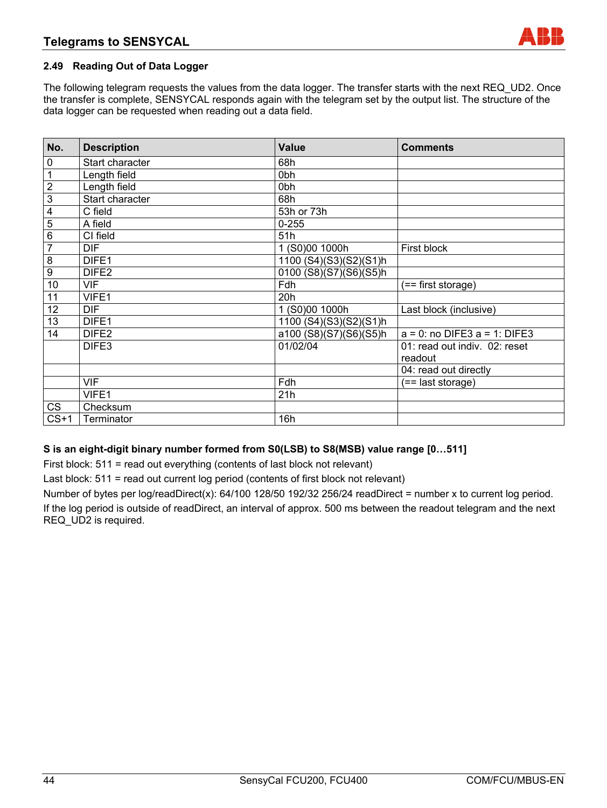## **2.49 Reading Out of Data Logger**

The following telegram requests the values from the data logger. The transfer starts with the next REQ\_UD2. Once the transfer is complete, SENSYCAL responds again with the telegram set by the output list. The structure of the data logger can be requested when reading out a data field.

| No.             | <b>Description</b> | <b>Value</b>           | <b>Comments</b>                          |
|-----------------|--------------------|------------------------|------------------------------------------|
| 0               | Start character    | 68h                    |                                          |
| 1               | Length field       | 0bh                    |                                          |
| $\overline{2}$  | Length field       | 0bh                    |                                          |
| $\overline{3}$  | Start character    | 68h                    |                                          |
| $\overline{4}$  | C field            | 53h or 73h             |                                          |
| $\overline{5}$  | A field            | $0 - 255$              |                                          |
| 6               | CI field           | 51h                    |                                          |
| $\overline{7}$  | DIF.               | 1 (S0)00 1000h         | First block                              |
| 8               | DIFE <sub>1</sub>  | 1100 (S4)(S3)(S2)(S1)h |                                          |
| $\overline{9}$  | DIFE <sub>2</sub>  | 0100 (S8)(S7)(S6)(S5)h |                                          |
| $\overline{10}$ | <b>VIF</b>         | Fdh                    | (== first storage)                       |
| 11              | VIFE1              | 20h                    |                                          |
| 12              | DIF.               | 1 (S0)00 1000h         | Last block (inclusive)                   |
| $\overline{13}$ | DIFE1              | 1100 (S4)(S3)(S2)(S1)h |                                          |
| 14              | DIFE <sub>2</sub>  | a100 (S8)(S7)(S6)(S5)h | $a = 0$ : no DIFE3 $a = 1$ : DIFE3       |
|                 | DIFE3              | 01/02/04               | 01: read out indiv. 02: reset<br>readout |
|                 |                    |                        | 04: read out directly                    |
|                 | <b>VIF</b>         | Fdh                    | (== last storage)                        |
|                 | VIFE1              | 21h                    |                                          |
| <b>CS</b>       | Checksum           |                        |                                          |
| $CS+1$          | Terminator         | 16h                    |                                          |

## **S is an eight-digit binary number formed from S0(LSB) to S8(MSB) value range [0…511]**

First block: 511 = read out everything (contents of last block not relevant)

Last block: 511 = read out current log period (contents of first block not relevant)

Number of bytes per log/readDirect(x): 64/100 128/50 192/32 256/24 readDirect = number x to current log period. If the log period is outside of readDirect, an interval of approx. 500 ms between the readout telegram and the next REQ\_UD2 is required.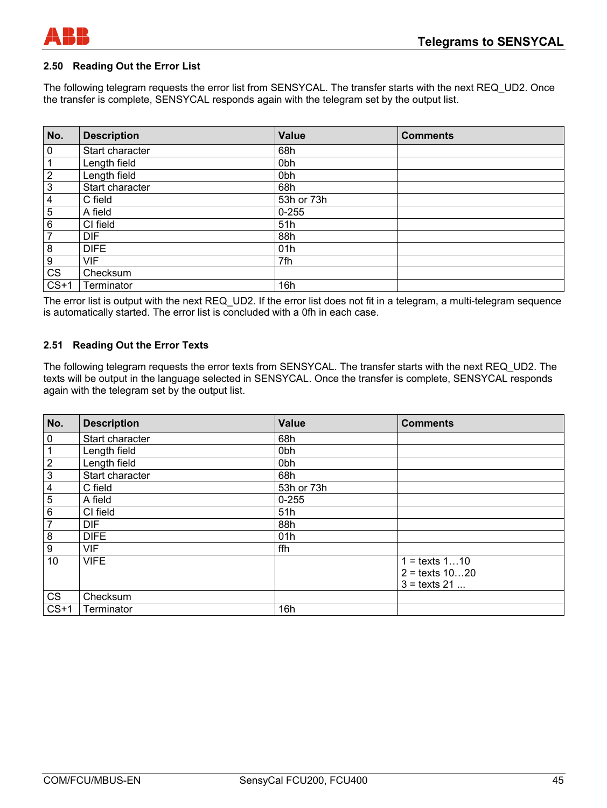

#### **2.50 Reading Out the Error List**

The following telegram requests the error list from SENSYCAL. The transfer starts with the next REQ\_UD2. Once the transfer is complete, SENSYCAL responds again with the telegram set by the output list.

| No.         | <b>Description</b> | <b>Value</b>    | <b>Comments</b> |
|-------------|--------------------|-----------------|-----------------|
| 0           | Start character    | 68h             |                 |
|             | Length field       | 0 <sub>bh</sub> |                 |
| $\mathbf 2$ | Length field       | 0 <sub>bh</sub> |                 |
| 3           | Start character    | 68h             |                 |
| 4           | C field            | 53h or 73h      |                 |
| 5           | A field            | $0 - 255$       |                 |
| 6           | CI field           | 51h             |                 |
| 7           | <b>DIF</b>         | 88h             |                 |
| 8           | <b>DIFE</b>        | 01h             |                 |
| 9           | VIF                | 7fh             |                 |
| CS          | Checksum           |                 |                 |
| $CS+1$      | Terminator         | 16h             |                 |

The error list is output with the next REQ\_UD2. If the error list does not fit in a telegram, a multi-telegram sequence is automatically started. The error list is concluded with a 0fh in each case.

#### **2.51 Reading Out the Error Texts**

The following telegram requests the error texts from SENSYCAL. The transfer starts with the next REQ\_UD2. The texts will be output in the language selected in SENSYCAL. Once the transfer is complete, SENSYCAL responds again with the telegram set by the output list.

| No.                     | <b>Description</b> | <b>Value</b> | <b>Comments</b>         |
|-------------------------|--------------------|--------------|-------------------------|
| $\pmb{0}$               | Start character    | 68h          |                         |
| 1                       | Length field       | 0bh          |                         |
| $\overline{2}$          | Length field       | 0bh          |                         |
| $\overline{3}$          | Start character    | 68h          |                         |
| $\overline{\mathbf{4}}$ | C field            | 53h or 73h   |                         |
| $\overline{5}$          | A field            | $0 - 255$    |                         |
| 6                       | CI field           | 51h          |                         |
| $\overline{7}$          | <b>DIF</b>         | 88h          |                         |
| 8                       | <b>DIFE</b>        | 01h          |                         |
| 9                       | <b>VIF</b>         | ffh          |                         |
| 10                      | <b>VIFE</b>        |              | $1 = \text{texts } 110$ |
|                         |                    |              | $2 =$ texts $1020$      |
|                         |                    |              | $3 =$ texts 21          |
| <b>CS</b>               | Checksum           |              |                         |
| $CS+1$                  | Terminator         | 16h          |                         |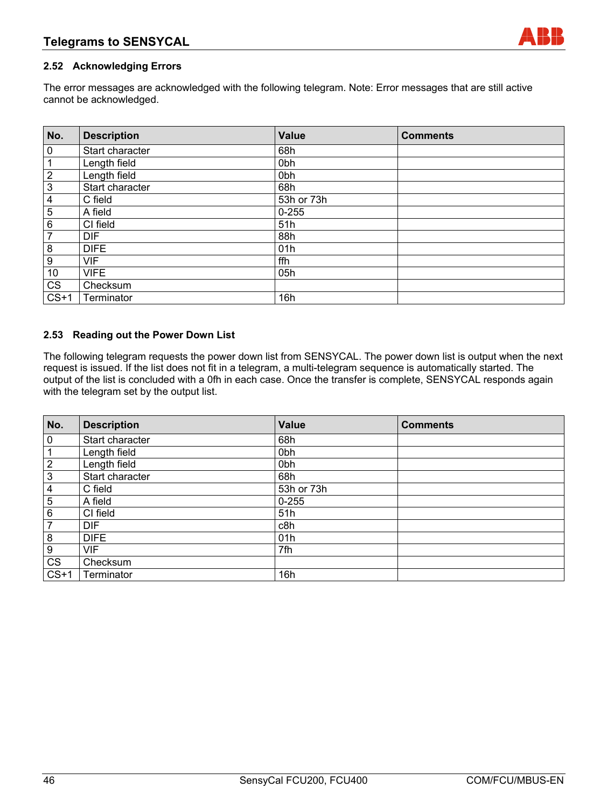## **2.52 Acknowledging Errors**

The error messages are acknowledged with the following telegram. Note: Error messages that are still active cannot be acknowledged.

| No.                     | <b>Description</b> | <b>Value</b>    | <b>Comments</b> |
|-------------------------|--------------------|-----------------|-----------------|
| $\pmb{0}$               | Start character    | 68h             |                 |
| $\mathbf{1}$            | Length field       | 0 <sub>bh</sub> |                 |
| $\overline{2}$          | Length field       | 0 <sub>bh</sub> |                 |
| $\overline{\omega}$     | Start character    | 68h             |                 |
| $\overline{\mathbf{4}}$ | C field            | 53h or 73h      |                 |
| $\overline{5}$          | A field            | $0 - 255$       |                 |
| $6\phantom{a}$          | CI field           | 51h             |                 |
| $\overline{7}$          | <b>DIF</b>         | 88h             |                 |
| $\bf 8$                 | <b>DIFE</b>        | 01h             |                 |
| $\boldsymbol{9}$        | <b>VIF</b>         | ffh             |                 |
| 10                      | <b>VIFE</b>        | 05h             |                 |
| CS                      | Checksum           |                 |                 |
| $CS+1$                  | Terminator         | 16h             |                 |

#### **2.53 Reading out the Power Down List**

The following telegram requests the power down list from SENSYCAL. The power down list is output when the next request is issued. If the list does not fit in a telegram, a multi-telegram sequence is automatically started. The output of the list is concluded with a 0fh in each case. Once the transfer is complete, SENSYCAL responds again with the telegram set by the output list.

| No.            | <b>Description</b> | Value      | <b>Comments</b> |
|----------------|--------------------|------------|-----------------|
| $\mathbf 0$    | Start character    | 68h        |                 |
|                | Length field       | 0bh        |                 |
| $\overline{2}$ | Length field       | 0bh        |                 |
| $\mathbf{3}$   | Start character    | 68h        |                 |
| 4              | C field            | 53h or 73h |                 |
| 5              | A field            | $0 - 255$  |                 |
| 6              | CI field           | 51h        |                 |
| 7              | <b>DIF</b>         | c8h        |                 |
| 8              | <b>DIFE</b>        | 01h        |                 |
| 9              | <b>VIF</b>         | 7fh        |                 |
| <b>CS</b>      | Checksum           |            |                 |
| $CS+1$         | Terminator         | 16h        |                 |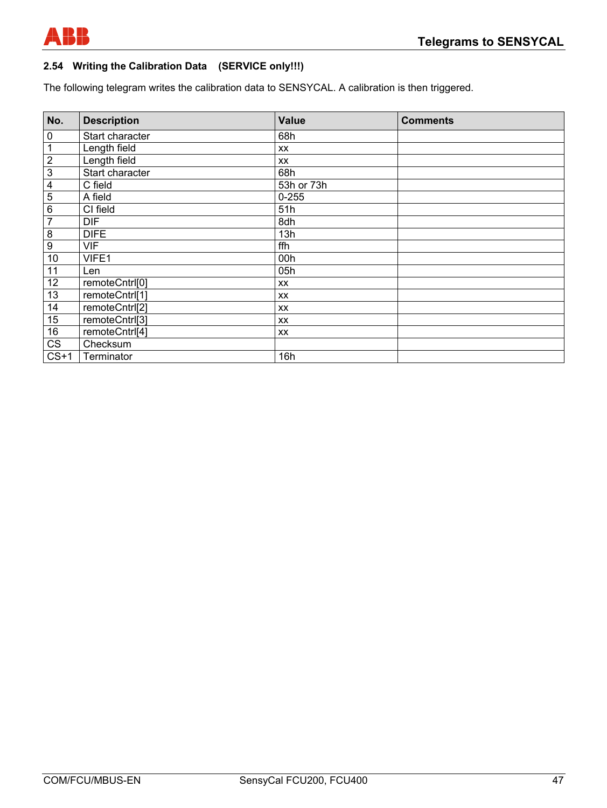

# **2.54 Writing the Calibration Data (SERVICE only!!!)**

The following telegram writes the calibration data to SENSYCAL. A calibration is then triggered.

| No.                     | <b>Description</b> | <b>Value</b> | <b>Comments</b> |
|-------------------------|--------------------|--------------|-----------------|
| 0                       | Start character    | 68h          |                 |
| 1                       | Length field       | XX           |                 |
| $\overline{2}$          | Length field       | XX           |                 |
| $\overline{3}$          | Start character    | 68h          |                 |
| $\overline{\mathbf{4}}$ | C field            | 53h or 73h   |                 |
| $\mathbf 5$             | A field            | $0 - 255$    |                 |
| $\overline{6}$          | CI field           | 51h          |                 |
| $\overline{7}$          | <b>DIF</b>         | 8dh          |                 |
| 8                       | <b>DIFE</b>        | 13h          |                 |
| $\boldsymbol{9}$        | <b>VIF</b>         | ffh          |                 |
| 10                      | VIFE1              | 00h          |                 |
| 11                      | Len                | 05h          |                 |
| 12                      | remoteCntrl[0]     | XX           |                 |
| 13                      | remoteCntrl[1]     | XX           |                 |
| 14                      | remoteCntrl[2]     | XX           |                 |
| 15                      | remoteCntrl[3]     | XX           |                 |
| 16                      | remoteCntrl[4]     | XX           |                 |
| CS                      | Checksum           |              |                 |
| $CS+1$                  | Terminator         | 16h          |                 |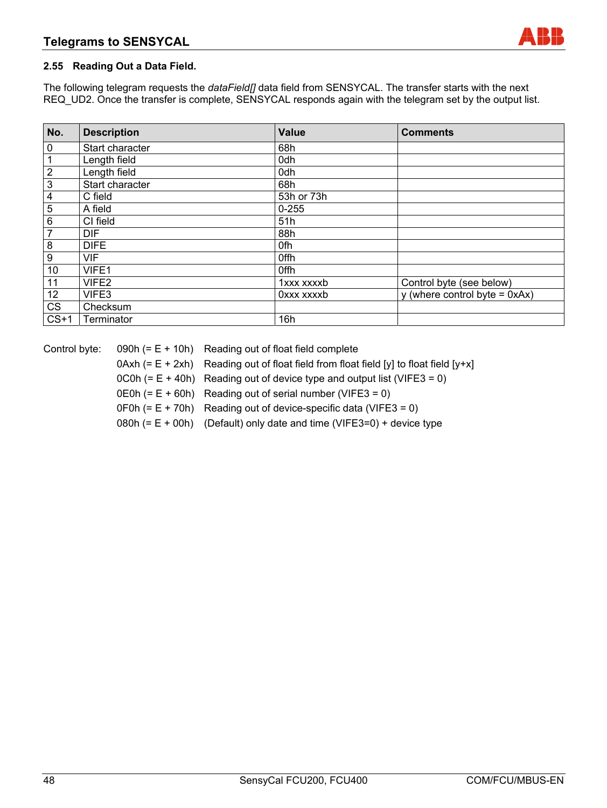## **2.55 Reading Out a Data Field.**

The following telegram requests the *dataField[]* data field from SENSYCAL. The transfer starts with the next REQ\_UD2. Once the transfer is complete, SENSYCAL responds again with the telegram set by the output list.

| No.                     | <b>Description</b> | <b>Value</b> | <b>Comments</b>                  |
|-------------------------|--------------------|--------------|----------------------------------|
| 0                       | Start character    | 68h          |                                  |
| 1                       | Length field       | 0dh          |                                  |
| $\overline{\mathbf{c}}$ | Length field       | 0dh          |                                  |
| $\overline{3}$          | Start character    | 68h          |                                  |
| 4                       | C field            | 53h or 73h   |                                  |
| 5                       | A field            | $0 - 255$    |                                  |
| 6                       | CI field           | 51h          |                                  |
| 7                       | <b>DIF</b>         | 88h          |                                  |
| 8                       | <b>DIFE</b>        | 0fh          |                                  |
| 9                       | <b>VIF</b>         | 0ffh         |                                  |
| 10                      | VIFE1              | 0ffh         |                                  |
| 11                      | VIFE <sub>2</sub>  | 1xxx xxxxb   | Control byte (see below)         |
| 12                      | VIFE3              | Oxxx xxxxb   | y (where control byte = $0xAx$ ) |
| CS                      | Checksum           |              |                                  |
| $CS+1$                  | Terminator         | 16h          |                                  |

| Control byte: | 090h $(= E + 10h)$ Reading out of float field complete                                  |
|---------------|-----------------------------------------------------------------------------------------|
|               | $0Axh (= E + 2xh)$ Reading out of float field from float field [y] to float field [y+x] |
|               | $OCOh (= E + 40h)$ Reading out of device type and output list (VIFE3 = 0)               |
|               | $OEOh (= E + 60h)$ Reading out of serial number (VIFE3 = 0)                             |
|               | $OFOh (= E + 70h)$ Reading out of device-specific data (VIFE3 = 0)                      |
|               | 080h $(= E + 00h)$ (Default) only date and time (VIFE3=0) + device type                 |
|               |                                                                                         |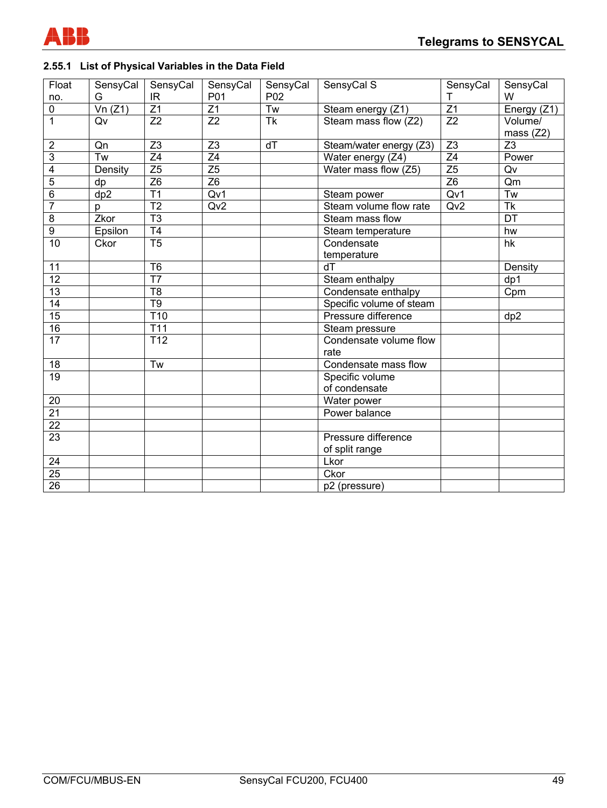

# **2.55.1 List of Physical Variables in the Data Field**

| Float            | SensyCal        | SensyCal               | SensyCal        | SensyCal        | SensyCal S               | SensyCal        | SensyCal                 |
|------------------|-----------------|------------------------|-----------------|-----------------|--------------------------|-----------------|--------------------------|
| no.              | G               | IR                     | P01             | P02             |                          | т               | W                        |
| $\overline{0}$   | Vn(Z1)          | $\overline{Z1}$        | $\overline{Z1}$ | $\overline{Tw}$ | Steam energy (Z1)        | $\overline{Z1}$ | Energy (Z1)              |
| $\overline{1}$   | Qv              | $\overline{Z}2$        | Z2              | <b>Tk</b>       | Steam mass flow (Z2)     | $\overline{Z}2$ | Volume/                  |
|                  |                 |                        |                 |                 |                          |                 | mass $(Z2)$              |
| $\boldsymbol{2}$ | Qn              | Z <sub>3</sub>         | $\overline{Z3}$ | dT              | Steam/water energy (Z3)  | $\overline{Z3}$ | Z3                       |
| $\overline{3}$   | $\overline{Tw}$ | $\overline{Z4}$        | $\overline{Z4}$ |                 | Water energy (Z4)        | $\overline{Z4}$ | Power                    |
| $\overline{4}$   | Density         | $\overline{Z5}$        | Z <sub>5</sub>  |                 | Water mass flow (Z5)     | $\overline{Z5}$ | Qv                       |
| $\overline{5}$   | dp              | $\overline{Z6}$        | Z <sub>6</sub>  |                 |                          | $\overline{Z6}$ | Qm                       |
| $\overline{6}$   | dp2             | $\overline{T1}$        | Qv1             |                 | Steam power              | Qv1             | $\overline{Tw}$          |
| $\overline{7}$   | p               | $\overline{12}$        | Qv <sub>2</sub> |                 | Steam volume flow rate   | Qv2             | $\overline{\mathsf{Tk}}$ |
| $\overline{8}$   | Zkor            | $\overline{\text{T3}}$ |                 |                 | Steam mass flow          |                 | $\overline{DT}$          |
| $\overline{9}$   | Epsilon         | T <sub>4</sub>         |                 |                 | Steam temperature        |                 | hw                       |
| $\overline{10}$  | Ckor            | $\overline{15}$        |                 |                 | Condensate               |                 | hk                       |
|                  |                 |                        |                 |                 | temperature              |                 |                          |
| 11               |                 | T <sub>6</sub>         |                 |                 | dT                       |                 | Density                  |
| 12               |                 | T <sub>7</sub>         |                 |                 | Steam enthalpy           |                 | dp1                      |
| 13               |                 | T <sub>8</sub>         |                 |                 | Condensate enthalpy      |                 | Cpm                      |
| $\overline{14}$  |                 | T <sub>9</sub>         |                 |                 | Specific volume of steam |                 |                          |
| 15               |                 | T <sub>10</sub>        |                 |                 | Pressure difference      |                 | dp2                      |
| 16               |                 | T <sub>11</sub>        |                 |                 | Steam pressure           |                 |                          |
| $\overline{17}$  |                 | T <sub>12</sub>        |                 |                 | Condensate volume flow   |                 |                          |
|                  |                 |                        |                 |                 | rate                     |                 |                          |
| $\overline{18}$  |                 | Tw                     |                 |                 | Condensate mass flow     |                 |                          |
| 19               |                 |                        |                 |                 | Specific volume          |                 |                          |
|                  |                 |                        |                 |                 | of condensate            |                 |                          |
| 20               |                 |                        |                 |                 | Water power              |                 |                          |
| 21               |                 |                        |                 |                 | Power balance            |                 |                          |
| $\overline{22}$  |                 |                        |                 |                 |                          |                 |                          |
| $\overline{23}$  |                 |                        |                 |                 | Pressure difference      |                 |                          |
|                  |                 |                        |                 |                 | of split range           |                 |                          |
| 24               |                 |                        |                 |                 | Lkor                     |                 |                          |
| $\overline{25}$  |                 |                        |                 |                 | Ckor                     |                 |                          |
| $\overline{26}$  |                 |                        |                 |                 | p2 (pressure)            |                 |                          |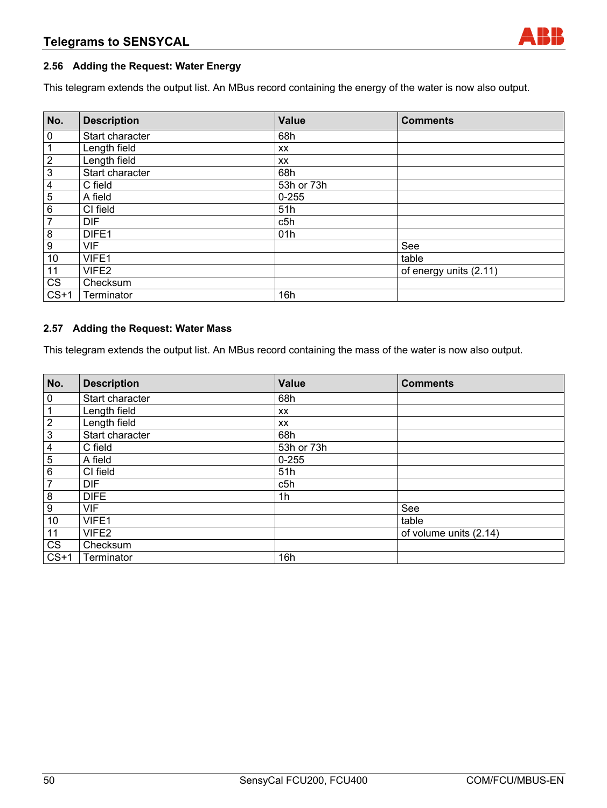## **2.56 Adding the Request: Water Energy**

This telegram extends the output list. An MBus record containing the energy of the water is now also output.

| No.                    | <b>Description</b> | Value      | <b>Comments</b>        |
|------------------------|--------------------|------------|------------------------|
| $\overline{0}$         | Start character    | 68h        |                        |
| $\mathbf 1$            | Length field       | XX         |                        |
| $\overline{2}$         | Length field       | XX         |                        |
| $\overline{\omega}$    | Start character    | 68h        |                        |
| $\overline{4}$         | C field            | 53h or 73h |                        |
| $\overline{5}$         | A field            | $0 - 255$  |                        |
| $\overline{6}$         | CI field           | 51h        |                        |
| $\overline{7}$         | <b>DIF</b>         | c5h        |                        |
| $\bf 8$                | DIFE1              | 01h        |                        |
| $\overline{9}$         | <b>VIF</b>         |            | See                    |
| $10$                   | VIFE1              |            | table                  |
| 11                     | VIFE2              |            | of energy units (2.11) |
| $\overline{\text{CS}}$ | Checksum           |            |                        |
| $CS+1$                 | Terminator         | 16h        |                        |

#### **2.57 Adding the Request: Water Mass**

This telegram extends the output list. An MBus record containing the mass of the water is now also output.

| No.            | <b>Description</b> | <b>Value</b> | <b>Comments</b>        |
|----------------|--------------------|--------------|------------------------|
| $\mathbf 0$    | Start character    | 68h          |                        |
| $\mathbf{1}$   | Length field       | XX           |                        |
| $\overline{2}$ | Length field       | XX           |                        |
| $\overline{3}$ | Start character    | 68h          |                        |
| $\overline{4}$ | C field            | 53h or 73h   |                        |
| $\overline{5}$ | A field            | $0 - 255$    |                        |
| $6\phantom{1}$ | CI field           | 51h          |                        |
| $\overline{7}$ | <b>DIF</b>         | c5h          |                        |
| $\frac{8}{1}$  | <b>DIFE</b>        | 1h           |                        |
| $\overline{9}$ | <b>VIF</b>         |              | See                    |
| 10             | VIFE1              |              | table                  |
| 11             | VIFE2              |              | of volume units (2.14) |
| CS             | Checksum           |              |                        |
| $CS+1$         | Terminator         | 16h          |                        |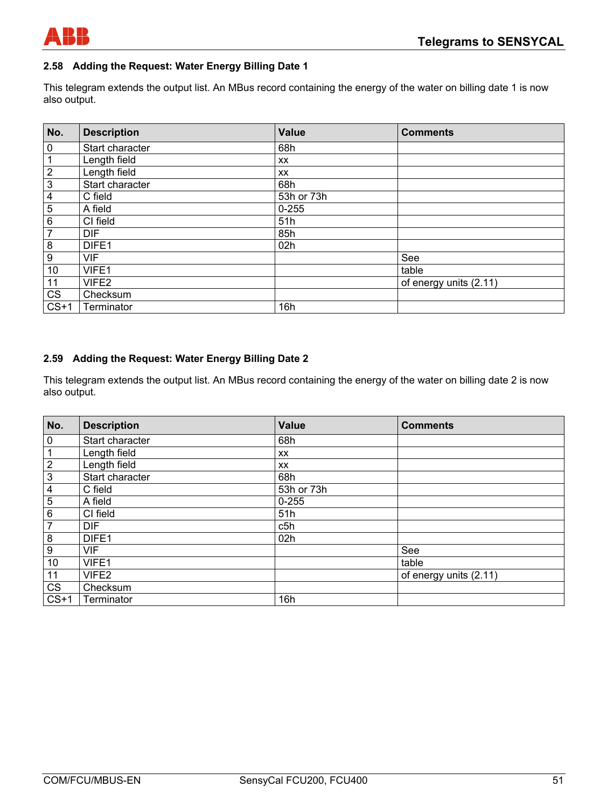

## **2.58 Adding the Request: Water Energy Billing Date 1**

This telegram extends the output list. An MBus record containing the energy of the water on billing date 1 is now also output.

| No.              | <b>Description</b> | <b>Value</b> | <b>Comments</b>        |
|------------------|--------------------|--------------|------------------------|
| $\pmb{0}$        | Start character    | 68h          |                        |
| 1                | Length field       | XX           |                        |
| $\sqrt{2}$       | Length field       | XX           |                        |
| $\mathbf 3$      | Start character    | 68h          |                        |
| 4                | C field            | 53h or 73h   |                        |
| 5                | A field            | $0 - 255$    |                        |
| $\,6\,$          | CI field           | 51h          |                        |
| $\overline{7}$   | <b>DIF</b>         | 85h          |                        |
| 8                | DIFE <sub>1</sub>  | 02h          |                        |
| $\boldsymbol{9}$ | <b>VIF</b>         |              | See                    |
| 10               | VIFE1              |              | table                  |
| 11               | VIFE2              |              | of energy units (2.11) |
| <b>CS</b>        | Checksum           |              |                        |
| $CS+1$           | Terminator         | 16h          |                        |

## **2.59 Adding the Request: Water Energy Billing Date 2**

This telegram extends the output list. An MBus record containing the energy of the water on billing date 2 is now also output.

| No.            | <b>Description</b> | <b>Value</b> | <b>Comments</b>        |
|----------------|--------------------|--------------|------------------------|
| $\pmb{0}$      | Start character    | 68h          |                        |
| 1              | Length field       | XX           |                        |
| $\sqrt{2}$     | Length field       | XX           |                        |
| $\mathbf 3$    | Start character    | 68h          |                        |
| 4              | C field            | 53h or 73h   |                        |
| 5              | A field            | $0 - 255$    |                        |
| 6              | CI field           | 51h          |                        |
| $\overline{7}$ | <b>DIF</b>         | c5h          |                        |
| 8              | DIFE <sub>1</sub>  | 02h          |                        |
| 9              | <b>VIF</b>         |              | See                    |
| 10             | VIFE1              |              | table                  |
| 11             | VIFE2              |              | of energy units (2.11) |
| <b>CS</b>      | Checksum           |              |                        |
| $CS+1$         | Terminator         | 16h          |                        |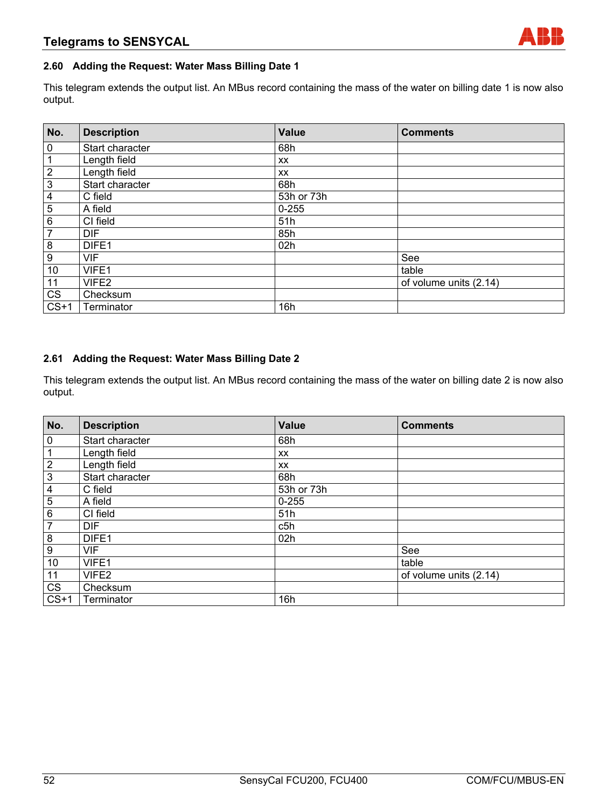## **2.60 Adding the Request: Water Mass Billing Date 1**

This telegram extends the output list. An MBus record containing the mass of the water on billing date 1 is now also output.

| No.              | <b>Description</b> | <b>Value</b> | <b>Comments</b>        |
|------------------|--------------------|--------------|------------------------|
| $\pmb{0}$        | Start character    | 68h          |                        |
| 1                | Length field       | XX           |                        |
| $\sqrt{2}$       | Length field       | XX           |                        |
| $\mathbf 3$      | Start character    | 68h          |                        |
| 4                | C field            | 53h or 73h   |                        |
| 5                | A field            | $0 - 255$    |                        |
| $\,6\,$          | CI field           | 51h          |                        |
| $\overline{7}$   | <b>DIF</b>         | 85h          |                        |
| 8                | DIFE1              | 02h          |                        |
| $\boldsymbol{9}$ | <b>VIF</b>         |              | See                    |
| 10               | VIFE1              |              | table                  |
| 11               | VIFE2              |              | of volume units (2.14) |
| <b>CS</b>        | Checksum           |              |                        |
| $CS+1$           | Terminator         | 16h          |                        |

## **2.61 Adding the Request: Water Mass Billing Date 2**

This telegram extends the output list. An MBus record containing the mass of the water on billing date 2 is now also output.

| No.                       | <b>Description</b> | <b>Value</b> | <b>Comments</b>        |
|---------------------------|--------------------|--------------|------------------------|
| $\pmb{0}$                 | Start character    | 68h          |                        |
| 1                         | Length field       | <b>XX</b>    |                        |
| $\sqrt{2}$                | Length field       | <b>XX</b>    |                        |
| $\ensuremath{\mathsf{3}}$ | Start character    | 68h          |                        |
| 4                         | C field            | 53h or 73h   |                        |
| 5                         | A field            | $0 - 255$    |                        |
| 6                         | CI field           | 51h          |                        |
| $\overline{7}$            | <b>DIF</b>         | c5h          |                        |
| 8                         | DIFE1              | 02h          |                        |
| $\boldsymbol{9}$          | <b>VIF</b>         |              | See                    |
| 10                        | VIFE1              |              | table                  |
| 11                        | VIFE2              |              | of volume units (2.14) |
| <b>CS</b>                 | Checksum           |              |                        |
| $CS+1$                    | Terminator         | 16h          |                        |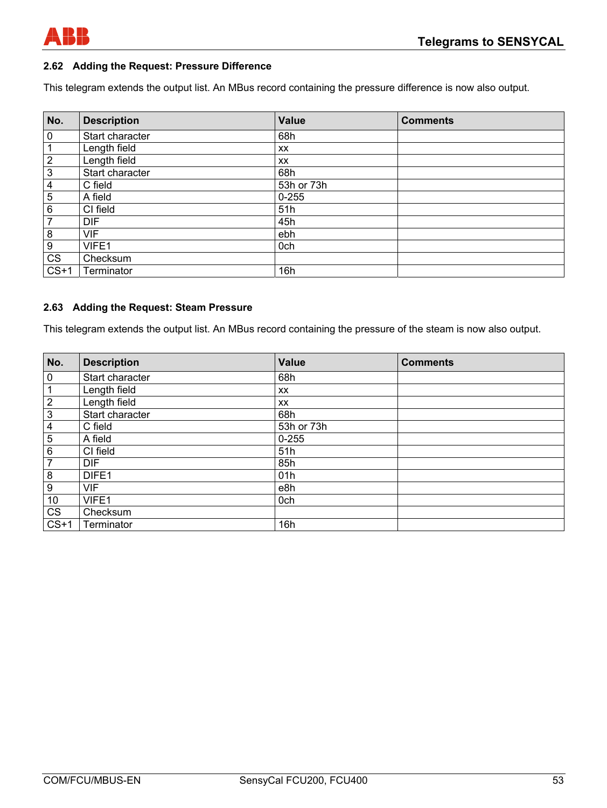

## **2.62 Adding the Request: Pressure Difference**

This telegram extends the output list. An MBus record containing the pressure difference is now also output.

| No.                    | <b>Description</b> | <b>Value</b> | <b>Comments</b> |
|------------------------|--------------------|--------------|-----------------|
| $\overline{0}$         | Start character    | 68h          |                 |
| $\mathbf{1}$           | Length field       | <b>XX</b>    |                 |
| $\overline{2}$         | Length field       | XX           |                 |
| $\overline{3}$         | Start character    | 68h          |                 |
| $\overline{4}$         | C field            | 53h or 73h   |                 |
| $\overline{5}$         | A field            | $0 - 255$    |                 |
| $\,6\,$                | CI field           | 51h          |                 |
| $\overline{7}$         | <b>DIF</b>         | 45h          |                 |
| $\bf 8$                | <b>VIF</b>         | ebh          |                 |
| $\overline{9}$         | VIFE1              | 0ch          |                 |
| $\overline{\text{CS}}$ | Checksum           |              |                 |
| $CS+1$                 | Terminator         | 16h          |                 |

#### **2.63 Adding the Request: Steam Pressure**

This telegram extends the output list. An MBus record containing the pressure of the steam is now also output.

| No.              | <b>Description</b> | <b>Value</b> | <b>Comments</b> |
|------------------|--------------------|--------------|-----------------|
| $\overline{0}$   | Start character    | 68h          |                 |
| $\mathbf 1$      | Length field       | XX           |                 |
| $\overline{2}$   | Length field       | XX           |                 |
| $\overline{3}$   | Start character    | 68h          |                 |
| $\overline{4}$   | C field            | 53h or 73h   |                 |
| $\overline{5}$   | A field            | $0 - 255$    |                 |
| 6                | CI field           | 51h          |                 |
| $\overline{7}$   | <b>DIF</b>         | 85h          |                 |
| $\bf{8}$         | DIFE1              | 01h          |                 |
| $\boldsymbol{9}$ | <b>VIF</b>         | e8h          |                 |
| 10               | VIFE1              | 0ch          |                 |
| CS               | Checksum           |              |                 |
| $CS+1$           | Terminator         | 16h          |                 |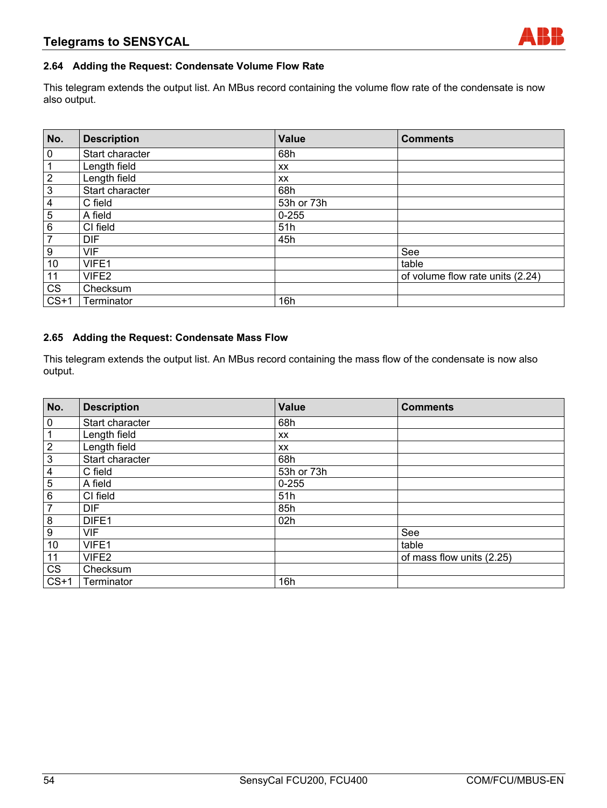## **2.64 Adding the Request: Condensate Volume Flow Rate**

This telegram extends the output list. An MBus record containing the volume flow rate of the condensate is now also output.

| No.                     | <b>Description</b> | Value      | <b>Comments</b>                  |
|-------------------------|--------------------|------------|----------------------------------|
| $\mathbf 0$             | Start character    | 68h        |                                  |
| $\mathbf 1$             | Length field       | XX         |                                  |
| $\overline{2}$          | Length field       | XX         |                                  |
| $\overline{\omega}$     | Start character    | 68h        |                                  |
| $\overline{\mathbf{4}}$ | C field            | 53h or 73h |                                  |
| $\overline{5}$          | A field            | $0 - 255$  |                                  |
| 6                       | CI field           | 51h        |                                  |
| $\overline{7}$          | <b>DIF</b>         | 45h        |                                  |
| $\boldsymbol{9}$        | <b>VIF</b>         |            | See                              |
| 10                      | VIFE1              |            | table                            |
| 11                      | VIFE2              |            | of volume flow rate units (2.24) |
| CS                      | Checksum           |            |                                  |
| $CS+1$                  | Terminator         | 16h        |                                  |

#### **2.65 Adding the Request: Condensate Mass Flow**

This telegram extends the output list. An MBus record containing the mass flow of the condensate is now also output.

| No.                       | <b>Description</b> | <b>Value</b> | <b>Comments</b>           |
|---------------------------|--------------------|--------------|---------------------------|
| $\pmb{0}$                 | Start character    | 68h          |                           |
| 1                         | Length field       | XX           |                           |
| $\overline{2}$            | Length field       | XX           |                           |
| $\ensuremath{\mathsf{3}}$ | Start character    | 68h          |                           |
| $\overline{\mathbf{4}}$   | C field            | 53h or 73h   |                           |
| 5                         | A field            | $0 - 255$    |                           |
| 6                         | CI field           | 51h          |                           |
| $\overline{7}$            | <b>DIF</b>         | 85h          |                           |
| 8                         | DIFE1              | 02h          |                           |
| $\boldsymbol{9}$          | <b>VIF</b>         |              | See                       |
| 10                        | VIFE1              |              | table                     |
| 11                        | VIFE2              |              | of mass flow units (2.25) |
| <b>CS</b>                 | Checksum           |              |                           |
| $CS+1$                    | Terminator         | 16h          |                           |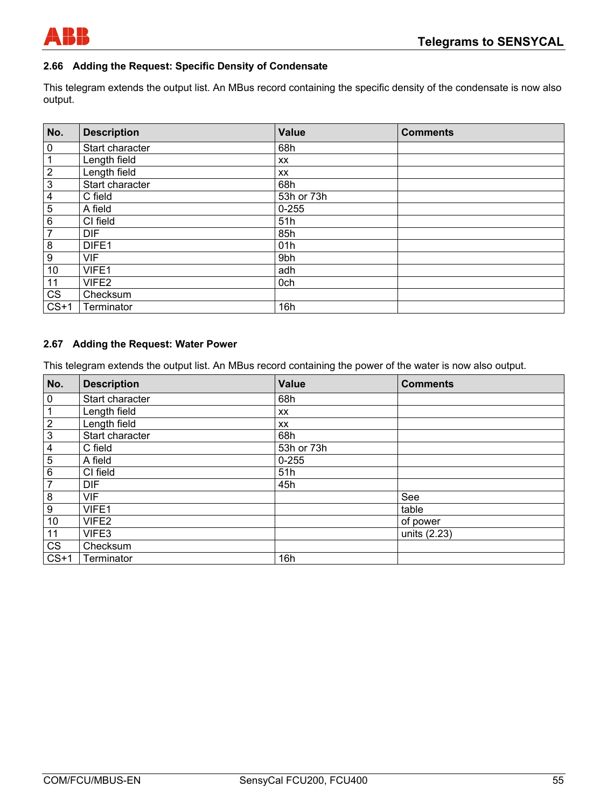

## **2.66 Adding the Request: Specific Density of Condensate**

This telegram extends the output list. An MBus record containing the specific density of the condensate is now also output.

| No.                     | <b>Description</b> | <b>Value</b> | <b>Comments</b> |
|-------------------------|--------------------|--------------|-----------------|
| $\bf{0}$                | Start character    | 68h          |                 |
| $\mathbf{1}$            | Length field       | XX           |                 |
| $\overline{2}$          | Length field       | XX           |                 |
| $\frac{3}{2}$           | Start character    | 68h          |                 |
| $\overline{\mathbf{4}}$ | C field            | 53h or 73h   |                 |
| $\overline{5}$          | A field            | $0 - 255$    |                 |
| $\,6\,$                 | CI field           | 51h          |                 |
| $\overline{7}$          | <b>DIF</b>         | 85h          |                 |
| $\frac{8}{1}$           | DIFE1              | 01h          |                 |
| $\overline{9}$          | <b>VIF</b>         | 9bh          |                 |
| $10$                    | VIFE1              | adh          |                 |
| 11                      | VIFE2              | 0ch          |                 |
| CS                      | Checksum           |              |                 |
| $CS+1$                  | Terminator         | 16h          |                 |

## **2.67 Adding the Request: Water Power**

This telegram extends the output list. An MBus record containing the power of the water is now also output.

| No.                     | <b>Description</b> | <b>Value</b> | <b>Comments</b> |
|-------------------------|--------------------|--------------|-----------------|
| $\mathbf 0$             | Start character    | 68h          |                 |
| $\mathbf{1}$            | Length field       | XX           |                 |
| $\overline{2}$          | Length field       | XX           |                 |
| $\overline{3}$          | Start character    | 68h          |                 |
| $\overline{\mathbf{4}}$ | C field            | 53h or 73h   |                 |
| $\overline{5}$          | A field            | $0 - 255$    |                 |
| 6                       | CI field           | 51h          |                 |
| $\overline{7}$          | <b>DIF</b>         | 45h          |                 |
| $\overline{8}$          | <b>VIF</b>         |              | See             |
| $\overline{9}$          | VIFE1              |              | table           |
| 10                      | VIFE2              |              | of power        |
| 11                      | VIFE3              |              | units (2.23)    |
| $\overline{\text{CS}}$  | Checksum           |              |                 |
| $CS+1$                  | Terminator         | 16h          |                 |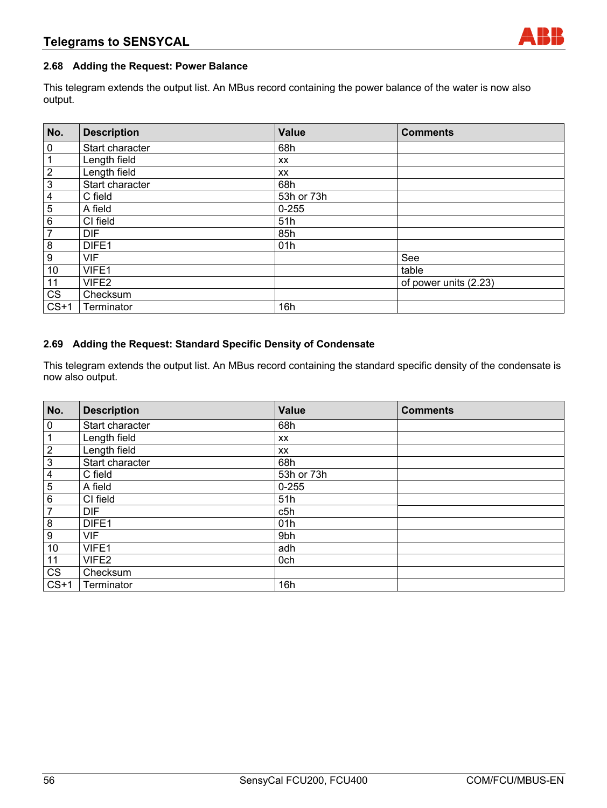## **2.68 Adding the Request: Power Balance**

This telegram extends the output list. An MBus record containing the power balance of the water is now also output.

| No.                     | <b>Description</b> | <b>Value</b> | <b>Comments</b>       |
|-------------------------|--------------------|--------------|-----------------------|
| 0                       | Start character    | 68h          |                       |
| 1                       | Length field       | <b>XX</b>    |                       |
| $\mathbf{2}$            | Length field       | XX           |                       |
| $\overline{3}$          | Start character    | 68h          |                       |
| $\overline{\mathbf{4}}$ | C field            | 53h or 73h   |                       |
| 5                       | A field            | $0 - 255$    |                       |
| 6                       | CI field           | 51h          |                       |
| $\overline{7}$          | <b>DIF</b>         | 85h          |                       |
| 8                       | DIFE1              | 01h          |                       |
| 9                       | VIF                |              | See                   |
| 10                      | VIFE1              |              | table                 |
| 11                      | VIFE2              |              | of power units (2.23) |
| CS                      | Checksum           |              |                       |
| $CS+1$                  | Terminator         | 16h          |                       |

## **2.69 Adding the Request: Standard Specific Density of Condensate**

This telegram extends the output list. An MBus record containing the standard specific density of the condensate is now also output.

| No.                     | <b>Description</b> | <b>Value</b> | <b>Comments</b> |
|-------------------------|--------------------|--------------|-----------------|
| $\pmb{0}$               | Start character    | 68h          |                 |
| 1                       | Length field       | XX           |                 |
| $\overline{c}$          | Length field       | XX           |                 |
| $\overline{\omega}$     | Start character    | 68h          |                 |
| $\overline{\mathbf{4}}$ | C field            | 53h or 73h   |                 |
| 5                       | A field            | $0 - 255$    |                 |
| $\overline{6}$          | CI field           | 51h          |                 |
| $\overline{7}$          | <b>DIF</b>         | c5h          |                 |
| 8                       | DIFE1              | 01h          |                 |
| 9                       | <b>VIF</b>         | 9bh          |                 |
| 10                      | VIFE1              | adh          |                 |
| 11                      | VIFE2              | 0ch          |                 |
| $\overline{\text{CS}}$  | Checksum           |              |                 |
| $CS+1$                  | Terminator         | 16h          |                 |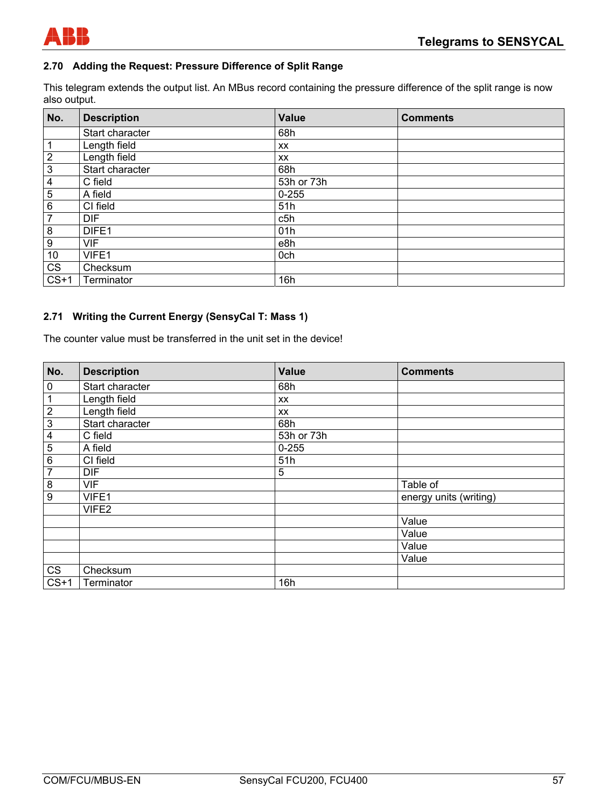

## **2.70 Adding the Request: Pressure Difference of Split Range**

This telegram extends the output list. An MBus record containing the pressure difference of the split range is now also output.

| No.              | <b>Description</b> | <b>Value</b> | <b>Comments</b> |
|------------------|--------------------|--------------|-----------------|
|                  | Start character    | 68h          |                 |
| 1                | Length field       | <b>XX</b>    |                 |
| $\overline{2}$   | Length field       | XX           |                 |
| $\mathbf{3}$     | Start character    | 68h          |                 |
| 4                | C field            | 53h or 73h   |                 |
| 5                | A field            | $0 - 255$    |                 |
| 6                | CI field           | 51h          |                 |
| $\overline{7}$   | <b>DIF</b>         | c5h          |                 |
| 8                | DIFE1              | 01h          |                 |
| $\boldsymbol{9}$ | <b>VIF</b>         | e8h          |                 |
| 10               | VIFE1              | 0ch          |                 |
| <b>CS</b>        | Checksum           |              |                 |
| $CS+1$           | Terminator         | 16h          |                 |

## **2.71 Writing the Current Energy (SensyCal T: Mass 1)**

The counter value must be transferred in the unit set in the device!

| No.              | <b>Description</b> | <b>Value</b> | <b>Comments</b>        |
|------------------|--------------------|--------------|------------------------|
| $\boldsymbol{0}$ | Start character    | 68h          |                        |
| $\mathbf{1}$     | Length field       | XX           |                        |
| $\overline{2}$   | Length field       | XX           |                        |
| $\overline{3}$   | Start character    | 68h          |                        |
| $\frac{4}{5}$    | C field            | 53h or 73h   |                        |
|                  | A field            | $0 - 255$    |                        |
| $\overline{6}$   | CI field           | 51h          |                        |
| $\overline{7}$   | <b>DIF</b>         | 5            |                        |
| $\overline{8}$   | <b>VIF</b>         |              | Table of               |
| $\overline{9}$   | VIFE1              |              | energy units (writing) |
|                  | VIFE2              |              |                        |
|                  |                    |              | Value                  |
|                  |                    |              | Value                  |
|                  |                    |              | Value                  |
|                  |                    |              | Value                  |
| CS               | Checksum           |              |                        |
| $CS+1$           | Terminator         | 16h          |                        |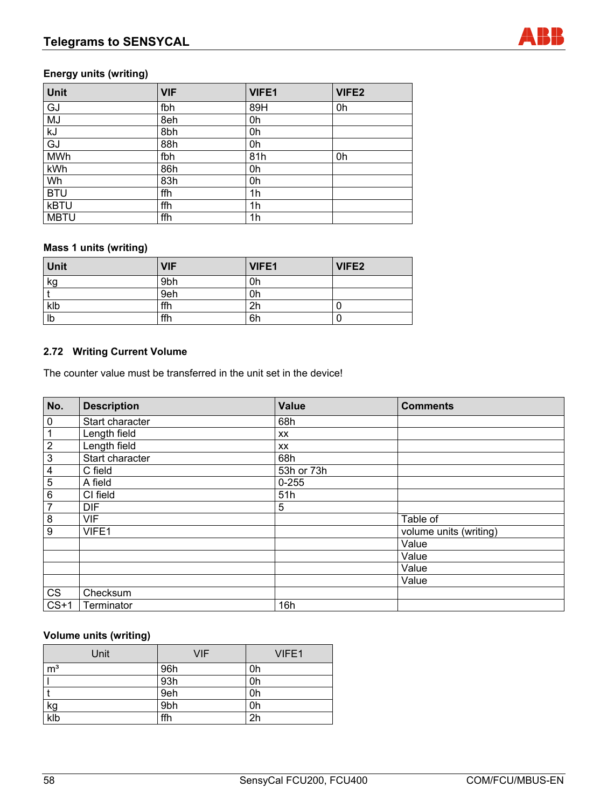## **Energy units (writing)**

| Unit        | <b>VIF</b> | VIFE1 | VIFE2 |
|-------------|------------|-------|-------|
| GJ          | fbh        | 89H   | 0h    |
| MJ          | 8eh        | 0h    |       |
| kJ          | 8bh        | 0h    |       |
| GJ          | 88h        | 0h    |       |
| <b>MWh</b>  | fbh        | 81h   | 0h    |
| kWh         | 86h        | 0h    |       |
| Wh          | 83h        | 0h    |       |
| <b>BTU</b>  | ffh        | 1h    |       |
| <b>kBTU</b> | ffh        | 1h    |       |
| <b>MBTU</b> | ffh        | 1h    |       |

## **Mass 1 units (writing)**

| Unit | <b>VIF</b> | VIFE1 | VIFE2 |
|------|------------|-------|-------|
| kg   | 9bh        | 0h    |       |
|      | 9eh        | 0h    |       |
| klb  | ffh        | 2h    |       |
| Ib   | ffh        | 6h    |       |

## **2.72 Writing Current Volume**

The counter value must be transferred in the unit set in the device!

| No.                     | <b>Description</b> | <b>Value</b> | <b>Comments</b>        |
|-------------------------|--------------------|--------------|------------------------|
| $\overline{0}$          | Start character    | 68h          |                        |
| $\mathbf{1}$            | Length field       | XX           |                        |
| $\frac{2}{3}$           | Length field       | XX           |                        |
|                         | Start character    | 68h          |                        |
| $\overline{\mathbf{4}}$ | C field            | 53h or 73h   |                        |
| $\overline{5}$          | A field            | $0 - 255$    |                        |
| $\overline{6}$          | CI field           | 51h          |                        |
| $\overline{7}$          | <b>DIF</b>         | 5            |                        |
| $\bf 8$                 | <b>VIF</b>         |              | Table of               |
| $\boldsymbol{9}$        | VIFE1              |              | volume units (writing) |
|                         |                    |              | Value                  |
|                         |                    |              | Value                  |
|                         |                    |              | Value                  |
|                         |                    |              | Value                  |
| $\overline{\text{CS}}$  | Checksum           |              |                        |
| $CS+1$                  | Terminator         | 16h          |                        |

## **Volume units (writing)**

| Unit           | <b>VIF</b> | VIFE1          |
|----------------|------------|----------------|
| m <sup>3</sup> | 96h        | 0h             |
|                | 93h        | 0h             |
|                | 9eh        | 0h             |
| <u>kg</u>      | 9bh        | 0h             |
| klb            | ffh        | 2 <sub>h</sub> |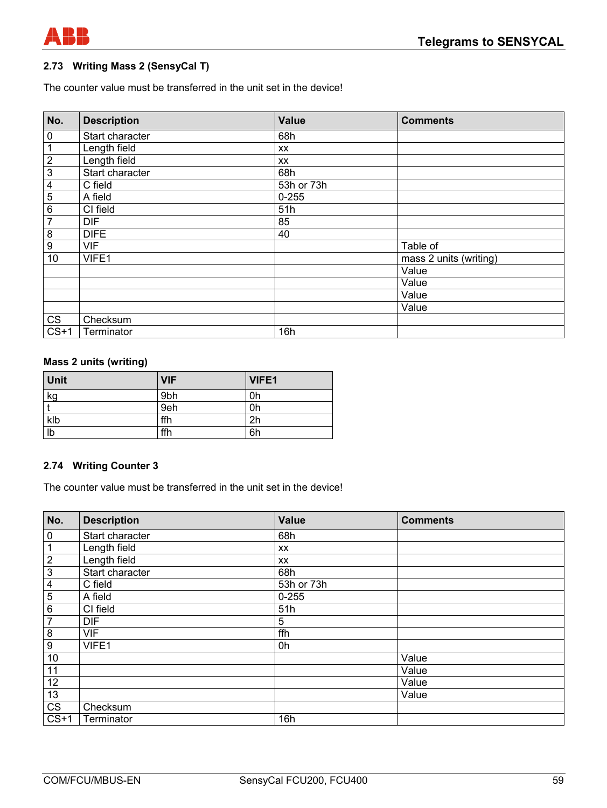

## **2.73 Writing Mass 2 (SensyCal T)**

The counter value must be transferred in the unit set in the device!

| No.                     | <b>Description</b> | <b>Value</b> | <b>Comments</b>        |
|-------------------------|--------------------|--------------|------------------------|
| $\pmb{0}$               | Start character    | 68h          |                        |
| 1                       | Length field       | XX           |                        |
| $\overline{2}$          | Length field       | XX           |                        |
| $\overline{3}$          | Start character    | 68h          |                        |
| $\overline{\mathbf{4}}$ | C field            | 53h or 73h   |                        |
| $\overline{5}$          | A field            | $0 - 255$    |                        |
| $\overline{6}$          | CI field           | 51h          |                        |
| $\overline{7}$          | <b>DIF</b>         | 85           |                        |
| 8                       | <b>DIFE</b>        | 40           |                        |
| $\boldsymbol{9}$        | <b>VIF</b>         |              | Table of               |
| 10                      | VIFE1              |              | mass 2 units (writing) |
|                         |                    |              | Value                  |
|                         |                    |              | Value                  |
|                         |                    |              | Value                  |
|                         |                    |              | Value                  |
| CS                      | Checksum           |              |                        |
| $CS+1$                  | Terminator         | 16h          |                        |

## **Mass 2 units (writing)**

| <b>Unit</b> | <b>VIF</b>      | VIFE1 |
|-------------|-----------------|-------|
| kg          | 9 <sub>bh</sub> | 0h    |
|             | 9eh             | 0h    |
| klb         | ffh             | 2h    |
| Ib          | ffh             | 6h    |

## **2.74 Writing Counter 3**

The counter value must be transferred in the unit set in the device!

| No.                    | <b>Description</b> | Value      | <b>Comments</b> |
|------------------------|--------------------|------------|-----------------|
| $\overline{0}$         | Start character    | 68h        |                 |
| $\mathbf{1}$           | Length field       | XX         |                 |
| $\frac{2}{3}$          | Length field       | XX         |                 |
|                        | Start character    | 68h        |                 |
| $\frac{4}{5}$          | C field            | 53h or 73h |                 |
|                        | A field            | $0 - 255$  |                 |
| $\overline{6}$         | CI field           | 51h        |                 |
| $\overline{7}$         | <b>DIF</b>         | 5          |                 |
| $\overline{8}$         | <b>VIF</b>         | ffh        |                 |
| $\overline{9}$         | VIFE1              | 0h         |                 |
| $10$                   |                    |            | Value           |
| 11                     |                    |            | Value           |
| 12                     |                    |            | Value           |
| 13                     |                    |            | Value           |
| $\overline{\text{cs}}$ | Checksum           |            |                 |
| $CS+1$                 | Terminator         | 16h        |                 |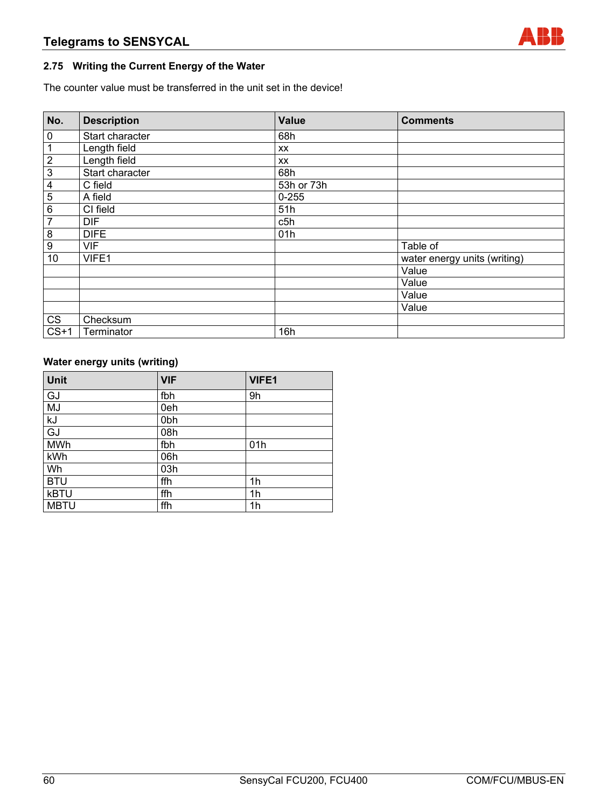# **2.75 Writing the Current Energy of the Water**

The counter value must be transferred in the unit set in the device!

| No.                     | <b>Description</b> | <b>Value</b> | <b>Comments</b>              |
|-------------------------|--------------------|--------------|------------------------------|
| $\pmb{0}$               | Start character    | 68h          |                              |
| 1                       | Length field       | XX           |                              |
| $\overline{2}$          | Length field       | <b>XX</b>    |                              |
| $\overline{3}$          | Start character    | 68h          |                              |
| $\overline{\mathbf{4}}$ | C field            | 53h or 73h   |                              |
| $\overline{5}$          | A field            | $0 - 255$    |                              |
| $\overline{6}$          | CI field           | 51h          |                              |
| $\overline{7}$          | <b>DIF</b>         | c5h          |                              |
| 8                       | <b>DIFE</b>        | 01h          |                              |
| $\boldsymbol{9}$        | <b>VIF</b>         |              | Table of                     |
| 10                      | VIFE1              |              | water energy units (writing) |
|                         |                    |              | Value                        |
|                         |                    |              | Value                        |
|                         |                    |              | Value                        |
|                         |                    |              | Value                        |
| CS                      | Checksum           |              |                              |
| $CS+1$                  | Terminator         | 16h          |                              |

# **Water energy units (writing)**

| Unit        | <b>VIF</b> | VIFE1 |
|-------------|------------|-------|
| GJ          | fbh        | 9h    |
| MJ          | 0eh        |       |
| kJ          | 0bh        |       |
| GJ          | 08h        |       |
| <b>MWh</b>  | fbh        | 01h   |
| kWh         | 06h        |       |
| Wh          | 03h        |       |
| <b>BTU</b>  | ffh        | 1h    |
| <b>kBTU</b> | ffh        | 1h    |
| <b>MBTU</b> | ffh        | 1h    |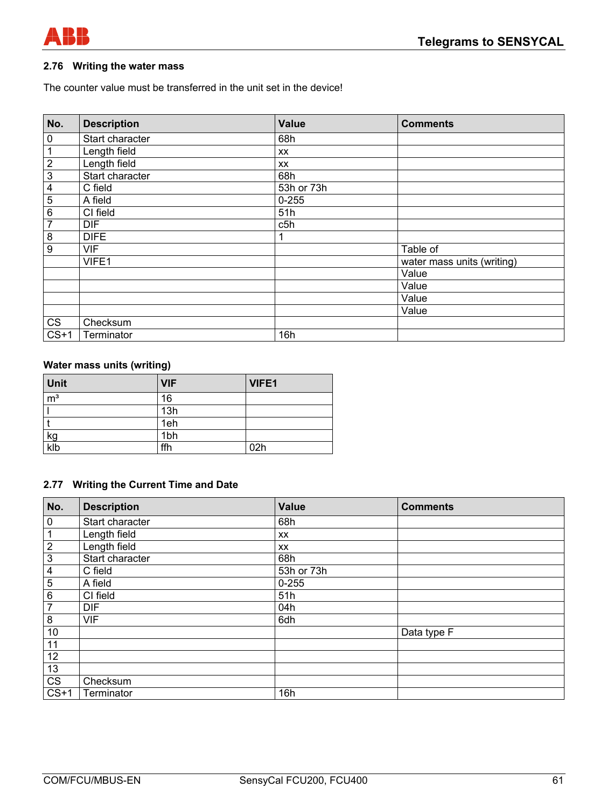

## **2.76 Writing the water mass**

The counter value must be transferred in the unit set in the device!

| No.                     | <b>Description</b> | <b>Value</b> | <b>Comments</b>            |
|-------------------------|--------------------|--------------|----------------------------|
| 0                       | Start character    | 68h          |                            |
| $\mathbf 1$             | Length field       | XX           |                            |
| $\overline{2}$          | Length field       | XX           |                            |
| $\overline{3}$          | Start character    | 68h          |                            |
| $\overline{\mathbf{4}}$ | C field            | 53h or 73h   |                            |
| $\overline{5}$          | A field            | $0 - 255$    |                            |
| 6                       | CI field           | 51h          |                            |
| $\overline{7}$          | <b>DIF</b>         | c5h          |                            |
| $\overline{8}$          | <b>DIFE</b>        |              |                            |
| $\overline{9}$          | <b>VIF</b>         |              | Table of                   |
|                         | VIFE1              |              | water mass units (writing) |
|                         |                    |              | Value                      |
|                         |                    |              | Value                      |
|                         |                    |              | Value                      |
|                         |                    |              | Value                      |
| CS                      | Checksum           |              |                            |
| $CS+1$                  | Terminator         | 16h          |                            |

## **Water mass units (writing)**

| <b>Unit</b>      | <b>VIF</b> | <b>VIFE1</b> |
|------------------|------------|--------------|
| $\overline{m}^3$ | 16         |              |
|                  | 13h        |              |
|                  | 1eh        |              |
| $\frac{kg}{klb}$ | 1bh        |              |
|                  | ffh        | 02h          |

## **2.77 Writing the Current Time and Date**

| No.                    | <b>Description</b> | Value      | <b>Comments</b> |
|------------------------|--------------------|------------|-----------------|
| $\overline{0}$         | Start character    | 68h        |                 |
| $\mathbf{1}$           | Length field       | XX         |                 |
| $\frac{2}{3}$          | Length field       | <b>XX</b>  |                 |
|                        | Start character    | 68h        |                 |
| $\overline{4}$         | C field            | 53h or 73h |                 |
| $\overline{5}$         | A field            | $0 - 255$  |                 |
| $\overline{6}$         | CI field           | 51h        |                 |
| $\overline{7}$         | <b>DIF</b>         | 04h        |                 |
| $\bf 8$                | <b>VIF</b>         | 6dh        |                 |
| $10$                   |                    |            | Data type F     |
| 11                     |                    |            |                 |
| $\overline{12}$        |                    |            |                 |
| 13                     |                    |            |                 |
| $\overline{\text{CS}}$ | Checksum           |            |                 |
| $CS+1$                 | Terminator         | 16h        |                 |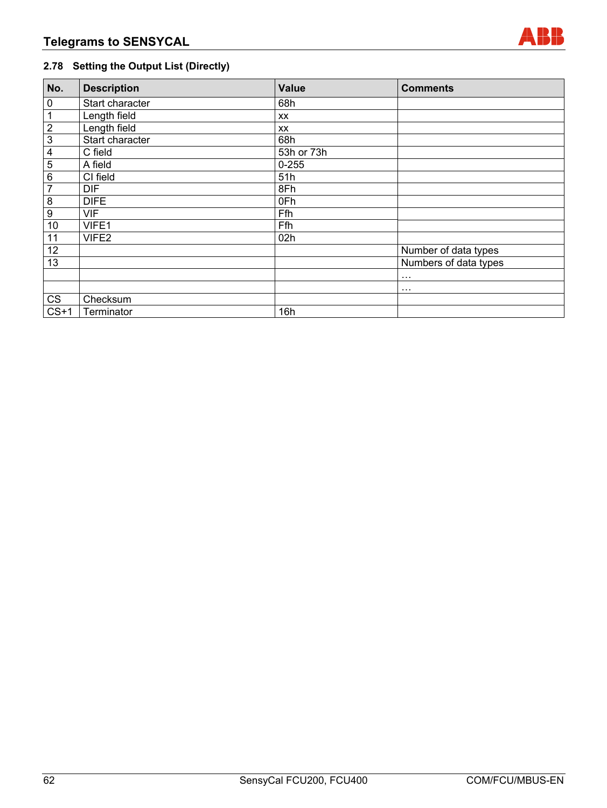

# **2.78 Setting the Output List (Directly)**

| No.            | <b>Description</b> | <b>Value</b> | <b>Comments</b>       |
|----------------|--------------------|--------------|-----------------------|
| $\pmb{0}$      | Start character    | 68h          |                       |
| $\mathbf{1}$   | Length field       | XX           |                       |
| $\frac{2}{3}$  | Length field       | XX           |                       |
|                | Start character    | 68h          |                       |
| $\overline{4}$ | C field            | 53h or 73h   |                       |
| $\overline{5}$ | A field            | $0 - 255$    |                       |
| $\overline{6}$ | CI field           | 51h          |                       |
| $\overline{7}$ | <b>DIF</b>         | 8Fh          |                       |
| $\bf{8}$       | <b>DIFE</b>        | 0Fh          |                       |
| $\overline{9}$ | <b>VIF</b>         | Ffh          |                       |
| 10             | VIFE1              | Ffh          |                       |
| 11             | VIFE2              | 02h          |                       |
| 12             |                    |              | Number of data types  |
| 13             |                    |              | Numbers of data types |
|                |                    |              | $\cdots$              |
|                |                    |              | $\cdots$              |
| CS             | Checksum           |              |                       |
| $CS+1$         | Terminator         | 16h          |                       |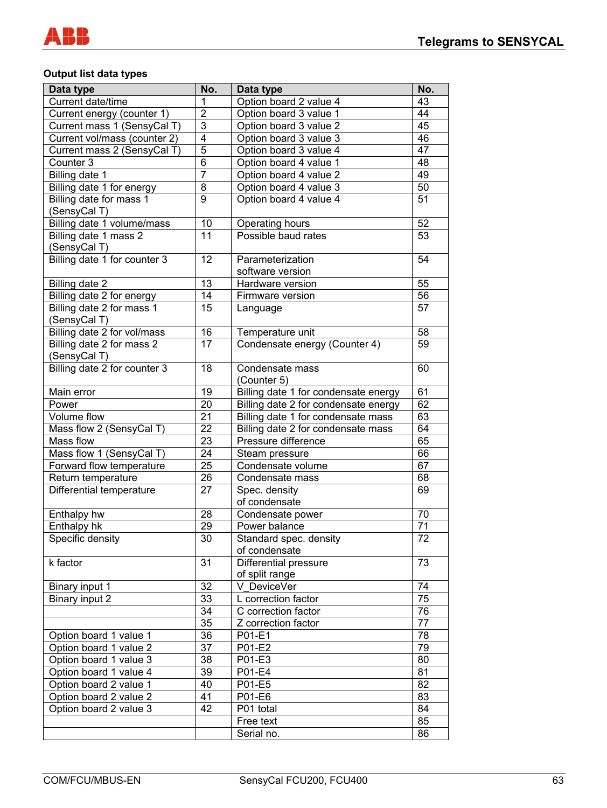

## **Output list data types**

| Data type                                 | No.             | Data type                            | No.                   |
|-------------------------------------------|-----------------|--------------------------------------|-----------------------|
| Current date/time                         | 1               | Option board 2 value 4               | 43                    |
| Current energy (counter 1)                | $\overline{2}$  | Option board 3 value 1               | 44                    |
| Current mass 1 (SensyCal T)               | 3               | Option board 3 value 2               | 45                    |
| Current vol/mass (counter 2)              | 4               | Option board 3 value 3               | 46                    |
|                                           | $\overline{5}$  |                                      | 47                    |
| Current mass 2 (SensyCal T)               |                 | Option board 3 value 4               |                       |
| Counter 3                                 | 6               | Option board 4 value 1               | 48                    |
| Billing date 1                            | $\overline{7}$  | Option board 4 value 2               | 49                    |
| Billing date 1 for energy                 | 8               | Option board 4 value 3               | 50                    |
| Billing date for mass 1<br>(SensyCal T)   | 9               | Option board 4 value 4               | 51                    |
| Billing date 1 volume/mass                | 10              | Operating hours                      | 52                    |
| Billing date 1 mass 2<br>(SensyCal T)     | 11              | Possible baud rates                  | 53                    |
| Billing date 1 for counter 3              | 12              | Parameterization                     | 54                    |
|                                           |                 | software version                     |                       |
| Billing date 2                            | 13              | Hardware version                     | 55                    |
| Billing date 2 for energy                 | 14              | Firmware version                     | 56                    |
| Billing date 2 for mass 1                 | 15              | Language                             | 57                    |
| (SensyCal T)                              |                 |                                      |                       |
| Billing date 2 for vol/mass               | 16              | Temperature unit                     | 58                    |
| Billing date 2 for mass 2<br>(SensyCal T) | 17              | Condensate energy (Counter 4)        | 59                    |
| Billing date 2 for counter 3              | 18              | Condensate mass                      | 60                    |
|                                           |                 | (Counter 5)                          |                       |
| Main error                                | 19              | Billing date 1 for condensate energy | 61                    |
| Power                                     | 20              | Billing date 2 for condensate energy | 62                    |
| Volume flow                               | 21              |                                      | 63                    |
|                                           | 22              | Billing date 1 for condensate mass   | 64                    |
| Mass flow 2 (SensyCal T)<br>Mass flow     |                 | Billing date 2 for condensate mass   | 65                    |
|                                           | 23              | Pressure difference                  | 66                    |
| Mass flow 1 (SensyCal T)                  | 24              | Steam pressure                       |                       |
| Forward flow temperature                  | 25              | Condensate volume                    | 67                    |
| Return temperature                        | 26              | Condensate mass                      | 68                    |
| Differential temperature                  | 27              | Spec. density                        | 69                    |
|                                           |                 | of condensate                        |                       |
| Enthalpy hw                               | 28              | Condensate power                     | 70<br>$\overline{71}$ |
| Enthalpy hk                               | 29              | Power balance                        |                       |
| Specific density                          | $\overline{30}$ | Standard spec. density               | 72                    |
|                                           |                 | of condensate                        |                       |
| k factor                                  | 31              | <b>Differential pressure</b>         | 73                    |
|                                           |                 | of split range                       |                       |
| Binary input 1                            | 32              | V DeviceVer                          | 74                    |
| Binary input 2                            | 33              | L correction factor                  | 75                    |
|                                           | 34              | C correction factor                  | 76                    |
|                                           | 35              | Z correction factor                  | 77                    |
| Option board 1 value 1                    | 36              | P01-E1                               | 78                    |
| Option board 1 value 2                    | 37              | P01-E2                               | 79                    |
| Option board 1 value 3                    | 38              | P01-E3                               | 80                    |
| Option board 1 value 4                    | 39              | P01-E4                               | 81                    |
| Option board 2 value 1                    | 40              | P01-E5                               | 82                    |
| Option board 2 value 2                    | 41              | P01-E6                               | 83                    |
| Option board 2 value 3                    | 42              | P01 total                            | 84                    |
|                                           |                 | Free text                            | 85                    |
|                                           |                 | Serial no.                           | 86                    |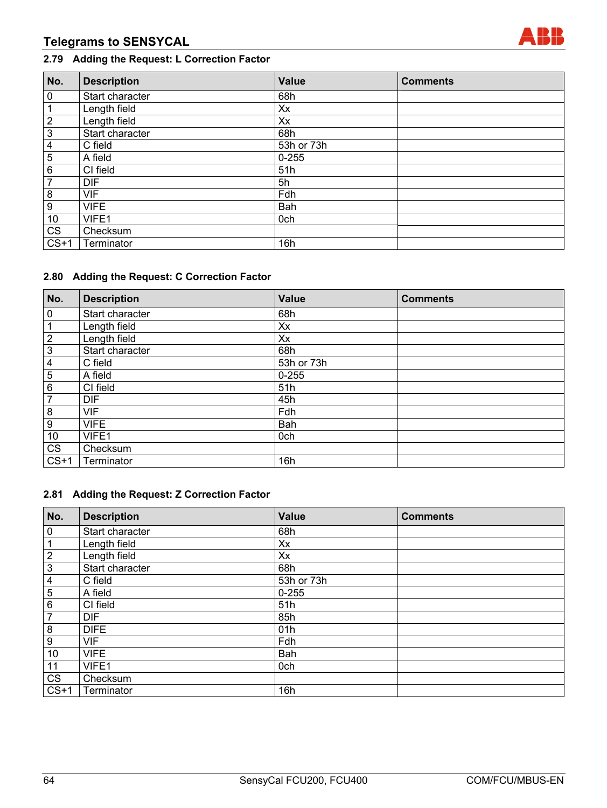# **Telegrams to SENSYCAL**



# **2.79 Adding the Request: L Correction Factor**

| No.             | <b>Description</b> | Value      | <b>Comments</b> |
|-----------------|--------------------|------------|-----------------|
| $\pmb{0}$       | Start character    | 68h        |                 |
| 1               | Length field       | Xx         |                 |
| $\overline{2}$  | Length field       | Xx         |                 |
| $\overline{3}$  | Start character    | 68h        |                 |
| 4               | C field            | 53h or 73h |                 |
| 5               | A field            | $0 - 255$  |                 |
| 6               | CI field           | 51h        |                 |
| $\overline{7}$  | <b>DIF</b>         | 5h         |                 |
| 8               | <b>VIF</b>         | Fdh        |                 |
| 9               | <b>VIFE</b>        | Bah        |                 |
| 10              | VIFE1              | 0ch        |                 |
| $c\overline{s}$ | Checksum           |            |                 |
| $CS+1$          | Terminator         | 16h        |                 |

## **2.80 Adding the Request: C Correction Factor**

| No.                     | <b>Description</b> | <b>Value</b> | <b>Comments</b> |
|-------------------------|--------------------|--------------|-----------------|
| $\pmb{0}$               | Start character    | 68h          |                 |
| 1                       | Length field       | Xx           |                 |
| $\overline{2}$          | Length field       | Xx           |                 |
| $\mathbf{3}$            | Start character    | 68h          |                 |
| $\overline{\mathbf{4}}$ | C field            | 53h or 73h   |                 |
| $\overline{5}$          | A field            | $0 - 255$    |                 |
| 6                       | CI field           | 51h          |                 |
| $\overline{7}$          | <b>DIF</b>         | 45h          |                 |
| 8                       | <b>VIF</b>         | Fdh          |                 |
| $\boldsymbol{9}$        | <b>VIFE</b>        | Bah          |                 |
| 10                      | VIFE1              | 0ch          |                 |
| $\overline{\text{CS}}$  | Checksum           |              |                 |
| $CS+1$                  | Terminator         | 16h          |                 |

## **2.81 Adding the Request: Z Correction Factor**

| No.              | <b>Description</b> | <b>Value</b> | <b>Comments</b> |
|------------------|--------------------|--------------|-----------------|
| $\mathbf 0$      | Start character    | 68h          |                 |
| $\mathbf{1}$     | Length field       | Xx           |                 |
| $\overline{2}$   | Length field       | Xx           |                 |
| $\overline{3}$   | Start character    | 68h          |                 |
| $\overline{4}$   | C field            | 53h or 73h   |                 |
| $\overline{5}$   | A field            | $0 - 255$    |                 |
| $\,6\,$          | CI field           | 51h          |                 |
| $\overline{7}$   | <b>DIF</b>         | 85h          |                 |
| $\bf{8}$         | <b>DIFE</b>        | 01h          |                 |
| $\boldsymbol{9}$ | <b>VIF</b>         | Fdh          |                 |
| 10               | <b>VIFE</b>        | Bah          |                 |
| 11               | VIFE1              | 0ch          |                 |
| CS               | Checksum           |              |                 |
| $CS+1$           | Terminator         | 16h          |                 |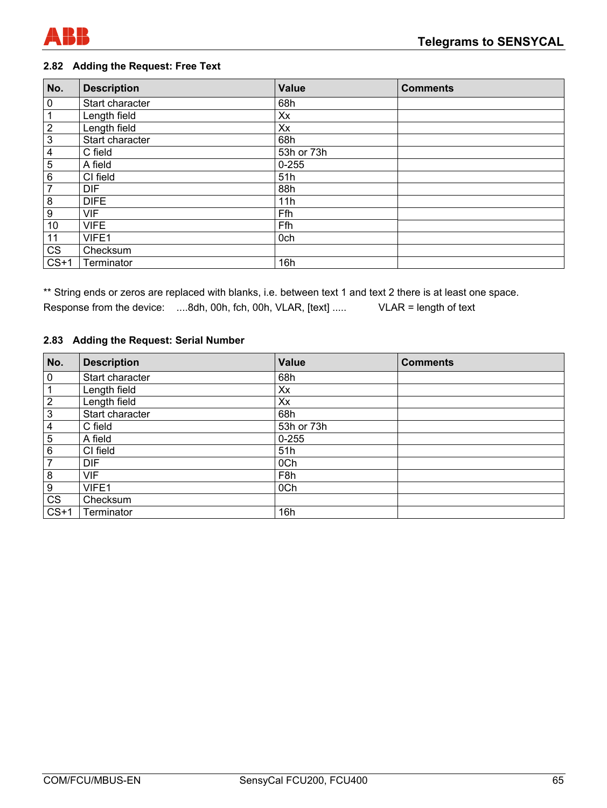

## **2.82 Adding the Request: Free Text**

| No.                     | <b>Description</b> | Value      | <b>Comments</b> |
|-------------------------|--------------------|------------|-----------------|
| 0                       | Start character    | 68h        |                 |
| $\mathbf{1}$            | Length field       | Xx         |                 |
| $\overline{2}$          | Length field       | Xx         |                 |
| $\mathfrak{S}$          | Start character    | 68h        |                 |
| $\overline{\mathbf{4}}$ | C field            | 53h or 73h |                 |
| $\overline{5}$          | A field            | $0 - 255$  |                 |
| 6                       | CI field           | 51h        |                 |
| $\overline{7}$          | <b>DIF</b>         | 88h        |                 |
| 8                       | <b>DIFE</b>        | 11h        |                 |
| 9                       | <b>VIF</b>         | Ffh        |                 |
| 10                      | <b>VIFE</b>        | Ffh        |                 |
| 11                      | VIFE1              | 0ch        |                 |
| $c\overline{s}$         | Checksum           |            |                 |
| $CS+1$                  | Terminator         | 16h        |                 |

\*\* String ends or zeros are replaced with blanks, i.e. between text 1 and text 2 there is at least one space. Response from the device: ....8dh, 00h, fch, 00h, VLAR, [text] ..... VLAR = length of text

#### **2.83 Adding the Request: Serial Number**

| No.              | <b>Description</b> | <b>Value</b>     | <b>Comments</b> |
|------------------|--------------------|------------------|-----------------|
| $\pmb{0}$        | Start character    | 68h              |                 |
| 1                | Length field       | Xx               |                 |
| $\overline{2}$   | Length field       | Xx               |                 |
| $\mathbf{3}$     | Start character    | 68h              |                 |
| 4                | C field            | 53h or 73h       |                 |
| 5                | A field            | $0 - 255$        |                 |
| 6                | CI field           | 51h              |                 |
| 7                | <b>DIF</b>         | 0Ch              |                 |
| 8                | <b>VIF</b>         | F <sub>8</sub> h |                 |
| $\boldsymbol{9}$ | VIFE1              | 0Ch              |                 |
| <b>CS</b>        | Checksum           |                  |                 |
| $CS+1$           | Terminator         | 16h              |                 |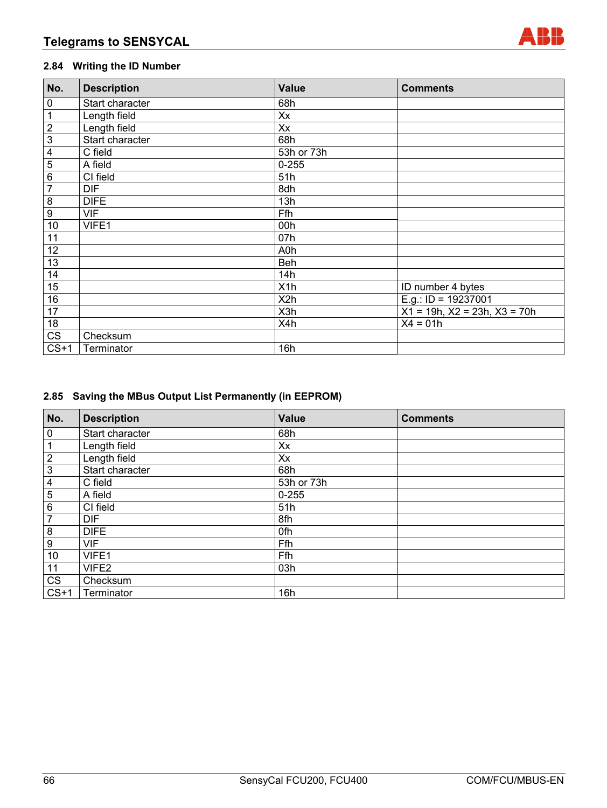

# **2.84 Writing the ID Number**

| No.                     | <b>Description</b> | <b>Value</b>     | <b>Comments</b>                      |
|-------------------------|--------------------|------------------|--------------------------------------|
| $\pmb{0}$               | Start character    | 68h              |                                      |
| $\mathbf{1}$            | Length field       | Xx               |                                      |
| $\overline{2}$          | Length field       | Xx               |                                      |
| $\overline{3}$          | Start character    | 68h              |                                      |
| $\overline{\mathbf{4}}$ | C field            | 53h or 73h       |                                      |
| $\overline{5}$          | A field            | $0 - 255$        |                                      |
| $\,6\,$                 | CI field           | 51h              |                                      |
| $\overline{7}$          | <b>DIF</b>         | 8dh              |                                      |
| 8                       | <b>DIFE</b>        | 13h              |                                      |
| $\boldsymbol{9}$        | <b>VIF</b>         | Ffh              |                                      |
| 10                      | VIFE1              | 00h              |                                      |
| 11                      |                    | 07h              |                                      |
| 12                      |                    | A0h              |                                      |
| 13                      |                    | <b>Beh</b>       |                                      |
| 14                      |                    | 14h              |                                      |
| 15                      |                    | X <sub>1</sub> h | ID number 4 bytes                    |
| 16                      |                    | X <sub>2</sub> h | E.g.: ID = $19237001$                |
| 17                      |                    | X3h              | $X1 = 19h$ , $X2 = 23h$ , $X3 = 70h$ |
| 18                      |                    | X4h              | $X4 = 01h$                           |
| CS                      | Checksum           |                  |                                      |
| $CS+1$                  | Terminator         | 16h              |                                      |

# **2.85 Saving the MBus Output List Permanently (in EEPROM)**

| No.              | <b>Description</b> | <b>Value</b> | <b>Comments</b> |
|------------------|--------------------|--------------|-----------------|
| $\pmb{0}$        | Start character    | 68h          |                 |
| 1                | Length field       | Xx           |                 |
| $\boldsymbol{2}$ | Length field       | Xx           |                 |
| $\mathbf 3$      | Start character    | 68h          |                 |
| 4                | C field            | 53h or 73h   |                 |
| 5                | A field            | $0 - 255$    |                 |
| 6                | CI field           | 51h          |                 |
| $\overline{7}$   | <b>DIF</b>         | 8fh          |                 |
| 8                | <b>DIFE</b>        | 0fh          |                 |
| 9                | <b>VIF</b>         | Ffh          |                 |
| 10               | VIFE1              | Ffh          |                 |
| 11               | VIFE2              | 03h          |                 |
| CS               | Checksum           |              |                 |
| $CS+1$           | Terminator         | 16h          |                 |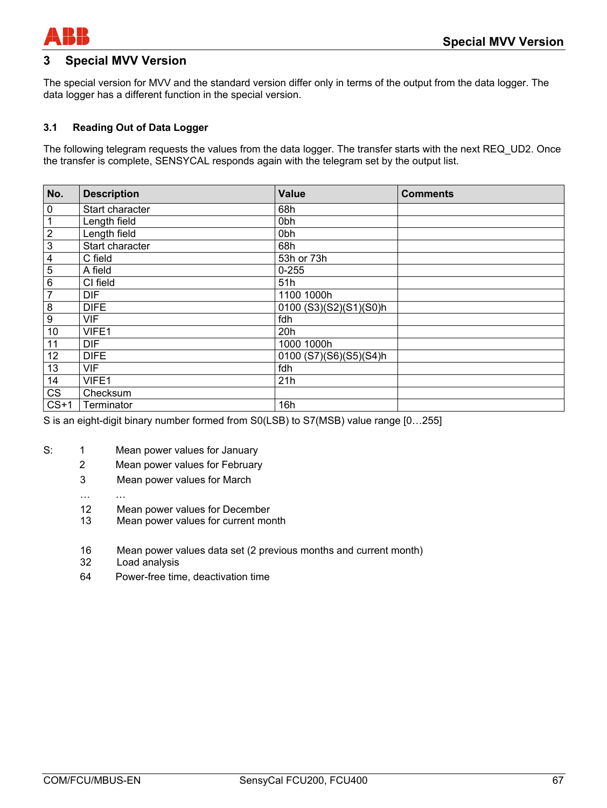

# **3 Special MVV Version**

The special version for MVV and the standard version differ only in terms of the output from the data logger. The data logger has a different function in the special version.

#### **3.1 Reading Out of Data Logger**

The following telegram requests the values from the data logger. The transfer starts with the next REQ\_UD2. Once the transfer is complete, SENSYCAL responds again with the telegram set by the output list.

| No.                     | <b>Description</b> | <b>Value</b>           | <b>Comments</b> |
|-------------------------|--------------------|------------------------|-----------------|
| 0                       | Start character    | 68h                    |                 |
| 1                       | Length field       | 0 <sub>bh</sub>        |                 |
| $\overline{2}$          | Length field       | 0 <sub>bh</sub>        |                 |
| $\overline{3}$          | Start character    | 68h                    |                 |
| $\overline{\mathbf{4}}$ | C field            | 53h or 73h             |                 |
| $\overline{5}$          | A field            | $0 - 255$              |                 |
| $\overline{6}$          | CI field           | 51h                    |                 |
| 7                       | <b>DIF</b>         | 1100 1000h             |                 |
| $\overline{8}$          | <b>DIFE</b>        | 0100 (S3)(S2)(S1)(S0)h |                 |
| $\overline{9}$          | <b>VIF</b>         | fdh                    |                 |
| 10                      | VIFE1              | 20h                    |                 |
| 11                      | <b>DIF</b>         | 1000 1000h             |                 |
| 12                      | <b>DIFE</b>        | 0100 (S7)(S6)(S5)(S4)h |                 |
| 13                      | <b>VIF</b>         | fdh                    |                 |
| 14                      | VIFE1              | 21h                    |                 |
| <b>CS</b>               | Checksum           |                        |                 |
| $CS+1$                  | Terminator         | 16h                    |                 |

S is an eight-digit binary number formed from S0(LSB) to S7(MSB) value range [0…255]

- S: 1 Mean power values for January
	- 2 Mean power values for February
	- 3 Mean power values for March
	- … …
	- 12 Mean power values for December
	- 13 Mean power values for current month
	- 16 Mean power values data set (2 previous months and current month)
	- 32 Load analysis
	- 64 Power-free time, deactivation time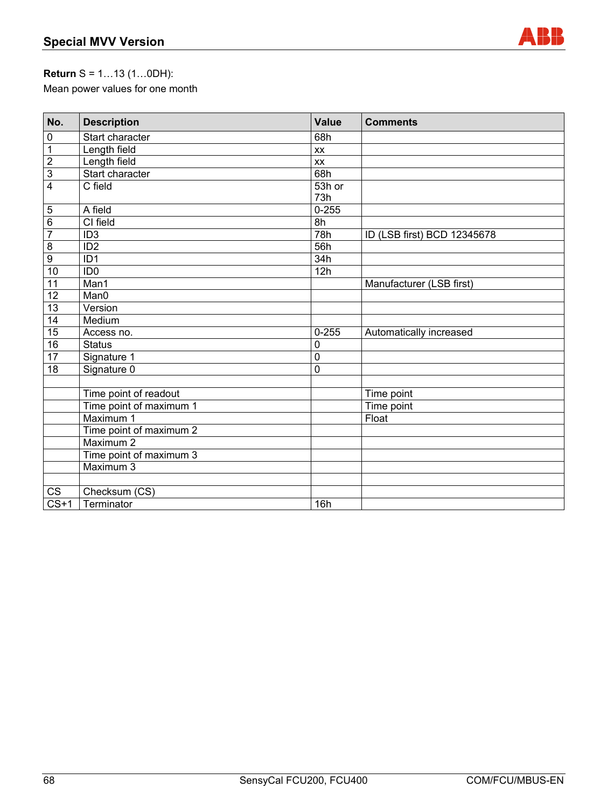

# **Return** S = 1…13 (1…0DH):

Mean power values for one month

| No.               | <b>Description</b>      | Value       | <b>Comments</b>             |
|-------------------|-------------------------|-------------|-----------------------------|
| $\pmb{0}$         | Start character         | 68h         |                             |
| $\mathbf 1$       | Length field            | XX          |                             |
| $\overline{2}$    | Length field            | XX          |                             |
| $\overline{3}$    | Start character         | 68h         |                             |
| $\overline{4}$    | C field                 | 53h or      |                             |
|                   |                         | 73h         |                             |
| $\mathbf 5$       | A field                 | $0 - 255$   |                             |
| $\overline{6}$    | CI field                | 8h          |                             |
| $\overline{7}$    | ID <sub>3</sub>         | 78h         | ID (LSB first) BCD 12345678 |
| $\overline{8}$    | ID <sub>2</sub>         | 56h         |                             |
| $\overline{9}$    | ID <sub>1</sub>         | 34h         |                             |
| 10                | ID <sub>0</sub>         | 12h         |                             |
| $\overline{11}$   | Man1                    |             | Manufacturer (LSB first)    |
| 12                | Man0                    |             |                             |
| $\overline{13}$   | Version                 |             |                             |
| 14                | Medium                  |             |                             |
| 15                | Access no.              | $0 - 255$   | Automatically increased     |
| 16                | <b>Status</b>           | $\mathbf 0$ |                             |
| $\overline{17}$   | Signature 1             | $\mathbf 0$ |                             |
| 18                | Signature 0             | 0           |                             |
|                   |                         |             |                             |
|                   | Time point of readout   |             | Time point                  |
|                   | Time point of maximum 1 |             | Time point                  |
|                   | Maximum 1               |             | Float                       |
|                   | Time point of maximum 2 |             |                             |
|                   | Maximum 2               |             |                             |
|                   | Time point of maximum 3 |             |                             |
|                   | Maximum 3               |             |                             |
|                   |                         |             |                             |
| CS                | Checksum (CS)           |             |                             |
| $\overline{CS+1}$ | Terminator              | 16h         |                             |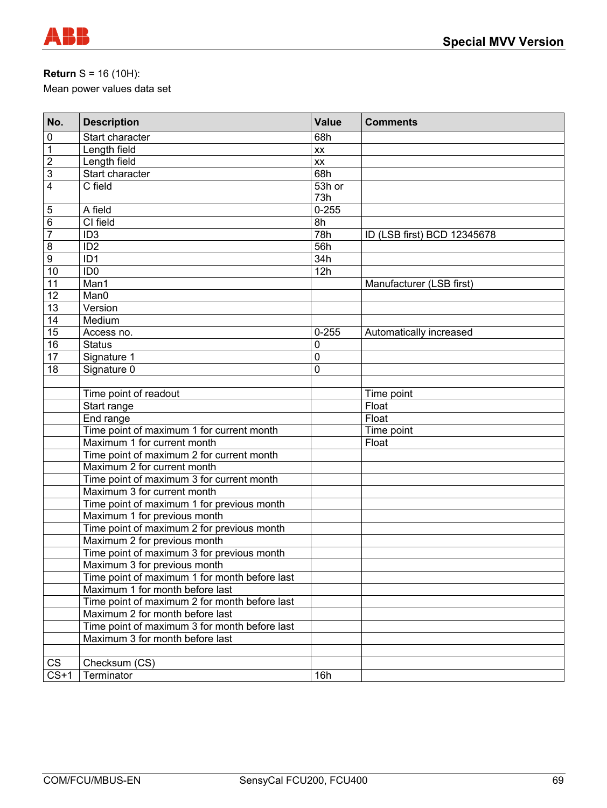

# **Return** S = 16 (10H):

Mean power values data set

| No.            | <b>Description</b>                            | <b>Value</b> | <b>Comments</b>             |
|----------------|-----------------------------------------------|--------------|-----------------------------|
| $\pmb{0}$      | Start character                               | 68h          |                             |
| $\mathbf 1$    | Length field                                  | XX           |                             |
| $\overline{2}$ | Length field                                  | XX           |                             |
| 3              | Start character                               | 68h          |                             |
| 4              | $\overline{C}$ field                          | 53h or       |                             |
|                |                                               | 73h          |                             |
| 5              | A field                                       | $0 - 255$    |                             |
| 6              | CI field                                      | 8h           |                             |
| $\overline{7}$ | ID <sub>3</sub>                               | 78h          | ID (LSB first) BCD 12345678 |
| 8              | ID <sub>2</sub>                               | 56h          |                             |
| 9              | ID <sub>1</sub>                               | 34h          |                             |
| 10             | ID <sub>0</sub>                               | 12h          |                             |
| 11             | Man1                                          |              | Manufacturer (LSB first)    |
| 12             | Man0                                          |              |                             |
| 13             | Version                                       |              |                             |
| 14             | Medium                                        |              |                             |
| 15             | Access no.                                    | $0 - 255$    | Automatically increased     |
| 16             | <b>Status</b>                                 | 0            |                             |
| 17             | Signature 1                                   | $\mathbf 0$  |                             |
| 18             | Signature 0                                   | 0            |                             |
|                |                                               |              |                             |
|                | Time point of readout                         |              | Time point                  |
|                | Start range                                   |              | Float                       |
|                | End range                                     |              | Float                       |
|                | Time point of maximum 1 for current month     |              | Time point                  |
|                | Maximum 1 for current month                   |              | Float                       |
|                | Time point of maximum 2 for current month     |              |                             |
|                | Maximum 2 for current month                   |              |                             |
|                | Time point of maximum 3 for current month     |              |                             |
|                | Maximum 3 for current month                   |              |                             |
|                | Time point of maximum 1 for previous month    |              |                             |
|                | Maximum 1 for previous month                  |              |                             |
|                | Time point of maximum 2 for previous month    |              |                             |
|                | Maximum 2 for previous month                  |              |                             |
|                | Time point of maximum 3 for previous month    |              |                             |
|                | Maximum 3 for previous month                  |              |                             |
|                | Time point of maximum 1 for month before last |              |                             |
|                | Maximum 1 for month before last               |              |                             |
|                | Time point of maximum 2 for month before last |              |                             |
|                | Maximum 2 for month before last               |              |                             |
|                | Time point of maximum 3 for month before last |              |                             |
|                | Maximum 3 for month before last               |              |                             |
|                |                                               |              |                             |
| CS             | Checksum (CS)                                 |              |                             |
| $CS+1$         | Terminator                                    | 16h          |                             |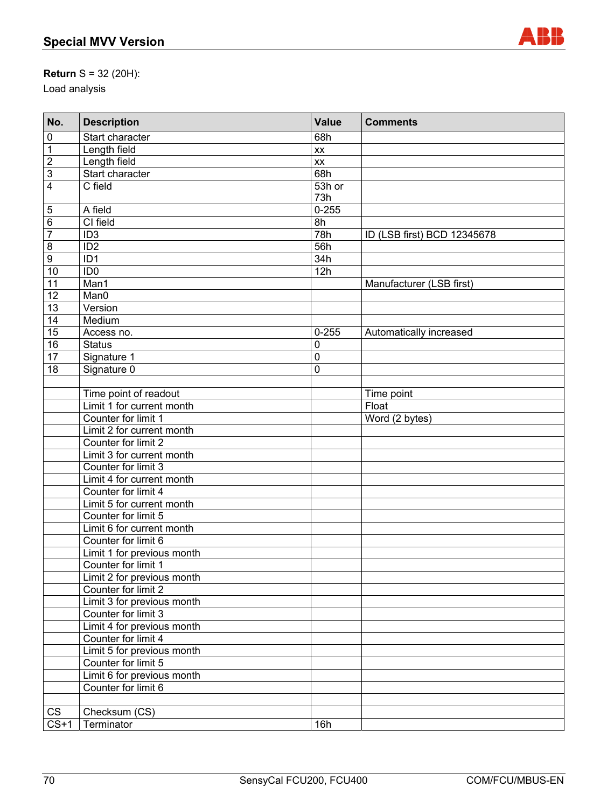

# **Return** S = 32 (20H):

Load analysis

| No.             | <b>Description</b>         | <b>Value</b> | <b>Comments</b>             |
|-----------------|----------------------------|--------------|-----------------------------|
| 0               | Start character            | 68h          |                             |
| $\overline{1}$  | Length field               | XX           |                             |
| $\overline{2}$  | Length field               | XX           |                             |
| $\overline{3}$  | Start character            | 68h          |                             |
| $\overline{4}$  | C field                    | 53h or       |                             |
|                 |                            | 73h          |                             |
| $\mathbf 5$     | A field                    | $0 - 255$    |                             |
| $\overline{6}$  | CI field                   | 8h           |                             |
| $\overline{7}$  | ID <sub>3</sub>            | 78h          | ID (LSB first) BCD 12345678 |
| 8               | ID <sub>2</sub>            | 56h          |                             |
| 9               | ID <sub>1</sub>            | 34h          |                             |
| 10              | ID <sub>0</sub>            | 12h          |                             |
| 11              | Man1                       |              | Manufacturer (LSB first)    |
| 12              | Man0                       |              |                             |
| 13              | Version                    |              |                             |
| 14              | Medium                     |              |                             |
| 15              | Access no.                 | $0 - 255$    | Automatically increased     |
| 16              | <b>Status</b>              | 0            |                             |
| $\overline{17}$ | Signature 1                | 0            |                             |
| 18              | Signature 0                | 0            |                             |
|                 |                            |              |                             |
|                 | Time point of readout      |              | Time point                  |
|                 | Limit 1 for current month  |              | Float                       |
|                 | Counter for limit 1        |              | Word (2 bytes)              |
|                 | Limit 2 for current month  |              |                             |
|                 | Counter for limit 2        |              |                             |
|                 | Limit 3 for current month  |              |                             |
|                 | Counter for limit 3        |              |                             |
|                 | Limit 4 for current month  |              |                             |
|                 | Counter for limit 4        |              |                             |
|                 | Limit 5 for current month  |              |                             |
|                 | Counter for limit 5        |              |                             |
|                 | Limit 6 for current month  |              |                             |
|                 | Counter for limit 6        |              |                             |
|                 | Limit 1 for previous month |              |                             |
|                 | Counter for limit 1        |              |                             |
|                 | Limit 2 for previous month |              |                             |
|                 | Counter for limit 2        |              |                             |
|                 | Limit 3 for previous month |              |                             |
|                 | Counter for limit 3        |              |                             |
|                 | Limit 4 for previous month |              |                             |
|                 | Counter for limit 4        |              |                             |
|                 | Limit 5 for previous month |              |                             |
|                 | Counter for limit 5        |              |                             |
|                 | Limit 6 for previous month |              |                             |
|                 | Counter for limit 6        |              |                             |
|                 |                            |              |                             |
| CS              | Checksum (CS)              |              |                             |
| $CS+1$          | Terminator                 | 16h          |                             |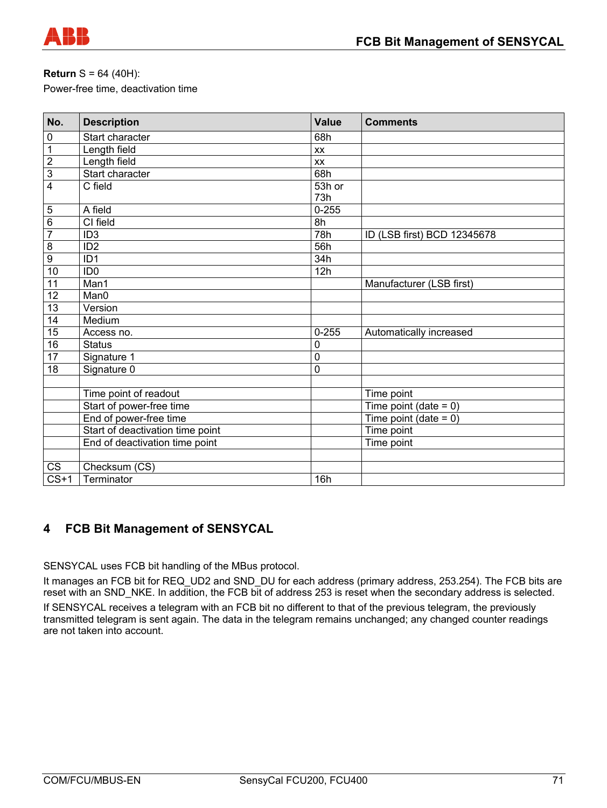

## **Return** S = 64 (40H):

Power-free time, deactivation time

| No.            | <b>Description</b>               | <b>Value</b>     | <b>Comments</b>             |
|----------------|----------------------------------|------------------|-----------------------------|
| $\pmb{0}$      | Start character                  | 68h              |                             |
| $\overline{1}$ | Length field                     | XX               |                             |
| $\overline{2}$ | Length field                     | <b>XX</b>        |                             |
| $\overline{3}$ | Start character                  | 68h              |                             |
| $\overline{4}$ | C field                          | 53h or           |                             |
|                |                                  | 73h              |                             |
| $\overline{5}$ | A field                          | $0 - 255$        |                             |
| $\overline{6}$ | CI field                         | 8h               |                             |
| $\overline{7}$ | ID <sub>3</sub>                  | $\overline{78h}$ | ID (LSB first) BCD 12345678 |
| $\overline{8}$ | ID <sub>2</sub>                  | 56h              |                             |
| $\overline{9}$ | ID <sub>1</sub>                  | 34h              |                             |
| 10             | ID <sub>0</sub>                  | 12h              |                             |
| 11             | Man1                             |                  | Manufacturer (LSB first)    |
| 12             | Man0                             |                  |                             |
| 13             | Version                          |                  |                             |
| 14             | Medium                           |                  |                             |
| 15             | Access no.                       | $0 - 255$        | Automatically increased     |
| 16             | <b>Status</b>                    | $\mathbf 0$      |                             |
| 17             | Signature 1                      | $\mathbf 0$      |                             |
| 18             | Signature 0                      | $\mathbf 0$      |                             |
|                |                                  |                  |                             |
|                | Time point of readout            |                  | Time point                  |
|                | Start of power-free time         |                  | Time point (date = $0$ )    |
|                | End of power-free time           |                  | Time point (date = $0$ )    |
|                | Start of deactivation time point |                  | Time point                  |
|                | End of deactivation time point   |                  | Time point                  |
|                |                                  |                  |                             |
| CS             | Checksum (CS)                    |                  |                             |
| $CS+1$         | Terminator                       | 16h              |                             |

# **4 FCB Bit Management of SENSYCAL**

SENSYCAL uses FCB bit handling of the MBus protocol.

It manages an FCB bit for REQ\_UD2 and SND\_DU for each address (primary address, 253.254). The FCB bits are reset with an SND\_NKE. In addition, the FCB bit of address 253 is reset when the secondary address is selected. If SENSYCAL receives a telegram with an FCB bit no different to that of the previous telegram, the previously transmitted telegram is sent again. The data in the telegram remains unchanged; any changed counter readings are not taken into account.